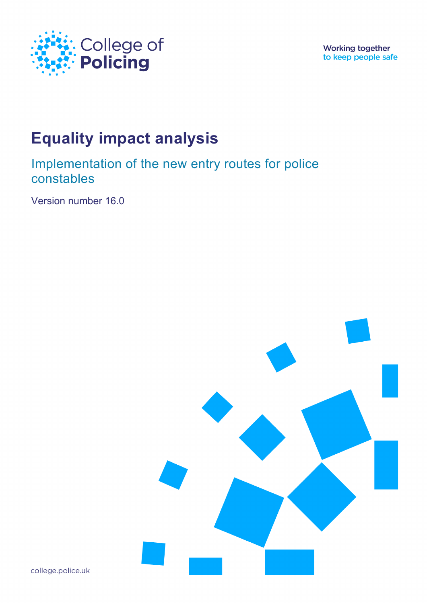

**Working together** to keep people safe

# **Equality impact analysis**

Implementation of the new entry routes for police constables

Version number 16.0



college.police.uk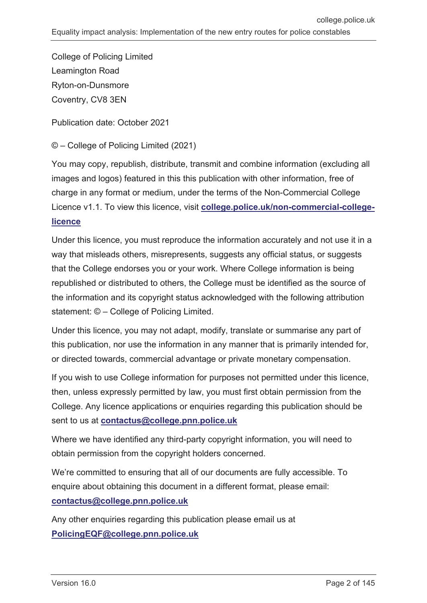College of Policing Limited Leamington Road Ryton-on-Dunsmore Coventry, CV8 3EN

Publication date: October 2021

© – College of Policing Limited (2021)

You may copy, republish, distribute, transmit and combine information (excluding all images and logos) featured in this this publication with other information, free of charge in any format or medium, under the terms of the Non-Commercial College Licence v1.1. To view this licence, visit **[college.police.uk/non-commercial-college](https://www.college.police.uk/non-commercial-college-licence)[licence](https://www.college.police.uk/non-commercial-college-licence)**

Under this licence, you must reproduce the information accurately and not use it in a way that misleads others, misrepresents, suggests any official status, or suggests that the College endorses you or your work. Where College information is being republished or distributed to others, the College must be identified as the source of the information and its copyright status acknowledged with the following attribution statement: © – College of Policing Limited.

Under this licence, you may not adapt, modify, translate or summarise any part of this publication, nor use the information in any manner that is primarily intended for, or directed towards, commercial advantage or private monetary compensation.

If you wish to use College information for purposes not permitted under this licence, then, unless expressly permitted by law, you must first obtain permission from the College. Any licence applications or enquiries regarding this publication should be sent to us at **[contactus@college.pnn.police.uk](mailto:contactus@college.pnn.police.uk)**

Where we have identified any third-party copyright information, you will need to obtain permission from the copyright holders concerned.

We're committed to ensuring that all of our documents are fully accessible. To enquire about obtaining this document in a different format, please email: **[contactus@college.pnn.police.uk](mailto:contactus@college.pnn.police.uk)**

Any other enquiries regarding this publication please email us at **[PolicingEQF@college.pnn.police.uk](mailto:PolicingEQF@college.pnn.police.uk)**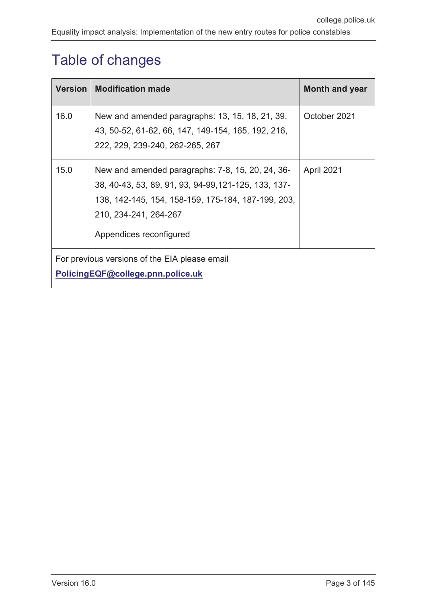# <span id="page-2-0"></span>Table of changes

| <b>Version</b>                                                                     | <b>Modification made</b>                                                                                                                                                                                           | Month and year |  |  |
|------------------------------------------------------------------------------------|--------------------------------------------------------------------------------------------------------------------------------------------------------------------------------------------------------------------|----------------|--|--|
| 16.0                                                                               | New and amended paragraphs: 13, 15, 18, 21, 39,<br>43, 50-52, 61-62, 66, 147, 149-154, 165, 192, 216,<br>222, 229, 239-240, 262-265, 267                                                                           | October 2021   |  |  |
| 15.0                                                                               | New and amended paragraphs: 7-8, 15, 20, 24, 36-<br>38, 40-43, 53, 89, 91, 93, 94-99, 121-125, 133, 137-<br>138, 142-145, 154, 158-159, 175-184, 187-199, 203,<br>210, 234-241, 264-267<br>Appendices reconfigured | April 2021     |  |  |
| For previous versions of the EIA please email<br>PolicingEQF@college.pnn.police.uk |                                                                                                                                                                                                                    |                |  |  |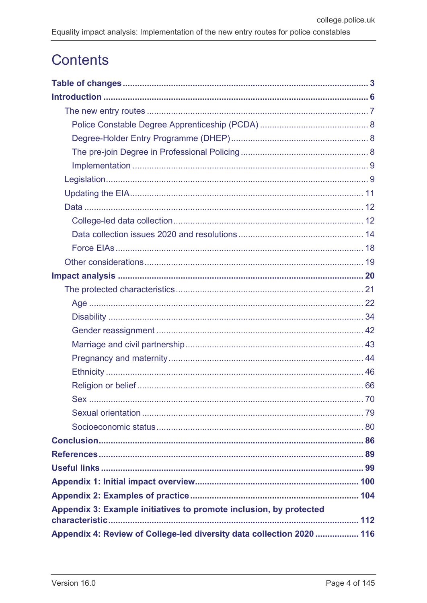# **Contents**

| Appendix 3: Example initiatives to promote inclusion, by protected    |  |
|-----------------------------------------------------------------------|--|
| Appendix 4: Review of College-led diversity data collection 2020  116 |  |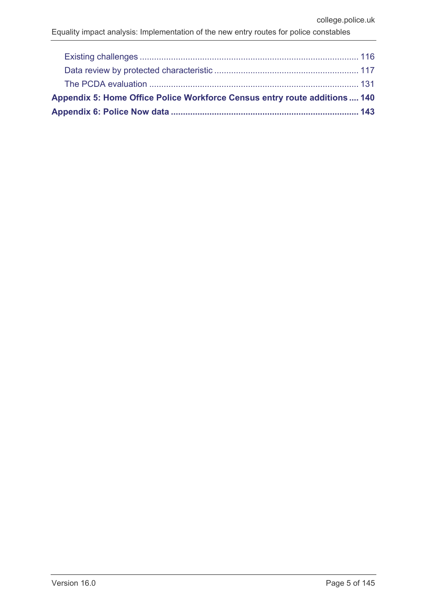| Appendix 5: Home Office Police Workforce Census entry route additions 140 |  |
|---------------------------------------------------------------------------|--|
|                                                                           |  |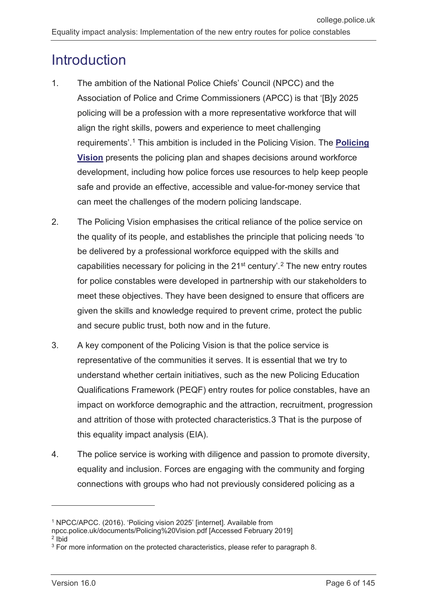# <span id="page-5-0"></span>**Introduction**

- 1. The ambition of the National Police Chiefs' Council (NPCC) and the Association of Police and Crime Commissioners (APCC) is that 'IBJv 2025 policing will be a profession with a more representative workforce that will align the right skills, powers and experience to meet challenging requirements'. [1](#page-5-1) This ambition is included in the [Policing Vision.](https://www.npcc.police.uk/documents/Policing%20Vision.pdf) The **[Policing](https://www.npcc.police.uk/documents/Policing%20Vision.pdf)  [Vision](https://www.npcc.police.uk/documents/Policing%20Vision.pdf)** presents the policing plan and shapes decisions around workforce development, including how police forces use resources to help keep people safe and provide an effective, accessible and value-for-money service that can meet the challenges of the modern policing landscape.
- 2. The Policing Vision emphasises the critical reliance of the police service on the quality of its people, and establishes the principle that policing needs 'to be delivered by a professional workforce equipped with the skills and capabilities necessary for policing in the  $21<sup>st</sup>$  $21<sup>st</sup>$  century'.<sup>2</sup> The new entry routes for police constables were developed in partnership with our stakeholders to meet these objectives. They have been designed to ensure that officers are given the skills and knowledge required to prevent crime, protect the public and secure public trust, both now and in the future.
- 3. A key component of the Policing Vision is that the police service is representative of the communities it serves. It is essential that we try to understand whether certain initiatives, such as the new Policing Education Qualifications Framework (PEQF) entry routes for police constables, have an impact on workforce demographic and the attraction, recruitment, progression and attrition of those with protected characteristics.[3](#page-5-3) That is the purpose of this equality impact analysis (EIA).
- 4. The police service is working with diligence and passion to promote diversity, equality and inclusion. Forces are engaging with the community and forging connections with groups who had not previously considered policing as a

<span id="page-5-1"></span><sup>1</sup> NPCC/APCC. (2016). 'Policing vision 2025' [internet]. Available from

npcc.police.uk/documents/Policing%20Vision.pdf [Accessed February 2019] <sup>2</sup> Ibid

<span id="page-5-3"></span><span id="page-5-2"></span><sup>&</sup>lt;sup>3</sup> For more information on the protected characteristics, please refer to paragraph 8.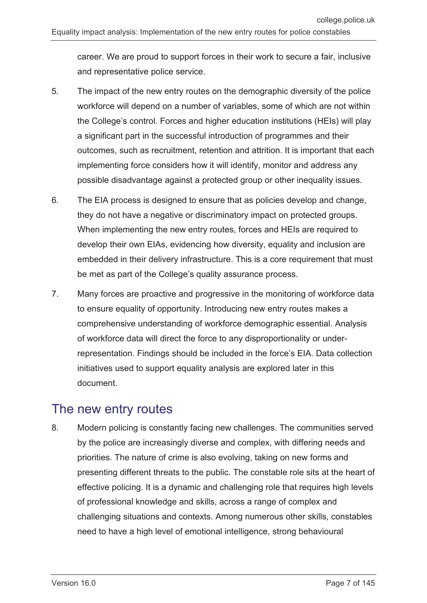career. We are proud to support forces in their work to secure a fair, inclusive and representative police service.

- 5. The impact of the new entry routes on the demographic diversity of the police workforce will depend on a number of variables, some of which are not within the College's control. Forces and higher education institutions (HEIs) will play a significant part in the successful introduction of programmes and their outcomes, such as recruitment, retention and attrition. It is important that each implementing force considers how it will identify, monitor and address any possible disadvantage against a protected group or other inequality issues.
- 6. The EIA process is designed to ensure that as policies develop and change, they do not have a negative or discriminatory impact on protected groups. When implementing the new entry routes, forces and HEIs are required to develop their own EIAs, evidencing how diversity, equality and inclusion are embedded in their delivery infrastructure. This is a core requirement that must be met as part of the College's quality assurance process.
- 7. Many forces are proactive and progressive in the monitoring of workforce data to ensure equality of opportunity. Introducing new entry routes makes a comprehensive understanding of workforce demographic essential. Analysis of workforce data will direct the force to any disproportionality or underrepresentation. Findings should be included in the force's EIA. Data collection initiatives used to support equality analysis are explored later in this document.

## <span id="page-6-0"></span>The new entry routes

8. Modern policing is constantly facing new challenges. The communities served by the police are increasingly diverse and complex, with differing needs and priorities. The nature of crime is also evolving, taking on new forms and presenting different threats to the public. The constable role sits at the heart of effective policing. It is a dynamic and challenging role that requires high levels of professional knowledge and skills, across a range of complex and challenging situations and contexts. Among numerous other skills, constables need to have a high level of emotional intelligence, strong behavioural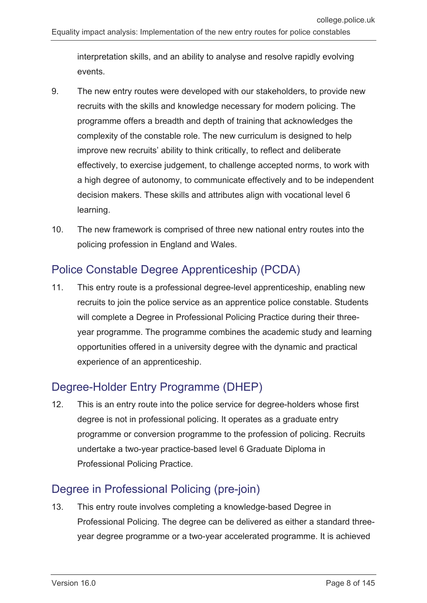interpretation skills, and an ability to analyse and resolve rapidly evolving events.

- 9. The new entry routes were developed with our stakeholders, to provide new recruits with the skills and knowledge necessary for modern policing. The programme offers a breadth and depth of training that acknowledges the complexity of the constable role. The new curriculum is designed to help improve new recruits' ability to think critically, to reflect and deliberate effectively, to exercise judgement, to challenge accepted norms, to work with a high degree of autonomy, to communicate effectively and to be independent decision makers. These skills and attributes align with vocational level 6 learning.
- 10. The new framework is comprised of three new national entry routes into the policing profession in England and Wales.

### <span id="page-7-0"></span>Police Constable Degree Apprenticeship (PCDA)

11. This entry route is a professional degree-level apprenticeship, enabling new recruits to join the police service as an apprentice police constable. Students will complete a Degree in Professional Policing Practice during their threeyear programme. The programme combines the academic study and learning opportunities offered in a university degree with the dynamic and practical experience of an apprenticeship.

## <span id="page-7-1"></span>Degree-Holder Entry Programme (DHEP)

12. This is an entry route into the police service for degree-holders whose first degree is not in professional policing. It operates as a graduate entry programme or conversion programme to the profession of policing. Recruits undertake a two-year practice-based level 6 Graduate Diploma in Professional Policing Practice.

## <span id="page-7-2"></span>Degree in Professional Policing (pre-join)

13. This entry route involves completing a knowledge-based Degree in Professional Policing. The degree can be delivered as either a standard threeyear degree programme or a two-year accelerated programme. It is achieved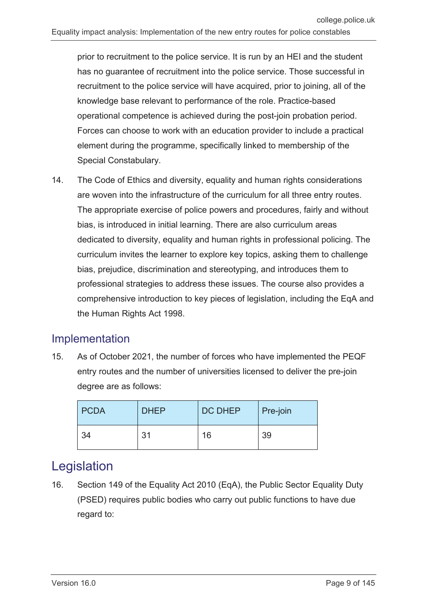prior to recruitment to the police service. It is run by an HEI and the student has no guarantee of recruitment into the police service. Those successful in recruitment to the police service will have acquired, prior to joining, all of the knowledge base relevant to performance of the role. Practice-based operational competence is achieved during the post-join probation period. Forces can choose to work with an education provider to include a practical element during the programme, specifically linked to membership of the Special Constabulary.

14. The Code of Ethics and diversity, equality and human rights considerations are woven into the infrastructure of the curriculum for all three entry routes. The appropriate exercise of police powers and procedures, fairly and without bias, is introduced in initial learning. There are also curriculum areas dedicated to diversity, equality and human rights in professional policing. The curriculum invites the learner to explore key topics, asking them to challenge bias, prejudice, discrimination and stereotyping, and introduces them to professional strategies to address these issues. The course also provides a comprehensive introduction to key pieces of legislation, including the EqA and the Human Rights Act 1998.

## <span id="page-8-0"></span>Implementation

15. As of October 2021, the number of forces who have implemented the PEQF entry routes and the number of universities licensed to deliver the pre-join degree are as follows:

| <b>PCDA</b> | <b>DHEP</b> | <b>DC DHEP</b> | Pre-join |
|-------------|-------------|----------------|----------|
| 34          | 31          | 16             | 39       |

## <span id="page-8-1"></span>Legislation

16. Section 149 of the Equality Act 2010 (EqA), the Public Sector Equality Duty (PSED) requires public bodies who carry out public functions to have due regard to: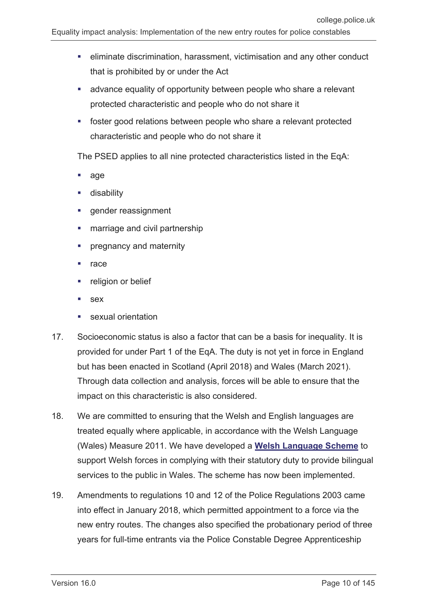- eliminate discrimination, harassment, victimisation and any other conduct that is prohibited by or under the Act
- advance equality of opportunity between people who share a relevant protected characteristic and people who do not share it
- foster good relations between people who share a relevant protected characteristic and people who do not share it

The PSED applies to all nine protected characteristics listed in the EqA:

- age
- disability
- gender reassignment
- **marriage and civil partnership**
- pregnancy and maternity
- race
- religion or belief
- sex
- sexual orientation
- 17. Socioeconomic status is also a factor that can be a basis for inequality. It is provided for under Part 1 of the EqA. The duty is not yet in force in England but has been enacted in Scotland (April 2018) and Wales (March 2021). Through data collection and analysis, forces will be able to ensure that the impact on this characteristic is also considered.
- 18. We are committed to ensuring that the Welsh and English languages are treated equally where applicable, in accordance with the Welsh Language (Wales) Measure 2011. We have developed a **[Welsh Language Scheme](https://assets.college.police.uk/s3fs-public/2021-06/welsh-language-scheme.pdf)** to support Welsh forces in complying with their statutory duty to provide bilingual services to the public in Wales. The scheme has now been implemented.
- 19. Amendments to regulations 10 and 12 of the Police Regulations 2003 came into effect in January 2018, which permitted appointment to a force via the new entry routes. The changes also specified the probationary period of three years for full-time entrants via the Police Constable Degree Apprenticeship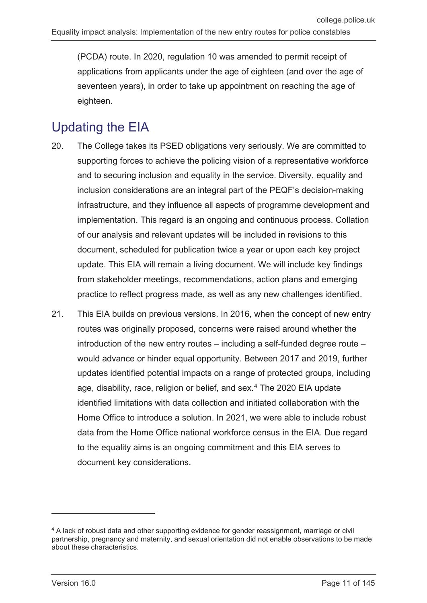(PCDA) route. In 2020, regulation 10 was amended to permit receipt of applications from applicants under the age of eighteen (and over the age of seventeen years), in order to take up appointment on reaching the age of eighteen.

## <span id="page-10-0"></span>Updating the EIA

- 20. The College takes its PSED obligations very seriously. We are committed to supporting forces to achieve the policing vision of a representative workforce and to securing inclusion and equality in the service. Diversity, equality and inclusion considerations are an integral part of the PEQF's decision-making infrastructure, and they influence all aspects of programme development and implementation. This regard is an ongoing and continuous process. Collation of our analysis and relevant updates will be included in revisions to this document, scheduled for publication twice a year or upon each key project update. This EIA will remain a living document. We will include key findings from stakeholder meetings, recommendations, action plans and emerging practice to reflect progress made, as well as any new challenges identified.
- 21. This EIA builds on previous versions. In 2016, when the concept of new entry routes was originally proposed, concerns were raised around whether the introduction of the new entry routes – including a self-funded degree route – would advance or hinder equal opportunity. Between 2017 and 2019, further updates identified potential impacts on a range of protected groups, including age, disability, race, religion or belief, and sex.<sup>[4](#page-10-1)</sup> The 2020 EIA update identified limitations with data collection and initiated collaboration with the Home Office to introduce a solution. In 2021, we were able to include robust data from the Home Office national workforce census in the EIA. Due regard to the equality aims is an ongoing commitment and this EIA serves to document key considerations.

<span id="page-10-1"></span><sup>4</sup> A lack of robust data and other supporting evidence for gender reassignment, marriage or civil partnership, pregnancy and maternity, and sexual orientation did not enable observations to be made about these characteristics.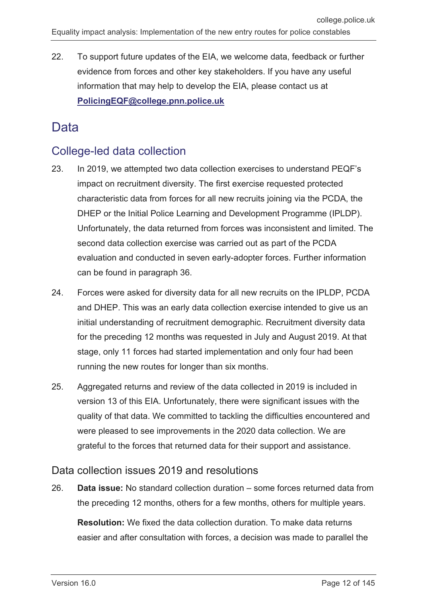22. To support future updates of the EIA, we welcome data, feedback or further evidence from forces and other key stakeholders. If you have any useful information that may help to develop the EIA, please contact us at **[PolicingEQF@college.pnn.police.uk](mailto:PolicingEQF@college.pnn.police.uk)**

## <span id="page-11-0"></span>Data

#### <span id="page-11-1"></span>College-led data collection

- 23. In 2019, we attempted two data collection exercises to understand PEQF's impact on recruitment diversity. The first exercise requested protected characteristic data from forces for all new recruits joining via the PCDA, the DHEP or the Initial Police Learning and Development Programme (IPLDP). Unfortunately, the data returned from forces was inconsistent and limited. The second data collection exercise was carried out as part of the PCDA evaluation and conducted in seven early-adopter forces. Further information can be found in paragraph 36.
- 24. Forces were asked for diversity data for all new recruits on the IPLDP, PCDA and DHEP. This was an early data collection exercise intended to give us an initial understanding of recruitment demographic. Recruitment diversity data for the preceding 12 months was requested in July and August 2019. At that stage, only 11 forces had started implementation and only four had been running the new routes for longer than six months.
- 25. Aggregated returns and review of the data collected in 2019 is included in version 13 of this EIA. Unfortunately, there were significant issues with the quality of that data. We committed to tackling the difficulties encountered and were pleased to see improvements in the 2020 data collection. We are grateful to the forces that returned data for their support and assistance.

#### Data collection issues 2019 and resolutions

26. **Data issue:** No standard collection duration – some forces returned data from the preceding 12 months, others for a few months, others for multiple years.

**Resolution:** We fixed the data collection duration. To make data returns easier and after consultation with forces, a decision was made to parallel the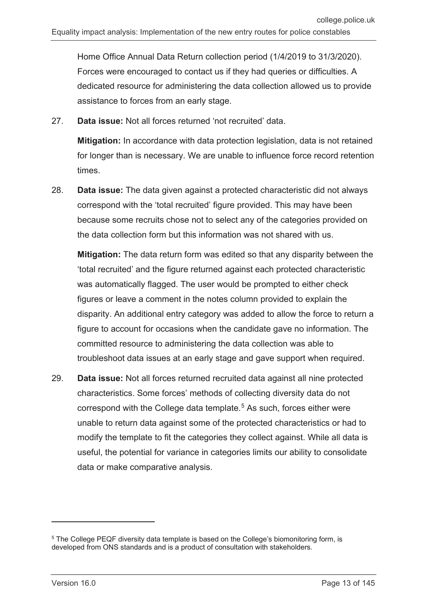Home Office Annual Data Return collection period (1/4/2019 to 31/3/2020). Forces were encouraged to contact us if they had queries or difficulties. A dedicated resource for administering the data collection allowed us to provide assistance to forces from an early stage.

27. **Data issue:** Not all forces returned 'not recruited' data.

**Mitigation:** In accordance with data protection legislation, data is not retained for longer than is necessary. We are unable to influence force record retention times.

28. **Data issue:** The data given against a protected characteristic did not always correspond with the 'total recruited' figure provided. This may have been because some recruits chose not to select any of the categories provided on the data collection form but this information was not shared with us.

**Mitigation:** The data return form was edited so that any disparity between the 'total recruited' and the figure returned against each protected characteristic was automatically flagged. The user would be prompted to either check figures or leave a comment in the notes column provided to explain the disparity. An additional entry category was added to allow the force to return a figure to account for occasions when the candidate gave no information. The committed resource to administering the data collection was able to troubleshoot data issues at an early stage and gave support when required.

29. **Data issue:** Not all forces returned recruited data against all nine protected characteristics. Some forces' methods of collecting diversity data do not correspond with the College data template.<sup>[5](#page-12-0)</sup> As such, forces either were unable to return data against some of the protected characteristics or had to modify the template to fit the categories they collect against. While all data is useful, the potential for variance in categories limits our ability to consolidate data or make comparative analysis.

 $\overline{a}$ 

<span id="page-12-0"></span><sup>&</sup>lt;sup>5</sup> The College PEQF diversity data template is based on the College's biomonitoring form, is developed from ONS standards and is a product of consultation with stakeholders.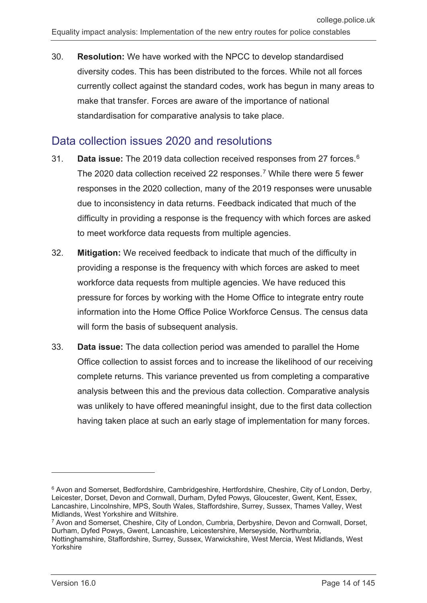currently collect against the standard codes, work has begun in many areas to make that transfer. Forces are aware of the importance of national standardisation for comparative analysis to take place.

### <span id="page-13-0"></span>Data collection issues 2020 and resolutions

- 31. **Data issue:** The 2019 data collection received responses from 27 forces.[6](#page-13-1) The 2020 data collection received 22 responses.<sup>[7](#page-13-2)</sup> While there were 5 fewer responses in the 2020 collection, many of the 2019 responses were unusable due to inconsistency in data returns. Feedback indicated that much of the difficulty in providing a response is the frequency with which forces are asked to meet workforce data requests from multiple agencies.
- 32. **Mitigation:** We received feedback to indicate that much of the difficulty in providing a response is the frequency with which forces are asked to meet workforce data requests from multiple agencies. We have reduced this pressure for forces by working with the Home Office to integrate entry route information into the Home Office Police Workforce Census. The census data will form the basis of subsequent analysis.
- 33. **Data issue:** The data collection period was amended to parallel the Home Office collection to assist forces and to increase the likelihood of our receiving complete returns. This variance prevented us from completing a comparative analysis between this and the previous data collection. Comparative analysis was unlikely to have offered meaningful insight, due to the first data collection having taken place at such an early stage of implementation for many forces.

 $\overline{a}$ 

<span id="page-13-1"></span><sup>&</sup>lt;sup>6</sup> Avon and Somerset, Bedfordshire, Cambridgeshire, Hertfordshire, Cheshire, City of London, Derby, Leicester, Dorset, Devon and Cornwall, Durham, Dyfed Powys, Gloucester, Gwent, Kent, Essex, Lancashire, Lincolnshire, MPS, South Wales, Staffordshire, Surrey, Sussex, Thames Valley, West Midlands, West Yorkshire and Wiltshire.

<span id="page-13-2"></span><sup>7</sup> Avon and Somerset, Cheshire, City of London, Cumbria, Derbyshire, Devon and Cornwall, Dorset, Durham, Dyfed Powys, Gwent, Lancashire, Leicestershire, Merseyside, Northumbria, Nottinghamshire, Staffordshire, Surrey, Sussex, Warwickshire, West Mercia, West Midlands, West Yorkshire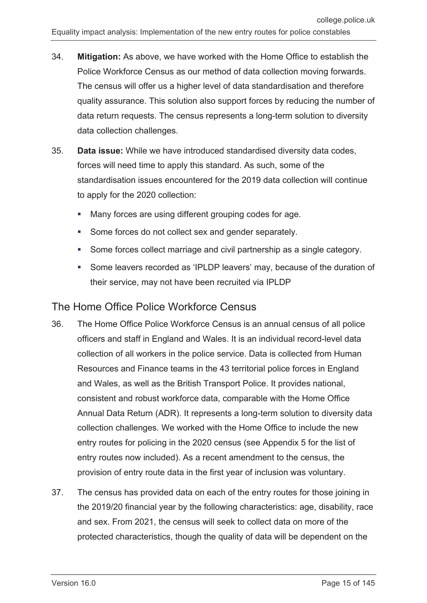- 34. **Mitigation:** As above, we have worked with the Home Office to establish the Police Workforce Census as our method of data collection moving forwards. The census will offer us a higher level of data standardisation and therefore quality assurance. This solution also support forces by reducing the number of data return requests. The census represents a long-term solution to diversity data collection challenges.
- 35. **Data issue:** While we have introduced standardised diversity data codes, forces will need time to apply this standard. As such, some of the standardisation issues encountered for the 2019 data collection will continue to apply for the 2020 collection:
	- Many forces are using different grouping codes for age.
	- Some forces do not collect sex and gender separately.
	- Some forces collect marriage and civil partnership as a single category.
	- Some leavers recorded as 'IPLDP leavers' may, because of the duration of their service, may not have been recruited via IPLDP

#### The Home Office Police Workforce Census

- 36. The Home Office Police Workforce Census is an annual census of all police officers and staff in England and Wales. It is an individual record-level data collection of all workers in the police service. Data is collected from Human Resources and Finance teams in the 43 territorial police forces in England and Wales, as well as the British Transport Police. It provides national, consistent and robust workforce data, comparable with the Home Office Annual Data Return (ADR). It represents a long-term solution to diversity data collection challenges. We worked with the Home Office to include the new entry routes for policing in the 2020 census (see Appendix 5 for the list of entry routes now included). As a recent amendment to the census, the provision of entry route data in the first year of inclusion was voluntary.
- 37. The census has provided data on each of the entry routes for those joining in the 2019/20 financial year by the following characteristics: age, disability, race and sex. From 2021, the census will seek to collect data on more of the protected characteristics, though the quality of data will be dependent on the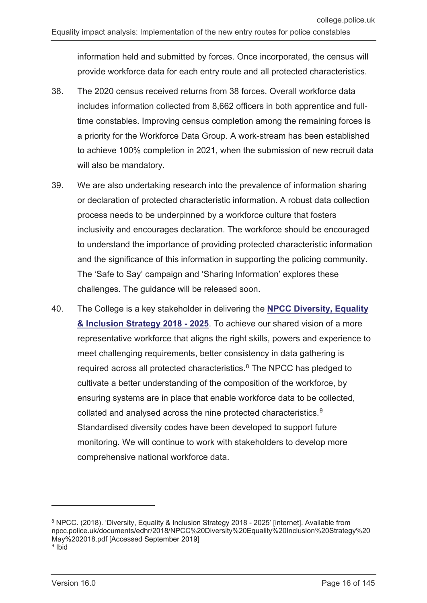information held and submitted by forces. Once incorporated, the census will provide workforce data for each entry route and all protected characteristics.

- 38. The 2020 census received returns from 38 forces. Overall workforce data includes information collected from 8,662 officers in both apprentice and fulltime constables. Improving census completion among the remaining forces is a priority for the Workforce Data Group. A work-stream has been established to achieve 100% completion in 2021, when the submission of new recruit data will also be mandatory.
- 39. We are also undertaking research into the prevalence of information sharing or declaration of protected characteristic information. A robust data collection process needs to be underpinned by a workforce culture that fosters inclusivity and encourages declaration. The workforce should be encouraged to understand the importance of providing protected characteristic information and the significance of this information in supporting the policing community. The 'Safe to Say' campaign and 'Sharing Information' explores these challenges. The guidance will be released soon.
- 40. The College is a key stakeholder in delivering the **[NPCC Diversity, Equality](https://www.npcc.police.uk/documents/edhr/2018/NPCC%20Diversity%20Equality%20Inclusion%20Strategy%20May%202018.pdf)  [& Inclusion Strategy 2018 -](https://www.npcc.police.uk/documents/edhr/2018/NPCC%20Diversity%20Equality%20Inclusion%20Strategy%20May%202018.pdf) 2025**. To achieve our shared vision of a more representative workforce that aligns the right skills, powers and experience to meet challenging requirements, better consistency in data gathering is required across all protected characteristics.<sup>[8](#page-15-0)</sup> The NPCC has pledged to cultivate a better understanding of the composition of the workforce, by ensuring systems are in place that enable workforce data to be collected, collated and analysed across the nine protected characteristics.[9](#page-15-1) Standardised diversity codes have been developed to support future monitoring. We will continue to work with stakeholders to develop more comprehensive national workforce data.

<span id="page-15-1"></span><span id="page-15-0"></span><sup>8</sup> NPCC. (2018). 'Diversity, Equality & Inclusion Strategy 2018 - 2025' [internet]. Available from npcc.police.uk/documents/edhr/2018/NPCC%20Diversity%20Equality%20Inclusion%20Strategy%20 May%202018.pdf [Accessed September 2019]  $9$  Ibid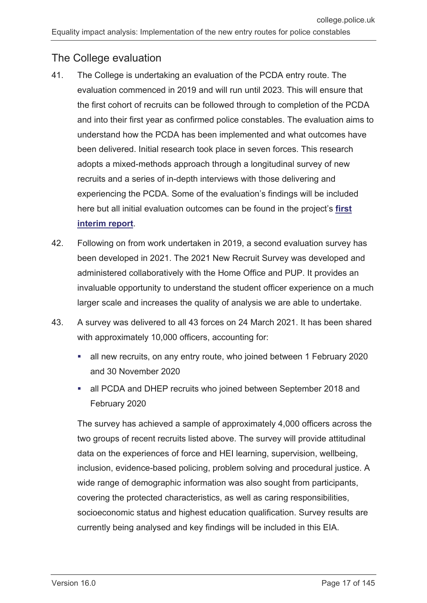#### The College evaluation

- 41. The College is undertaking an evaluation of the PCDA entry route. The evaluation commenced in 2019 and will run until 2023. This will ensure that the first cohort of recruits can be followed through to completion of the PCDA and into their first year as confirmed police constables. The evaluation aims to understand how the PCDA has been implemented and what outcomes have been delivered. Initial research took place in seven forces. This research adopts a mixed-methods approach through a longitudinal survey of new recruits and a series of in-depth interviews with those delivering and experiencing the PCDA. Some of the evaluation's findings will be included here but all initial evaluation outcomes can be found in the project's **[first](https://whatworks.college.police.uk/Research/Documents/PCDA_evaluation.pdf)  [interim report](https://whatworks.college.police.uk/Research/Documents/PCDA_evaluation.pdf)**.
- 42. Following on from work undertaken in 2019, a second evaluation survey has been developed in 2021. The 2021 New Recruit Survey was developed and administered collaboratively with the Home Office and PUP. It provides an invaluable opportunity to understand the student officer experience on a much larger scale and increases the quality of analysis we are able to undertake.
- 43. A survey was delivered to all 43 forces on 24 March 2021. It has been shared with approximately 10,000 officers, accounting for:
	- all new recruits, on any entry route, who joined between 1 February 2020 and 30 November 2020
	- all PCDA and DHEP recruits who joined between September 2018 and February 2020

The survey has achieved a sample of approximately 4,000 officers across the two groups of recent recruits listed above. The survey will provide attitudinal data on the experiences of force and HEI learning, supervision, wellbeing, inclusion, evidence-based policing, problem solving and procedural justice. A wide range of demographic information was also sought from participants, covering the protected characteristics, as well as caring responsibilities, socioeconomic status and highest education qualification. Survey results are currently being analysed and key findings will be included in this EIA.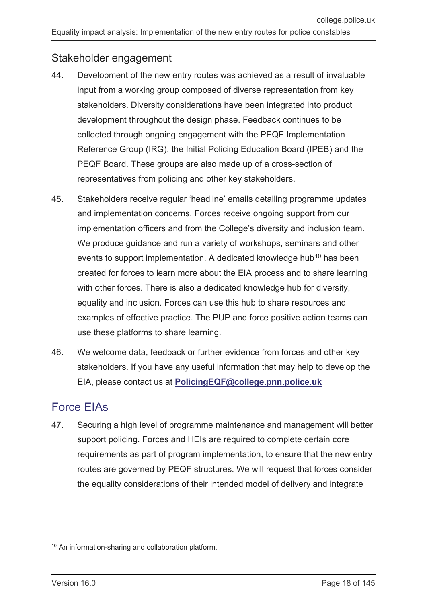#### Stakeholder engagement

- 44. Development of the new entry routes was achieved as a result of invaluable input from a working group composed of diverse representation from key stakeholders. Diversity considerations have been integrated into product development throughout the design phase. Feedback continues to be collected through ongoing engagement with the PEQF Implementation Reference Group (IRG), the Initial Policing Education Board (IPEB) and the PEQF Board. These groups are also made up of a cross-section of representatives from policing and other key stakeholders.
- 45. Stakeholders receive regular 'headline' emails detailing programme updates and implementation concerns. Forces receive ongoing support from our implementation officers and from the College's diversity and inclusion team. We produce guidance and run a variety of workshops, seminars and other events to support implementation. A dedicated knowledge hub<sup>[10](#page-17-1)</sup> has been created for forces to learn more about the EIA process and to share learning with other forces. There is also a dedicated knowledge hub for diversity, equality and inclusion. Forces can use this hub to share resources and examples of effective practice. The PUP and force positive action teams can use these platforms to share learning.
- 46. We welcome data, feedback or further evidence from forces and other key stakeholders. If you have any useful information that may help to develop the EIA, please contact us at **[PolicingEQF@college.pnn.police.uk](mailto:PolicingEQF@college.pnn.police.uk)**

## <span id="page-17-0"></span>Force EIAs

47. Securing a high level of programme maintenance and management will better support policing. Forces and HEIs are required to complete certain core requirements as part of program implementation, to ensure that the new entry routes are governed by PEQF structures. We will request that forces consider the equality considerations of their intended model of delivery and integrate

<span id="page-17-1"></span><sup>10</sup> An information-sharing and collaboration platform.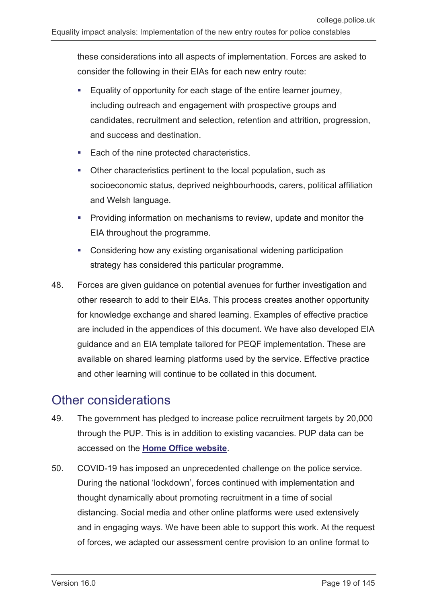these considerations into all aspects of implementation. Forces are asked to consider the following in their EIAs for each new entry route:

- Equality of opportunity for each stage of the entire learner journey, including outreach and engagement with prospective groups and candidates, recruitment and selection, retention and attrition, progression, and success and destination.
- Each of the nine protected characteristics.
- Other characteristics pertinent to the local population, such as socioeconomic status, deprived neighbourhoods, carers, political affiliation and Welsh language.
- Providing information on mechanisms to review, update and monitor the EIA throughout the programme.
- Considering how any existing organisational widening participation strategy has considered this particular programme.
- 48. Forces are given guidance on potential avenues for further investigation and other research to add to their EIAs. This process creates another opportunity for knowledge exchange and shared learning. Examples of effective practice are included in the appendices of this document. We have also developed EIA guidance and an EIA template tailored for PEQF implementation. These are available on shared learning platforms used by the service. Effective practice and other learning will continue to be collated in this document.

## <span id="page-18-0"></span>Other considerations

- 49. The government has pledged to increase police recruitment targets by 20,000 through the PUP. This is in addition to existing vacancies. PUP data can be accessed on the **[Home Office website](https://www.gov.uk/government/statistics/police-officer-uplift-quarterly-update-to-march-2021/police-officer-uplift-england-and-wales-quarterly-update-to-31-march-2021)**.
- 50. COVID-19 has imposed an unprecedented challenge on the police service. During the national 'lockdown', forces continued with implementation and thought dynamically about promoting recruitment in a time of social distancing. Social media and other online platforms were used extensively and in engaging ways. We have been able to support this work. At the request of forces, we adapted our assessment centre provision to an online format to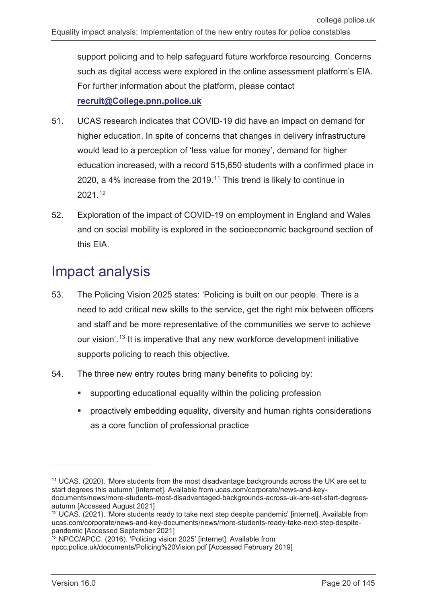support policing and to help safeguard future workforce resourcing. Concerns such as digital access were explored in the online assessment platform's EIA. For further information about the platform, please contact **[recruit@College.pnn.police.uk](mailto:recruit@College.pnn.police.uk)**

- 51. UCAS research indicates that COVID-19 did have an impact on demand for higher education. In spite of concerns that changes in delivery infrastructure would lead to a perception of 'less value for money', demand for higher education increased, with a record 515,650 students with a confirmed place in 2020, a 4% increase from the 2019.[11](#page-19-1) This trend is likely to continue in 2021.[12](#page-19-2)
- 52. Exploration of the impact of COVID-19 on employment in England and Wales and on social mobility is explored in the socioeconomic background section of this EIA.

# <span id="page-19-0"></span>Impact analysis

- 53. The Policing Vision 2025 states: 'Policing is built on our people. There is a need to add critical new skills to the service, get the right mix between officers and staff and be more representative of the communities we serve to achieve our vision'. [13](#page-19-3) It is imperative that any new workforce development initiative supports policing to reach this objective.
- 54. The three new entry routes bring many benefits to policing by:
	- supporting educational equality within the policing profession
	- proactively embedding equality, diversity and human rights considerations as a core function of professional practice

<span id="page-19-1"></span><sup>&</sup>lt;sup>11</sup> UCAS. (2020). 'More students from the most disadvantage backgrounds across the UK are set to start degrees this autumn' [internet]. Available from ucas.com/corporate/news-and-keydocuments/news/more-students-most-disadvantaged-backgrounds-across-uk-are-set-start-degreesautumn [Accessed August 2021]

<span id="page-19-2"></span><sup>12</sup> UCAS. (2021). 'More students ready to take next step despite pandemic' [internet]. Available from ucas.com/corporate/news-and-key-documents/news/more-students-ready-take-next-step-despitepandemic [Accessed September 2021]

<span id="page-19-3"></span><sup>&</sup>lt;sup>13</sup> NPCC/APCC. (2016). 'Policing vision 2025' [internet]. Available from npcc.police.uk/documents/Policing%20Vision.pdf [Accessed February 2019]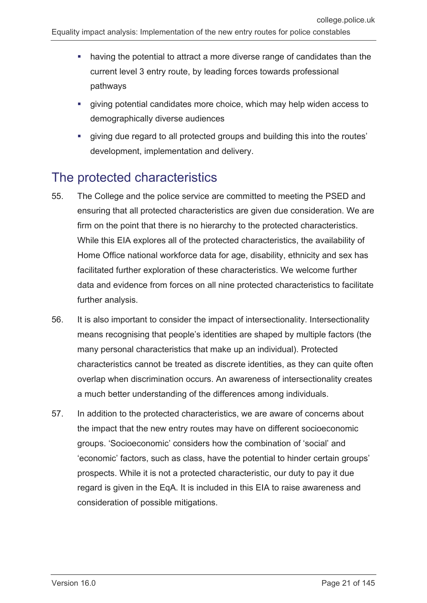- having the potential to attract a more diverse range of candidates than the current level 3 entry route, by leading forces towards professional pathways
- giving potential candidates more choice, which may help widen access to demographically diverse audiences
- giving due regard to all protected groups and building this into the routes' development, implementation and delivery.

## <span id="page-20-0"></span>The protected characteristics

- 55. The College and the police service are committed to meeting the PSED and ensuring that all protected characteristics are given due consideration. We are firm on the point that there is no hierarchy to the protected characteristics. While this EIA explores all of the protected characteristics, the availability of Home Office national workforce data for age, disability, ethnicity and sex has facilitated further exploration of these characteristics. We welcome further data and evidence from forces on all nine protected characteristics to facilitate further analysis.
- 56. It is also important to consider the impact of intersectionality. Intersectionality means recognising that people's identities are shaped by multiple factors (the many personal characteristics that make up an individual). Protected characteristics cannot be treated as discrete identities, as they can quite often overlap when discrimination occurs. An awareness of intersectionality creates a much better understanding of the differences among individuals.
- 57. In addition to the protected characteristics, we are aware of concerns about the impact that the new entry routes may have on different socioeconomic groups. 'Socioeconomic' considers how the combination of 'social' and 'economic' factors, such as class, have the potential to hinder certain groups' prospects. While it is not a protected characteristic, our duty to pay it due regard is given in the EqA. It is included in this EIA to raise awareness and consideration of possible mitigations.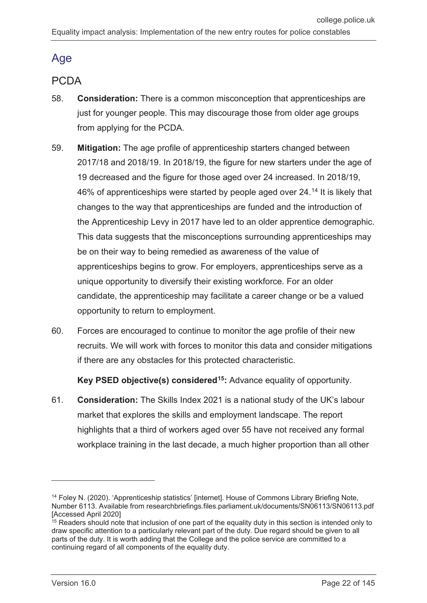## <span id="page-21-0"></span>Age

### PCDA

- 58. **Consideration:** There is a common misconception that apprenticeships are just for younger people. This may discourage those from older age groups from applying for the PCDA.
- 59. **Mitigation:** The age profile of apprenticeship starters changed between 2017/18 and 2018/19. In 2018/19, the figure for new starters under the age of 19 decreased and the figure for those aged over 24 increased. In 2018/19, 46% of apprenticeships were started by people aged over 24.[14](#page-21-1) It is likely that changes to the way that apprenticeships are funded and the introduction of the Apprenticeship Levy in 2017 have led to an older apprentice demographic. This data suggests that the misconceptions surrounding apprenticeships may be on their way to being remedied as awareness of the value of apprenticeships begins to grow. For employers, apprenticeships serve as a unique opportunity to diversify their existing workforce. For an older candidate, the apprenticeship may facilitate a career change or be a valued opportunity to return to employment.
- 60. Forces are encouraged to continue to monitor the age profile of their new recruits. We will work with forces to monitor this data and consider mitigations if there are any obstacles for this protected characteristic.

**Key PSED objective(s) considered[15:](#page-21-2)** Advance equality of opportunity.

61. **Consideration:** The Skills Index 2021 is a national study of the UK's labour market that explores the skills and employment landscape. The report highlights that a third of workers aged over 55 have not received any formal workplace training in the last decade, a much higher proportion than all other

<span id="page-21-1"></span><sup>&</sup>lt;sup>14</sup> Foley N. (2020). 'Apprenticeship statistics' [internet]. House of Commons Library Briefing Note, Number 6113. Available from researchbriefings.files.parliament.uk/documents/SN06113/SN06113.pdf [Accessed April 2020]

<span id="page-21-2"></span><sup>&</sup>lt;sup>15</sup> Readers should note that inclusion of one part of the equality duty in this section is intended only to draw specific attention to a particularly relevant part of the duty. Due regard should be given to all parts of the duty. It is worth adding that the College and the police service are committed to a continuing regard of all components of the equality duty.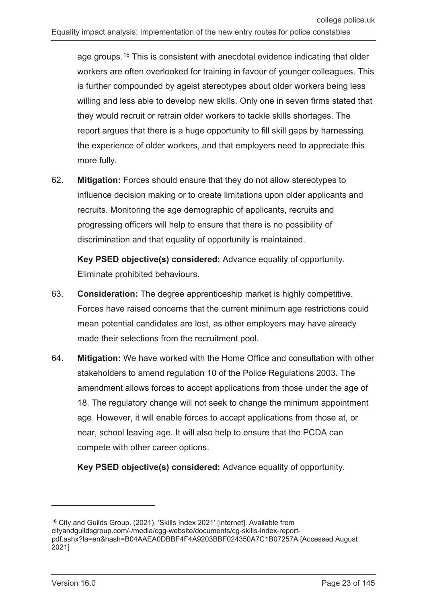age groups.[16](#page-22-0) This is consistent with anecdotal evidence indicating that older workers are often overlooked for training in favour of younger colleagues. This is further compounded by ageist stereotypes about older workers being less willing and less able to develop new skills. Only one in seven firms stated that they would recruit or retrain older workers to tackle skills shortages. The report argues that there is a huge opportunity to fill skill gaps by harnessing the experience of older workers, and that employers need to appreciate this more fully.

62. **Mitigation:** Forces should ensure that they do not allow stereotypes to influence decision making or to create limitations upon older applicants and recruits. Monitoring the age demographic of applicants, recruits and progressing officers will help to ensure that there is no possibility of discrimination and that equality of opportunity is maintained.

**Key PSED objective(s) considered:** Advance equality of opportunity. Eliminate prohibited behaviours.

- 63. **Consideration:** The degree apprenticeship market is highly competitive. Forces have raised concerns that the current minimum age restrictions could mean potential candidates are lost, as other employers may have already made their selections from the recruitment pool.
- 64. **Mitigation:** We have worked with the Home Office and consultation with other stakeholders to amend regulation 10 of the Police Regulations 2003. The amendment allows forces to accept applications from those under the age of 18. The regulatory change will not seek to change the minimum appointment age. However, it will enable forces to accept applications from those at, or near, school leaving age. It will also help to ensure that the PCDA can compete with other career options.

**Key PSED objective(s) considered:** Advance equality of opportunity.

<span id="page-22-0"></span><sup>16</sup> City and Guilds Group. (2021). 'Skills Index 2021' [internet]. Available from cityandguildsgroup.com/-/media/cgg-website/documents/cg-skills-index-reportpdf.ashx?la=en&hash=B04AAEA0DBBF4F4A9203BBF024350A7C1B07257A [Accessed August 2021]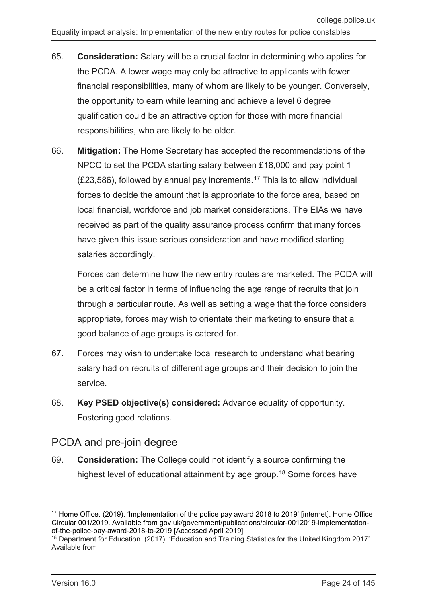- 65. **Consideration:** Salary will be a crucial factor in determining who applies for the PCDA. A lower wage may only be attractive to applicants with fewer financial responsibilities, many of whom are likely to be younger. Conversely, the opportunity to earn while learning and achieve a level 6 degree qualification could be an attractive option for those with more financial responsibilities, who are likely to be older.
- 66. **Mitigation:** The Home Secretary has accepted the recommendations of the NPCC to set the PCDA starting salary between £18,000 and pay point 1  $(E23,586)$ , followed by annual pay increments.<sup>[17](#page-23-0)</sup> This is to allow individual forces to decide the amount that is appropriate to the force area, based on local financial, workforce and job market considerations. The EIAs we have received as part of the quality assurance process confirm that many forces have given this issue serious consideration and have modified starting salaries accordingly.

Forces can determine how the new entry routes are marketed. The PCDA will be a critical factor in terms of influencing the age range of recruits that join through a particular route. As well as setting a wage that the force considers appropriate, forces may wish to orientate their marketing to ensure that a good balance of age groups is catered for.

- 67. Forces may wish to undertake local research to understand what bearing salary had on recruits of different age groups and their decision to join the service.
- 68. **Key PSED objective(s) considered:** Advance equality of opportunity. Fostering good relations.

#### PCDA and pre-join degree

69. **Consideration:** The College could not identify a source confirming the highest level of educational attainment by age group.<sup>[18](#page-23-1)</sup> Some forces have

 $\overline{a}$ 

<span id="page-23-0"></span><sup>&</sup>lt;sup>17</sup> Home Office. (2019). 'Implementation of the police pay award 2018 to 2019' [internet]. Home Office Circular 001/2019. Available from gov.uk/government/publications/circular-0012019-implementationof-the-police-pay-award-2018-to-2019 [Accessed April 2019]

<span id="page-23-1"></span><sup>18</sup> Department for Education. (2017). 'Education and Training Statistics for the United Kingdom 2017'. Available from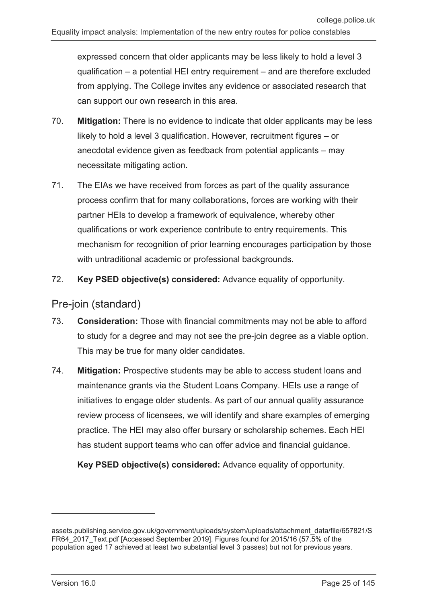expressed concern that older applicants may be less likely to hold a level 3 qualification – a potential HEI entry requirement – and are therefore excluded from applying. The College invites any evidence or associated research that can support our own research in this area.

- 70. **Mitigation:** There is no evidence to indicate that older applicants may be less likely to hold a level 3 qualification. However, recruitment figures – or anecdotal evidence given as feedback from potential applicants – may necessitate mitigating action.
- 71. The EIAs we have received from forces as part of the quality assurance process confirm that for many collaborations, forces are working with their partner HEIs to develop a framework of equivalence, whereby other qualifications or work experience contribute to entry requirements. This mechanism for recognition of prior learning encourages participation by those with untraditional academic or professional backgrounds.
- 72. **Key PSED objective(s) considered:** Advance equality of opportunity.

#### Pre-join (standard)

- 73. **Consideration:** Those with financial commitments may not be able to afford to study for a degree and may not see the pre-join degree as a viable option. This may be true for many older candidates.
- 74. **Mitigation:** Prospective students may be able to access student loans and maintenance grants via the Student Loans Company. HEIs use a range of initiatives to engage older students. As part of our annual quality assurance review process of licensees, we will identify and share examples of emerging practice. The HEI may also offer bursary or scholarship schemes. Each HEI has student support teams who can offer advice and financial guidance.

**Key PSED objective(s) considered:** Advance equality of opportunity.

assets.publishing.service.gov.uk/government/uploads/system/uploads/attachment\_data/file/657821/S FR64\_2017\_Text.pdf [Accessed September 2019]. Figures found for 2015/16 (57.5% of the population aged 17 achieved at least two substantial level 3 passes) but not for previous years.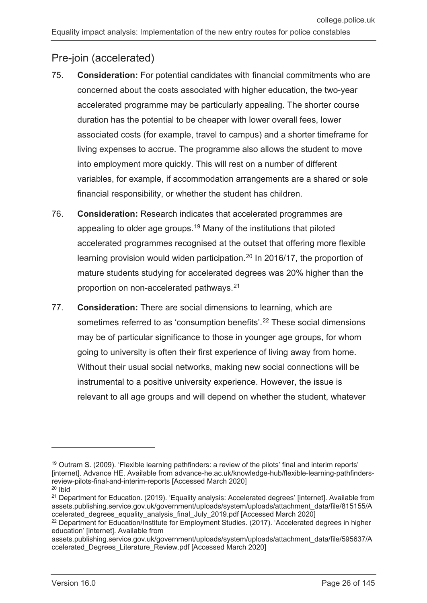#### Pre-join (accelerated)

- 75. **Consideration:** For potential candidates with financial commitments who are concerned about the costs associated with higher education, the two-year accelerated programme may be particularly appealing. The shorter course duration has the potential to be cheaper with lower overall fees, lower associated costs (for example, travel to campus) and a shorter timeframe for living expenses to accrue. The programme also allows the student to move into employment more quickly. This will rest on a number of different variables, for example, if accommodation arrangements are a shared or sole financial responsibility, or whether the student has children.
- 76. **Consideration:** Research indicates that accelerated programmes are appealing to older age groups.[19](#page-25-0) Many of the institutions that piloted accelerated programmes recognised at the outset that offering more flexible learning provision would widen participation.<sup>[20](#page-25-1)</sup> In 2016/17, the proportion of mature students studying for accelerated degrees was 20% higher than the proportion on non-accelerated pathways.[21](#page-25-2)
- 77. **Consideration:** There are social dimensions to learning, which are sometimes referred to as 'consumption benefits'. [22](#page-25-3) These social dimensions may be of particular significance to those in younger age groups, for whom going to university is often their first experience of living away from home. Without their usual social networks, making new social connections will be instrumental to a positive university experience. However, the issue is relevant to all age groups and will depend on whether the student, whatever

<span id="page-25-0"></span><sup>&</sup>lt;sup>19</sup> Outram S. (2009). 'Flexible learning pathfinders: a review of the pilots' final and interim reports' [internet]. Advance HE. Available from advance-he.ac.uk/knowledge-hub/flexible-learning-pathfindersreview-pilots-final-and-interim-reports [Accessed March 2020] <sup>20</sup> Ibid

<span id="page-25-2"></span><span id="page-25-1"></span><sup>&</sup>lt;sup>21</sup> Department for Education. (2019). 'Equality analysis: Accelerated degrees' [internet]. Available from assets.publishing.service.gov.uk/government/uploads/system/uploads/attachment\_data/file/815155/A ccelerated\_degrees\_equality\_analysis\_final\_July\_2019.pdf [Accessed March 2020]

<span id="page-25-3"></span><sup>&</sup>lt;sup>22</sup> Department for Education/Institute for Employment Studies. (2017). 'Accelerated degrees in higher education' [internet]. Available from

assets.publishing.service.gov.uk/government/uploads/system/uploads/attachment\_data/file/595637/A ccelerated\_Degrees\_Literature\_Review.pdf [Accessed March 2020]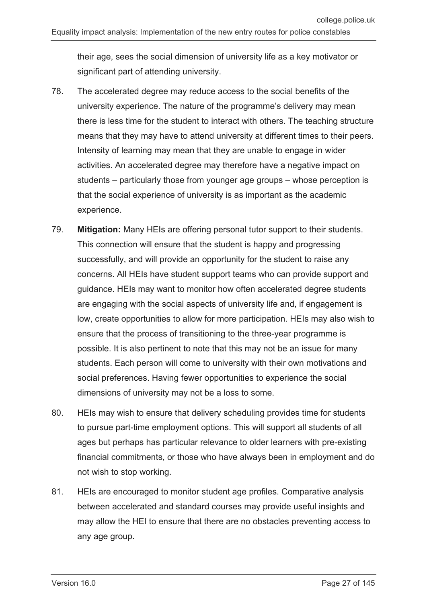their age, sees the social dimension of university life as a key motivator or significant part of attending university.

- 78. The accelerated degree may reduce access to the social benefits of the university experience. The nature of the programme's delivery may mean there is less time for the student to interact with others. The teaching structure means that they may have to attend university at different times to their peers. Intensity of learning may mean that they are unable to engage in wider activities. An accelerated degree may therefore have a negative impact on students – particularly those from younger age groups – whose perception is that the social experience of university is as important as the academic experience.
- 79. **Mitigation:** Many HEIs are offering personal tutor support to their students. This connection will ensure that the student is happy and progressing successfully, and will provide an opportunity for the student to raise any concerns. All HEIs have student support teams who can provide support and guidance. HEIs may want to monitor how often accelerated degree students are engaging with the social aspects of university life and, if engagement is low, create opportunities to allow for more participation. HEIs may also wish to ensure that the process of transitioning to the three-year programme is possible. It is also pertinent to note that this may not be an issue for many students. Each person will come to university with their own motivations and social preferences. Having fewer opportunities to experience the social dimensions of university may not be a loss to some.
- 80. HEIs may wish to ensure that delivery scheduling provides time for students to pursue part-time employment options. This will support all students of all ages but perhaps has particular relevance to older learners with pre-existing financial commitments, or those who have always been in employment and do not wish to stop working.
- 81. HEIs are encouraged to monitor student age profiles. Comparative analysis between accelerated and standard courses may provide useful insights and may allow the HEI to ensure that there are no obstacles preventing access to any age group.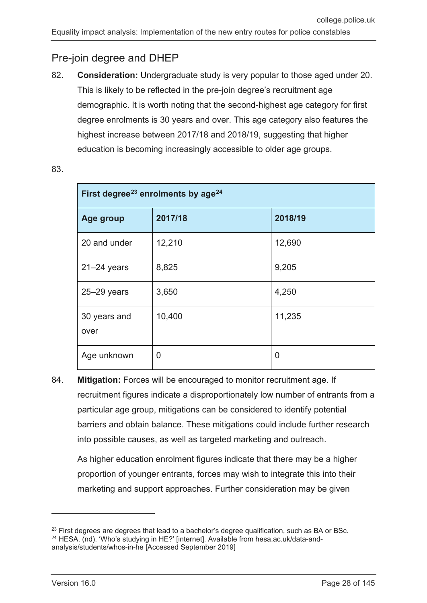#### Pre-join degree and DHEP

82. **Consideration:** Undergraduate study is very popular to those aged under 20. This is likely to be reflected in the pre-join degree's recruitment age demographic. It is worth noting that the second-highest age category for first degree enrolments is 30 years and over. This age category also features the highest increase between 2017/18 and 2018/19, suggesting that higher education is becoming increasingly accessible to older age groups.

| First degree <sup>23</sup> enrolments by age <sup>24</sup> |         |         |  |
|------------------------------------------------------------|---------|---------|--|
| Age group                                                  | 2017/18 | 2018/19 |  |
| 20 and under                                               | 12,210  | 12,690  |  |
| $21 - 24$ years                                            | 8,825   | 9,205   |  |
| $25 - 29$ years                                            | 3,650   | 4,250   |  |
| 30 years and<br>over                                       | 10,400  | 11,235  |  |
| Age unknown                                                | 0       | 0       |  |

83.

84. **Mitigation:** Forces will be encouraged to monitor recruitment age. If recruitment figures indicate a disproportionately low number of entrants from a particular age group, mitigations can be considered to identify potential barriers and obtain balance. These mitigations could include further research into possible causes, as well as targeted marketing and outreach.

As higher education enrolment figures indicate that there may be a higher proportion of younger entrants, forces may wish to integrate this into their marketing and support approaches. Further consideration may be given

<span id="page-27-1"></span><span id="page-27-0"></span> $^{23}$  First degrees are degrees that lead to a bachelor's degree qualification, such as BA or BSc. <sup>24</sup> HESA. (nd). 'Who's studying in HE?' [internet]. Available from hesa.ac.uk/data-andanalysis/students/whos-in-he [Accessed September 2019]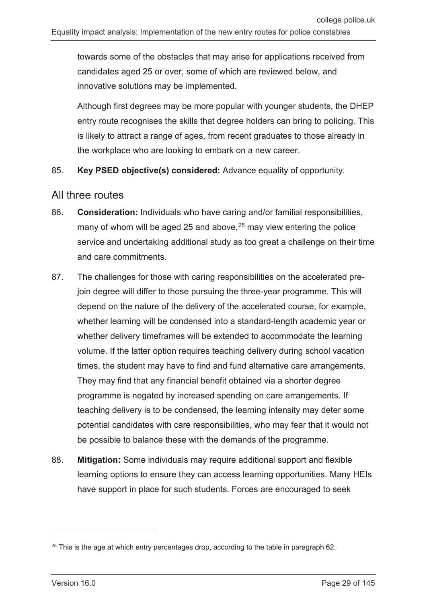towards some of the obstacles that may arise for applications received from candidates aged 25 or over, some of which are reviewed below, and innovative solutions may be implemented.

Although first degrees may be more popular with younger students, the DHEP entry route recognises the skills that degree holders can bring to policing. This is likely to attract a range of ages, from recent graduates to those already in the workplace who are looking to embark on a new career.

#### 85. **Key PSED objective(s) considered:** Advance equality of opportunity.

#### All three routes

- 86. **Consideration:** Individuals who have caring and/or familial responsibilities, many of whom will be aged 25 and above, [25](#page-28-0) may view entering the police service and undertaking additional study as too great a challenge on their time and care commitments.
- 87. The challenges for those with caring responsibilities on the accelerated prejoin degree will differ to those pursuing the three-year programme. This will depend on the nature of the delivery of the accelerated course, for example, whether learning will be condensed into a standard-length academic year or whether delivery timeframes will be extended to accommodate the learning volume. If the latter option requires teaching delivery during school vacation times, the student may have to find and fund alternative care arrangements. They may find that any financial benefit obtained via a shorter degree programme is negated by increased spending on care arrangements. If teaching delivery is to be condensed, the learning intensity may deter some potential candidates with care responsibilities, who may fear that it would not be possible to balance these with the demands of the programme.
- 88. **Mitigation:** Some individuals may require additional support and flexible learning options to ensure they can access learning opportunities. Many HEIs have support in place for such students. Forces are encouraged to seek

<span id="page-28-0"></span> $25$  This is the age at which entry percentages drop, according to the table in paragraph 62.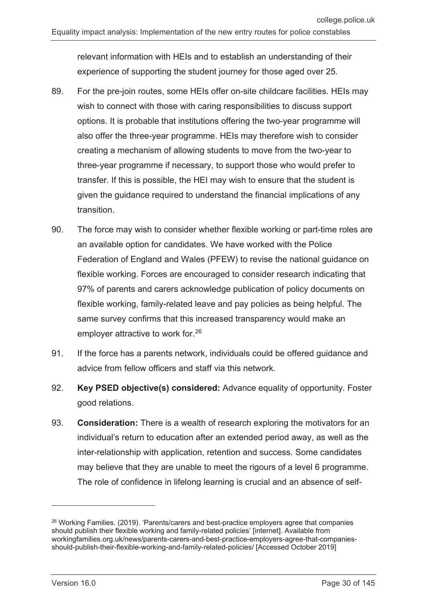relevant information with HEIs and to establish an understanding of their experience of supporting the student journey for those aged over 25.

- 89. For the pre-join routes, some HEIs offer on-site childcare facilities. HEIs may wish to connect with those with caring responsibilities to discuss support options. It is probable that institutions offering the two-year programme will also offer the three-year programme. HEIs may therefore wish to consider creating a mechanism of allowing students to move from the two-year to three-year programme if necessary, to support those who would prefer to transfer. If this is possible, the HEI may wish to ensure that the student is given the guidance required to understand the financial implications of any transition.
- 90. The force may wish to consider whether flexible working or part-time roles are an available option for candidates. We have worked with the Police Federation of England and Wales (PFEW) to revise the national guidance on flexible working. Forces are encouraged to consider research indicating that 97% of parents and carers acknowledge publication of policy documents on flexible working, family-related leave and pay policies as being helpful. The same survey confirms that this increased transparency would make an employer attractive to work for.[26](#page-29-0)
- 91. If the force has a parents network, individuals could be offered guidance and advice from fellow officers and staff via this network.
- 92. **Key PSED objective(s) considered:** Advance equality of opportunity. Foster good relations.
- 93. **Consideration:** There is a wealth of research exploring the motivators for an individual's return to education after an extended period away, as well as the inter-relationship with application, retention and success. Some candidates may believe that they are unable to meet the rigours of a level 6 programme. The role of confidence in lifelong learning is crucial and an absence of self-

<span id="page-29-0"></span><sup>&</sup>lt;sup>26</sup> Working Families. (2019). 'Parents/carers and best-practice employers agree that companies should publish their flexible working and family-related policies' [internet]. Available from workingfamilies.org.uk/news/parents-carers-and-best-practice-employers-agree-that-companiesshould-publish-their-flexible-working-and-family-related-policies/ [Accessed October 2019]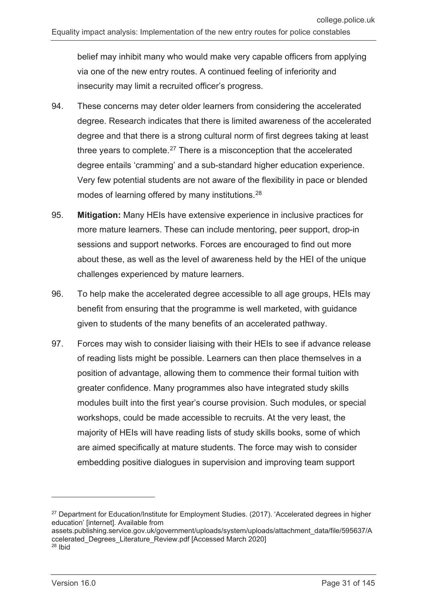belief may inhibit many who would make very capable officers from applying via one of the new entry routes. A continued feeling of inferiority and insecurity may limit a recruited officer's progress.

- 94. These concerns may deter older learners from considering the accelerated degree. Research indicates that there is limited awareness of the accelerated degree and that there is a strong cultural norm of first degrees taking at least three years to complete. $27$  There is a misconception that the accelerated degree entails 'cramming' and a sub-standard higher education experience. Very few potential students are not aware of the flexibility in pace or blended modes of learning offered by many institutions.<sup>[28](#page-30-1)</sup>
- 95. **Mitigation:** Many HEIs have extensive experience in inclusive practices for more mature learners. These can include mentoring, peer support, drop-in sessions and support networks. Forces are encouraged to find out more about these, as well as the level of awareness held by the HEI of the unique challenges experienced by mature learners.
- 96. To help make the accelerated degree accessible to all age groups, HEIs may benefit from ensuring that the programme is well marketed, with guidance given to students of the many benefits of an accelerated pathway.
- 97. Forces may wish to consider liaising with their HEIs to see if advance release of reading lists might be possible. Learners can then place themselves in a position of advantage, allowing them to commence their formal tuition with greater confidence. Many programmes also have integrated study skills modules built into the first year's course provision. Such modules, or special workshops, could be made accessible to recruits. At the very least, the majority of HEIs will have reading lists of study skills books, some of which are aimed specifically at mature students. The force may wish to consider embedding positive dialogues in supervision and improving team support

 $\overline{a}$ 

<span id="page-30-0"></span><sup>&</sup>lt;sup>27</sup> Department for Education/Institute for Employment Studies. (2017). 'Accelerated degrees in higher education' linternet]. Available from

assets.publishing.service.gov.uk/government/uploads/system/uploads/attachment\_data/file/595637/A ccelerated\_Degrees\_Literature\_Review.pdf [Accessed March 2020]

<span id="page-30-1"></span><sup>28</sup> Ibid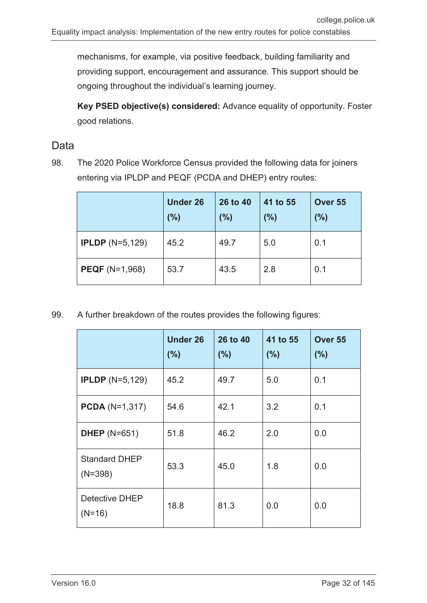mechanisms, for example, via positive feedback, building familiarity and providing support, encouragement and assurance. This support should be ongoing throughout the individual's learning journey.

**Key PSED objective(s) considered:** Advance equality of opportunity. Foster good relations.

#### Data

98. The 2020 Police Workforce Census provided the following data for joiners entering via IPLDP and PEQF (PCDA and DHEP) entry routes:

|                           | <b>Under 26</b><br>(%) | 26 to 40<br>(%) | 41 to 55<br>(%) | Over 55<br>(%) |
|---------------------------|------------------------|-----------------|-----------------|----------------|
| <b>IPLDP</b> $(N=5, 129)$ | 45.2                   | 49.7            | 5.0             | 0.1            |
| <b>PEQF</b> (N=1,968)     | 53.7                   | 43.5            | 2.8             | 0.1            |

99. A further breakdown of the routes provides the following figures:

|                                   | <b>Under 26</b><br>(%) | 26 to 40<br>(%) | 41 to 55<br>(%) | Over 55<br>(%) |
|-----------------------------------|------------------------|-----------------|-----------------|----------------|
| <b>IPLDP</b> $(N=5, 129)$         | 45.2                   | 49.7            | 5.0             | 0.1            |
| <b>PCDA</b> ( $N=1,317$ )         | 54.6                   | 42.1            | 3.2             | 0.1            |
| <b>DHEP</b> (N=651)               | 51.8                   | 46.2            | 2.0             | 0.0            |
| <b>Standard DHEP</b><br>$(N=398)$ | 53.3                   | 45.0            | 1.8             | 0.0            |
| Detective DHEP<br>$(N=16)$        | 18.8                   | 81.3            | 0.0             | 0.0            |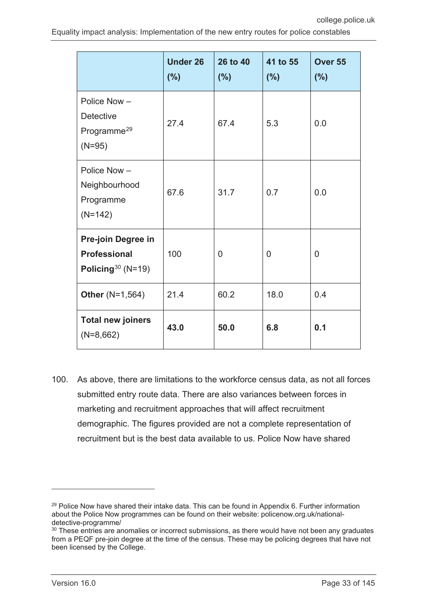|                                                                        | <b>Under 26</b><br>(%) | 26 to 40<br>(%) | 41 to 55<br>(%) | Over 55<br>(%) |
|------------------------------------------------------------------------|------------------------|-----------------|-----------------|----------------|
| Police Now-<br><b>Detective</b><br>Programme <sup>29</sup><br>$(N=95)$ | 27.4                   | 67.4            | 5.3             | 0.0            |
| Police Now-<br>Neighbourhood<br>Programme<br>$(N=142)$                 | 67.6                   | 31.7            | 0.7             | 0.0            |
| Pre-join Degree in<br><b>Professional</b><br>Policing $30(N=19)$       | 100                    | $\overline{0}$  | $\overline{0}$  | $\overline{0}$ |
| <b>Other (N=1,564)</b>                                                 | 21.4                   | 60.2            | 18.0            | 0.4            |
| <b>Total new joiners</b><br>$(N=8,662)$                                | 43.0                   | 50.0            | 6.8             | 0.1            |

100. As above, there are limitations to the workforce census data, as not all forces submitted entry route data. There are also variances between forces in marketing and recruitment approaches that will affect recruitment demographic. The figures provided are not a complete representation of recruitment but is the best data available to us. Police Now have shared

<span id="page-32-0"></span> $29$  Police Now have shared their intake data. This can be found in Appendix 6. Further information about the Police Now programmes can be found on their website: policenow.org.uk/nationaldetective-programme/

<span id="page-32-1"></span><sup>&</sup>lt;sup>30</sup> These entries are anomalies or incorrect submissions, as there would have not been any graduates from a PEQF pre-join degree at the time of the census. These may be policing degrees that have not been licensed by the College.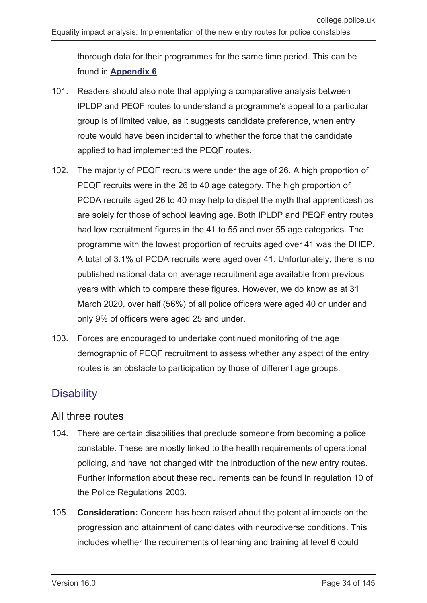thorough data for their programmes for the same time period. This can be found in **[Appendix 6](#page-142-0)**.

- 101. Readers should also note that applying a comparative analysis between IPLDP and PEQF routes to understand a programme's appeal to a particular group is of limited value, as it suggests candidate preference, when entry route would have been incidental to whether the force that the candidate applied to had implemented the PEQF routes.
- 102. The majority of PEQF recruits were under the age of 26. A high proportion of PEQF recruits were in the 26 to 40 age category. The high proportion of PCDA recruits aged 26 to 40 may help to dispel the myth that apprenticeships are solely for those of school leaving age. Both IPLDP and PEQF entry routes had low recruitment figures in the 41 to 55 and over 55 age categories. The programme with the lowest proportion of recruits aged over 41 was the DHEP. A total of 3.1% of PCDA recruits were aged over 41. Unfortunately, there is no published national data on average recruitment age available from previous years with which to compare these figures. However, we do know as at 31 March 2020, over half (56%) of all police officers were aged 40 or under and only 9% of officers were aged 25 and under.
- 103. Forces are encouraged to undertake continued monitoring of the age demographic of PEQF recruitment to assess whether any aspect of the entry routes is an obstacle to participation by those of different age groups.

## <span id="page-33-0"></span>**Disability**

#### All three routes

- 104. There are certain disabilities that preclude someone from becoming a police constable. These are mostly linked to the health requirements of operational policing, and have not changed with the introduction of the new entry routes. Further information about these requirements can be found in regulation 10 of the Police Regulations 2003.
- 105. **Consideration:** Concern has been raised about the potential impacts on the progression and attainment of candidates with neurodiverse conditions. This includes whether the requirements of learning and training at level 6 could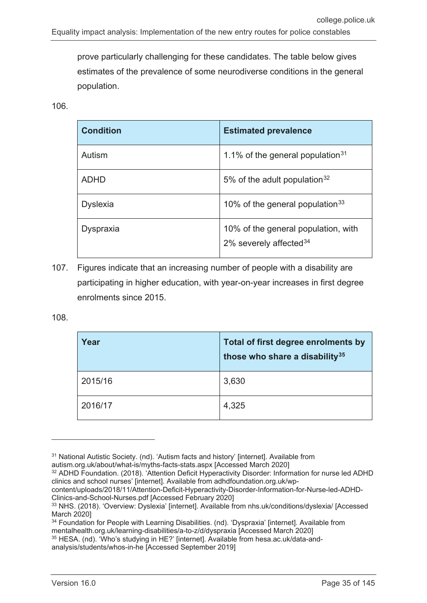prove particularly challenging for these candidates. The table below gives estimates of the prevalence of some neurodiverse conditions in the general population.

106.

| <b>Condition</b> | <b>Estimated prevalence</b>                                      |
|------------------|------------------------------------------------------------------|
| Autism           | 1.1% of the general population $31$                              |
| <b>ADHD</b>      | 5% of the adult population $32$                                  |
| <b>Dyslexia</b>  | 10% of the general population $33$                               |
| <b>Dyspraxia</b> | 10% of the general population, with<br>2% severely affected $34$ |

107. Figures indicate that an increasing number of people with a disability are participating in higher education, with year-on-year increases in first degree enrolments since 2015.

108.

-

| Year    | Total of first degree enrolments by<br>those who share a disability <sup>35</sup> |
|---------|-----------------------------------------------------------------------------------|
| 2015/16 | 3,630                                                                             |
| 2016/17 | 4,325                                                                             |

autism.org.uk/about/what-is/myths-facts-stats.aspx [Accessed March 2020]

<span id="page-34-0"></span><sup>&</sup>lt;sup>31</sup> National Autistic Society. (nd). 'Autism facts and history' [internet]. Available from

<span id="page-34-1"></span><sup>32</sup> ADHD Foundation. (2018). 'Attention Deficit Hyperactivity Disorder: Information for nurse led ADHD clinics and school nurses' [internet]. Available from adhdfoundation.org.uk/wp-

content/uploads/2018/11/Attention-Deficit-Hyperactivity-Disorder-Information-for-Nurse-led-ADHD-Clinics-and-School-Nurses.pdf [Accessed February 2020]

<span id="page-34-2"></span><sup>33</sup> NHS. (2018). 'Overview: Dyslexia' [internet]. Available from nhs.uk/conditions/dyslexia/ [Accessed March 2020]

<span id="page-34-3"></span><sup>&</sup>lt;sup>34</sup> Foundation for People with Learning Disabilities. (nd). 'Dyspraxia' [internet]. Available from mentalhealth.org.uk/learning-disabilities/a-to-z/d/dyspraxia [Accessed March 2020]

<span id="page-34-4"></span><sup>35</sup> HESA. (nd). 'Who's studying in HE?' [internet]. Available from hesa.ac.uk/data-andanalysis/students/whos-in-he [Accessed September 2019]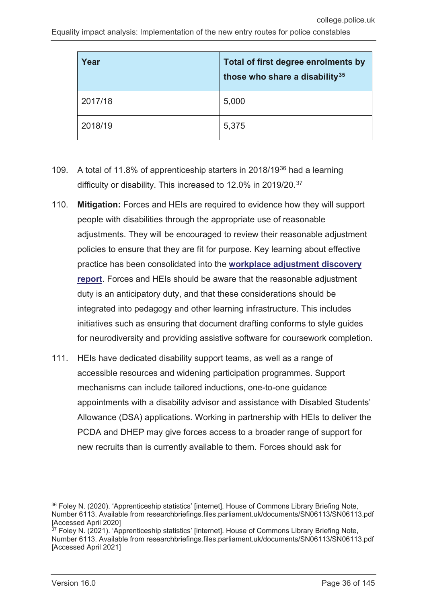| Year    | Total of first degree enrolments by<br>those who share a disability <sup>35</sup> |
|---------|-----------------------------------------------------------------------------------|
| 2017/18 | 5,000                                                                             |
| 2018/19 | 5,375                                                                             |

- 109. A total of 11.8% of apprenticeship starters in 2018/19[36](#page-35-0) had a learning difficulty or disability. This increased to 12.0% in 2019/20.<sup>[37](#page-35-1)</sup>
- 110. **Mitigation:** Forces and HEIs are required to evidence how they will support people with disabilities through the appropriate use of reasonable adjustments. They will be encouraged to review their reasonable adjustment policies to ensure that they are fit for purpose. Key learning about effective practice has been consolidated into the **[workplace adjustment discovery](https://assets.college.police.uk/s3fs-public/2021-08/discovery-report-workplace-adjustments.pdf)  [report](https://assets.college.police.uk/s3fs-public/2021-08/discovery-report-workplace-adjustments.pdf)**. Forces and HEIs should be aware that the reasonable adjustment duty is an anticipatory duty, and that these considerations should be integrated into pedagogy and other learning infrastructure. This includes initiatives such as ensuring that document drafting conforms to style guides for neurodiversity and providing assistive software for coursework completion.
- 111. HEIs have dedicated disability support teams, as well as a range of accessible resources and widening participation programmes. Support mechanisms can include tailored inductions, one-to-one guidance appointments with a disability advisor and assistance with Disabled Students' Allowance (DSA) applications. Working in partnership with HEIs to deliver the PCDA and DHEP may give forces access to a broader range of support for new recruits than is currently available to them. Forces should ask for

<span id="page-35-0"></span><sup>36</sup> Foley N. (2020). 'Apprenticeship statistics' [internet]. House of Commons Library Briefing Note, Number 6113. Available from researchbriefings.files.parliament.uk/documents/SN06113/SN06113.pdf [Accessed April 2020]

<span id="page-35-1"></span><sup>&</sup>lt;sup>37</sup> Foley N. (2021). 'Apprenticeship statistics' [internet]. House of Commons Library Briefing Note, Number 6113. Available from researchbriefings.files.parliament.uk/documents/SN06113/SN06113.pdf [Accessed April 2021]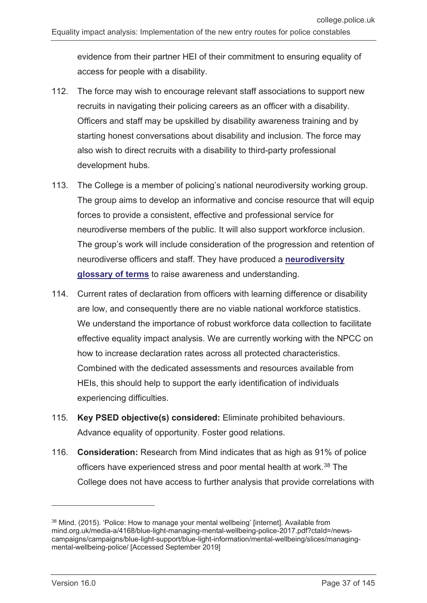evidence from their partner HEI of their commitment to ensuring equality of access for people with a disability.

- 112. The force may wish to encourage relevant staff associations to support new recruits in navigating their policing careers as an officer with a disability. Officers and staff may be upskilled by disability awareness training and by starting honest conversations about disability and inclusion. The force may also wish to direct recruits with a disability to third-party professional development hubs.
- 113. The College is a member of policing's national neurodiversity working group. The group aims to develop an informative and concise resource that will equip forces to provide a consistent, effective and professional service for neurodiverse members of the public. It will also support workforce inclusion. The group's work will include consideration of the progression and retention of neurodiverse officers and staff. They have produced a **[neurodiversity](https://assets.college.police.uk/s3fs-public/2021-06/neurodiversity-glossary-of-terms.pdf)  [glossary of terms](https://assets.college.police.uk/s3fs-public/2021-06/neurodiversity-glossary-of-terms.pdf)** to raise awareness and understanding.
- 114. Current rates of declaration from officers with learning difference or disability are low, and consequently there are no viable national workforce statistics. We understand the importance of robust workforce data collection to facilitate effective equality impact analysis. We are currently working with the NPCC on how to increase declaration rates across all protected characteristics. Combined with the dedicated assessments and resources available from HEIs, this should help to support the early identification of individuals experiencing difficulties.
- 115. **Key PSED objective(s) considered:** Eliminate prohibited behaviours. Advance equality of opportunity. Foster good relations.
- 116. **Consideration:** Research from Mind indicates that as high as 91% of police officers have experienced stress and poor mental health at work.<sup>[38](#page-36-0)</sup> The College does not have access to further analysis that provide correlations with

<span id="page-36-0"></span><sup>&</sup>lt;sup>38</sup> Mind. (2015). 'Police: How to manage your mental wellbeing' [internet]. Available from mind.org.uk/media-a/4168/blue-light-managing-mental-wellbeing-police-2017.pdf?ctaId=/newscampaigns/campaigns/blue-light-support/blue-light-information/mental-wellbeing/slices/managingmental-wellbeing-police/ [Accessed September 2019]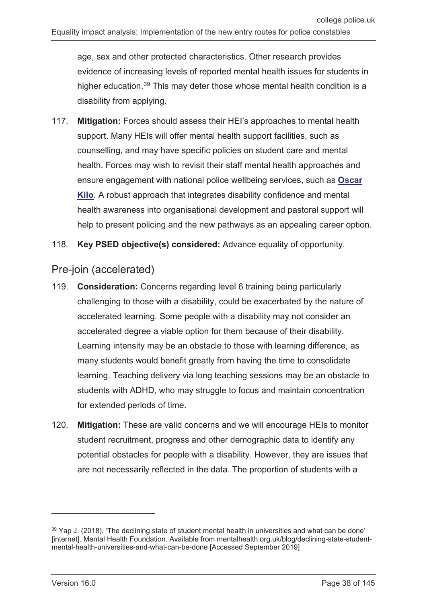age, sex and other protected characteristics. Other research provides evidence of increasing levels of reported mental health issues for students in higher education.<sup>[39](#page-37-0)</sup> This may deter those whose mental health condition is a disability from applying.

- 117. **Mitigation:** Forces should assess their HEI's approaches to mental health support. Many HEIs will offer mental health support facilities, such as counselling, and may have specific policies on student care and mental health. Forces may wish to revisit their staff mental health approaches and ensure engagement with national police wellbeing services, such as **[Oscar](https://oscarkilo.org.uk/)  [Kilo](https://oscarkilo.org.uk/)**. A robust approach that integrates disability confidence and mental health awareness into organisational development and pastoral support will help to present policing and the new pathways as an appealing career option.
- 118. **Key PSED objective(s) considered:** Advance equality of opportunity.

#### Pre-join (accelerated)

- 119. **Consideration:** Concerns regarding level 6 training being particularly challenging to those with a disability, could be exacerbated by the nature of accelerated learning. Some people with a disability may not consider an accelerated degree a viable option for them because of their disability. Learning intensity may be an obstacle to those with learning difference, as many students would benefit greatly from having the time to consolidate learning. Teaching delivery via long teaching sessions may be an obstacle to students with ADHD, who may struggle to focus and maintain concentration for extended periods of time.
- 120. **Mitigation:** These are valid concerns and we will encourage HEIs to monitor student recruitment, progress and other demographic data to identify any potential obstacles for people with a disability. However, they are issues that are not necessarily reflected in the data. The proportion of students with a

<span id="page-37-0"></span> $39$  Yap J. (2018). 'The declining state of student mental health in universities and what can be done' [internet]. Mental Health Foundation. Available from mentalhealth.org.uk/blog/declining-state-studentmental-health-universities-and-what-can-be-done [Accessed September 2019]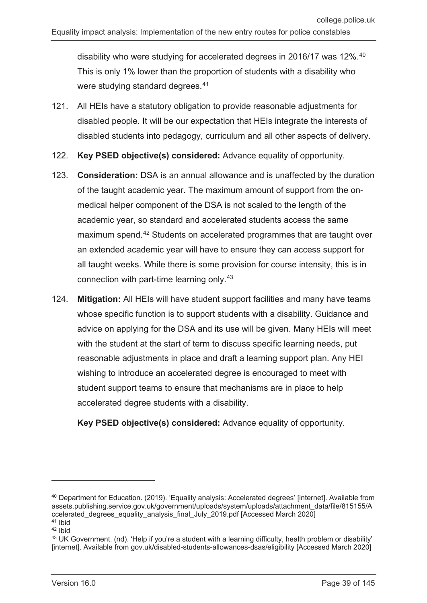disability who were studying for accelerated degrees in 2016/17 was 12%.<sup>[40](#page-38-0)</sup> This is only 1% lower than the proportion of students with a disability who were studying standard degrees.<sup>[41](#page-38-1)</sup>

- 121. All HEIs have a statutory obligation to provide reasonable adjustments for disabled people. It will be our expectation that HEIs integrate the interests of disabled students into pedagogy, curriculum and all other aspects of delivery.
- 122. **Key PSED objective(s) considered:** Advance equality of opportunity.
- 123. **Consideration:** DSA is an annual allowance and is unaffected by the duration of the taught academic year. The maximum amount of support from the onmedical helper component of the DSA is not scaled to the length of the academic year, so standard and accelerated students access the same maximum spend.[42](#page-38-2) Students on accelerated programmes that are taught over an extended academic year will have to ensure they can access support for all taught weeks. While there is some provision for course intensity, this is in connection with part-time learning only.[43](#page-38-3)
- 124. **Mitigation:** All HEIs will have student support facilities and many have teams whose specific function is to support students with a disability. Guidance and advice on applying for the DSA and its use will be given. Many HEIs will meet with the student at the start of term to discuss specific learning needs, put reasonable adjustments in place and draft a learning support plan. Any HEI wishing to introduce an accelerated degree is encouraged to meet with student support teams to ensure that mechanisms are in place to help accelerated degree students with a disability.

**Key PSED objective(s) considered:** Advance equality of opportunity.

<span id="page-38-0"></span><sup>40</sup> Department for Education. (2019). 'Equality analysis: Accelerated degrees' [internet]. Available from assets.publishing.service.gov.uk/government/uploads/system/uploads/attachment\_data/file/815155/A ccelerated\_degrees\_equality\_analysis\_final\_July\_2019.pdf [Accessed March 2020] <sup>41</sup> Ibid

<span id="page-38-2"></span><span id="page-38-1"></span><sup>42</sup> Ibid

<span id="page-38-3"></span><sup>43</sup> UK Government. (nd). 'Help if you're a student with a learning difficulty, health problem or disability' [internet]. Available from gov.uk/disabled-students-allowances-dsas/eligibility [Accessed March 2020]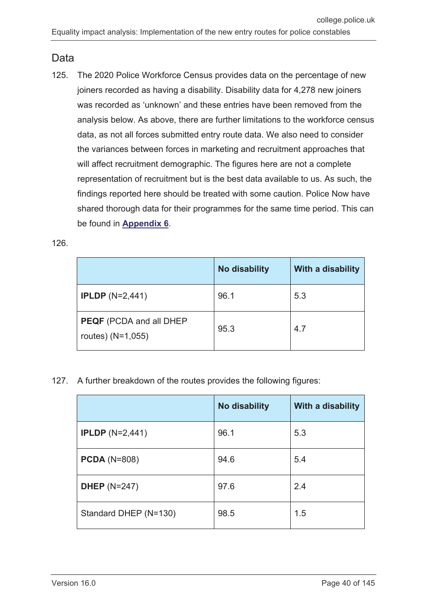#### Data

125. The 2020 Police Workforce Census provides data on the percentage of new joiners recorded as having a disability. Disability data for 4,278 new joiners was recorded as 'unknown' and these entries have been removed from the analysis below. As above, there are further limitations to the workforce census data, as not all forces submitted entry route data. We also need to consider the variances between forces in marketing and recruitment approaches that will affect recruitment demographic. The figures here are not a complete representation of recruitment but is the best data available to us. As such, the findings reported here should be treated with some caution. Police Now have shared thorough data for their programmes for the same time period. This can be found in **[Appendix 6](#page-142-0)**.

#### 126.

|                                                     | <b>No disability</b> | With a disability |
|-----------------------------------------------------|----------------------|-------------------|
| <b>IPLDP</b> $(N=2,441)$                            | 96.1                 | 5.3               |
| <b>PEQF</b> (PCDA and all DHEP<br>routes) (N=1,055) | 95.3                 | 4.7               |

127. A further breakdown of the routes provides the following figures:

|                          | <b>No disability</b> | With a disability |
|--------------------------|----------------------|-------------------|
| <b>IPLDP</b> $(N=2,441)$ | 96.1                 | 5.3               |
| <b>PCDA</b> (N=808)      | 94.6                 | 5.4               |
| <b>DHEP</b> (N=247)      | 97.6                 | 2.4               |
| Standard DHEP (N=130)    | 98.5                 | 1.5               |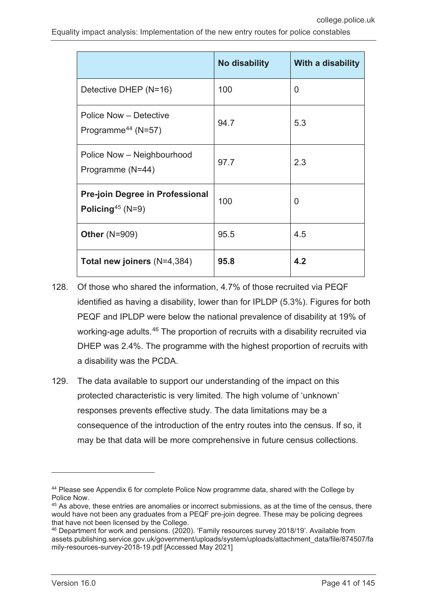|                                                                        | <b>No disability</b> | With a disability |
|------------------------------------------------------------------------|----------------------|-------------------|
| Detective DHEP (N=16)                                                  | 100                  | 0                 |
| <b>Police Now - Detective</b><br>Programme <sup>44</sup> (N=57)        | 94.7                 | 5.3               |
| Police Now - Neighbourhood<br>Programme (N=44)                         | 97.7                 | 2.3               |
| <b>Pre-join Degree in Professional</b><br>Policing <sup>45</sup> (N=9) | 100                  | 0                 |
| <b>Other (N=909)</b>                                                   | 95.5                 | 4.5               |
| Total new joiners $(N=4,384)$                                          | 95.8                 | 4.2               |

- 128. Of those who shared the information, 4.7% of those recruited via PEQF identified as having a disability, lower than for IPLDP (5.3%). Figures for both PEQF and IPLDP were below the national prevalence of disability at 19% of working-age adults.<sup>[46](#page-40-2)</sup> The proportion of recruits with a disability recruited via DHEP was 2.4%. The programme with the highest proportion of recruits with a disability was the PCDA.
- 129. The data available to support our understanding of the impact on this protected characteristic is very limited. The high volume of 'unknown' responses prevents effective study. The data limitations may be a consequence of the introduction of the entry routes into the census. If so, it may be that data will be more comprehensive in future census collections.

 $\overline{a}$ 

<span id="page-40-0"></span><sup>44</sup> Please see Appendix 6 for complete Police Now programme data, shared with the College by Police Now.

<span id="page-40-1"></span><sup>&</sup>lt;sup>45</sup> As above, these entries are anomalies or incorrect submissions, as at the time of the census, there would have not been any graduates from a PEQF pre-join degree. These may be policing degrees that have not been licensed by the College.

<span id="page-40-2"></span><sup>46</sup> Department for work and pensions. (2020). 'Family resources survey 2018/19'. Available from assets.publishing.service.gov.uk/government/uploads/system/uploads/attachment\_data/file/874507/fa mily-resources-survey-2018-19.pdf [Accessed May 2021]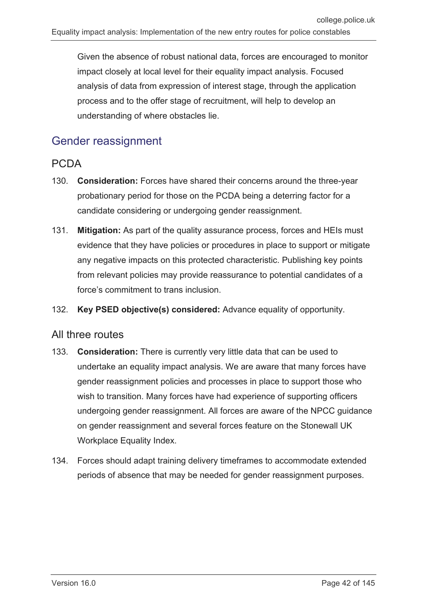Given the absence of robust national data, forces are encouraged to monitor impact closely at local level for their equality impact analysis. Focused analysis of data from expression of interest stage, through the application process and to the offer stage of recruitment, will help to develop an understanding of where obstacles lie.

# Gender reassignment

## PCDA

- 130. **Consideration:** Forces have shared their concerns around the three-year probationary period for those on the PCDA being a deterring factor for a candidate considering or undergoing gender reassignment.
- 131. **Mitigation:** As part of the quality assurance process, forces and HEIs must evidence that they have policies or procedures in place to support or mitigate any negative impacts on this protected characteristic. Publishing key points from relevant policies may provide reassurance to potential candidates of a force's commitment to trans inclusion.
- 132. **Key PSED objective(s) considered:** Advance equality of opportunity.

#### All three routes

- 133. **Consideration:** There is currently very little data that can be used to undertake an equality impact analysis. We are aware that many forces have gender reassignment policies and processes in place to support those who wish to transition. Many forces have had experience of supporting officers undergoing gender reassignment. All forces are aware of the NPCC guidance on gender reassignment and several forces feature on the Stonewall UK Workplace Equality Index.
- 134. Forces should adapt training delivery timeframes to accommodate extended periods of absence that may be needed for gender reassignment purposes.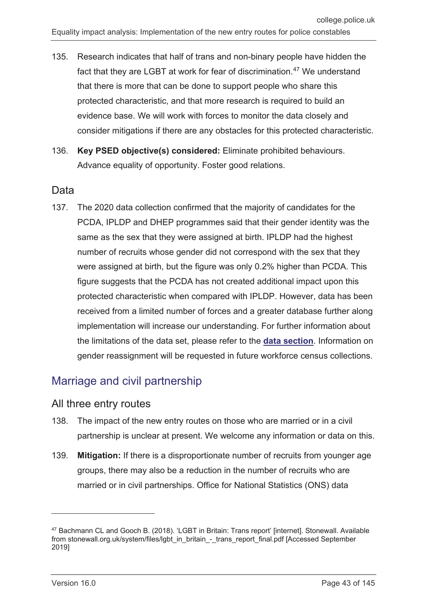- 135. Research indicates that half of trans and non-binary people have hidden the fact that they are LGBT at work for fear of discrimination.<sup>[47](#page-42-0)</sup> We understand that there is more that can be done to support people who share this protected characteristic, and that more research is required to build an evidence base. We will work with forces to monitor the data closely and consider mitigations if there are any obstacles for this protected characteristic.
- 136. **Key PSED objective(s) considered:** Eliminate prohibited behaviours. Advance equality of opportunity. Foster good relations.

### Data

137. The 2020 data collection confirmed that the majority of candidates for the PCDA, IPLDP and DHEP programmes said that their gender identity was the same as the sex that they were assigned at birth. IPLDP had the highest number of recruits whose gender did not correspond with the sex that they were assigned at birth, but the figure was only 0.2% higher than PCDA. This figure suggests that the PCDA has not created additional impact upon this protected characteristic when compared with IPLDP. However, data has been received from a limited number of forces and a greater database further along implementation will increase our understanding. For further information about the limitations of the data set, please refer to the **[data section](#page-11-0)**. Information on gender reassignment will be requested in future workforce census collections.

# Marriage and civil partnership

#### All three entry routes

- 138. The impact of the new entry routes on those who are married or in a civil partnership is unclear at present. We welcome any information or data on this.
- 139. **Mitigation:** If there is a disproportionate number of recruits from younger age groups, there may also be a reduction in the number of recruits who are married or in civil partnerships. Office for National Statistics (ONS) data

<span id="page-42-0"></span><sup>47</sup> Bachmann CL and Gooch B. (2018). 'LGBT in Britain: Trans report' [internet]. Stonewall. Available from stonewall.org.uk/system/files/lgbt\_in\_britain\_-\_trans\_report\_final.pdf [Accessed September 2019]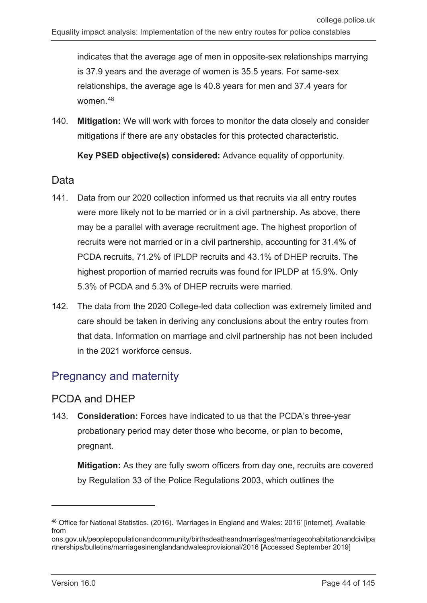indicates that the average age of men in opposite-sex relationships marrying is 37.9 years and the average of women is 35.5 years. For same-sex relationships, the average age is 40.8 years for men and 37.4 years for women.[48](#page-43-0)

140. **Mitigation:** We will work with forces to monitor the data closely and consider mitigations if there are any obstacles for this protected characteristic.

**Key PSED objective(s) considered:** Advance equality of opportunity.

#### Data

- 141. Data from our 2020 collection informed us that recruits via all entry routes were more likely not to be married or in a civil partnership. As above, there may be a parallel with average recruitment age. The highest proportion of recruits were not married or in a civil partnership, accounting for 31.4% of PCDA recruits, 71.2% of IPLDP recruits and 43.1% of DHEP recruits. The highest proportion of married recruits was found for IPLDP at 15.9%. Only 5.3% of PCDA and 5.3% of DHEP recruits were married.
- 142. The data from the 2020 College-led data collection was extremely limited and care should be taken in deriving any conclusions about the entry routes from that data. Information on marriage and civil partnership has not been included in the 2021 workforce census.

## Pregnancy and maternity

### PCDA and DHEP

143. **Consideration:** Forces have indicated to us that the PCDA's three-year probationary period may deter those who become, or plan to become, pregnant.

**Mitigation:** As they are fully sworn officers from day one, recruits are covered by Regulation 33 of the Police Regulations 2003, which outlines the

<span id="page-43-0"></span><sup>48</sup> Office for National Statistics. (2016). 'Marriages in England and Wales: 2016' [internet]. Available from

ons.gov.uk/peoplepopulationandcommunity/birthsdeathsandmarriages/marriagecohabitationandcivilpa rtnerships/bulletins/marriagesinenglandandwalesprovisional/2016 [Accessed September 2019]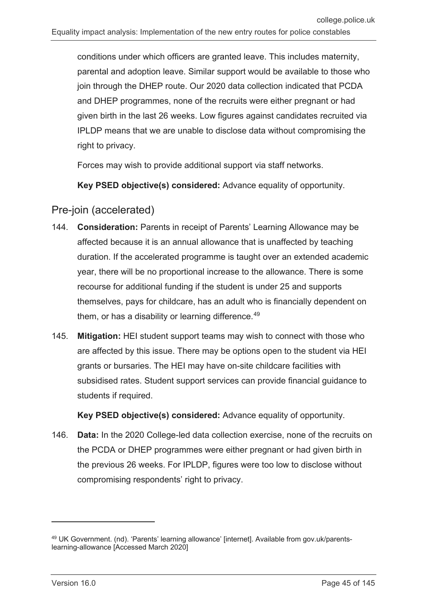conditions under which officers are granted leave. This includes maternity, parental and adoption leave. Similar support would be available to those who join through the DHEP route. Our 2020 data collection indicated that PCDA and DHEP programmes, none of the recruits were either pregnant or had given birth in the last 26 weeks. Low figures against candidates recruited via IPLDP means that we are unable to disclose data without compromising the right to privacy.

Forces may wish to provide additional support via staff networks.

**Key PSED objective(s) considered:** Advance equality of opportunity.

### Pre-join (accelerated)

- 144. **Consideration:** Parents in receipt of Parents' Learning Allowance may be affected because it is an annual allowance that is unaffected by teaching duration. If the accelerated programme is taught over an extended academic year, there will be no proportional increase to the allowance. There is some recourse for additional funding if the student is under 25 and supports themselves, pays for childcare, has an adult who is financially dependent on them, or has a disability or learning difference.<sup>[49](#page-44-0)</sup>
- 145. **Mitigation:** HEI student support teams may wish to connect with those who are affected by this issue. There may be options open to the student via HEI grants or bursaries. The HEI may have on-site childcare facilities with subsidised rates. Student support services can provide financial guidance to students if required.

**Key PSED objective(s) considered:** Advance equality of opportunity.

146. **Data:** In the 2020 College-led data collection exercise, none of the recruits on the PCDA or DHEP programmes were either pregnant or had given birth in the previous 26 weeks. For IPLDP, figures were too low to disclose without compromising respondents' right to privacy.

 $\overline{a}$ 

<span id="page-44-0"></span><sup>49</sup> UK Government. (nd). 'Parents' learning allowance' [internet]. Available from gov.uk/parentslearning-allowance [Accessed March 2020]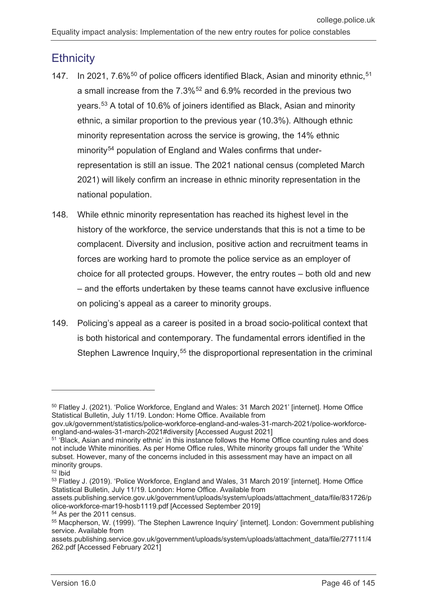## **Ethnicity**

- 147. In 2021, 7.6%<sup>[50](#page-45-0)</sup> of police officers identified Black, Asian and minority ethnic, <sup>[51](#page-45-1)</sup> a small increase from the 7.3%<sup>[52](#page-45-2)</sup> and 6.9% recorded in the previous two years.[53](#page-45-3) A total of 10.6% of joiners identified as Black, Asian and minority ethnic, a similar proportion to the previous year (10.3%). Although ethnic minority representation across the service is growing, the 14% ethnic minority<sup>[54](#page-45-4)</sup> population of England and Wales confirms that underrepresentation is still an issue. The 2021 national census (completed March 2021) will likely confirm an increase in ethnic minority representation in the national population.
- 148. While ethnic minority representation has reached its highest level in the history of the workforce, the service understands that this is not a time to be complacent. Diversity and inclusion, positive action and recruitment teams in forces are working hard to promote the police service as an employer of choice for all protected groups. However, the entry routes – both old and new – and the efforts undertaken by these teams cannot have exclusive influence on policing's appeal as a career to minority groups.
- 149. Policing's appeal as a career is posited in a broad socio-political context that is both historical and contemporary. The fundamental errors identified in the Stephen Lawrence Inquiry,<sup>[55](#page-45-5)</sup> the disproportional representation in the criminal

-

assets.publishing.service.gov.uk/government/uploads/system/uploads/attachment\_data/file/831726/p olice-workforce-mar19-hosb1119.pdf [Accessed September 2019]

<span id="page-45-0"></span><sup>&</sup>lt;sup>50</sup> Flatley J. (2021). 'Police Workforce, England and Wales: 31 March 2021' [internet]. Home Office Statistical Bulletin, July 11/19. London: Home Office. Available from

gov.uk/government/statistics/police-workforce-england-and-wales-31-march-2021/police-workforceengland-and-wales-31-march-2021#diversity [Accessed August 2021]

<span id="page-45-1"></span><sup>51</sup> 'Black, Asian and minority ethnic' in this instance follows the Home Office counting rules and does not include White minorities. As per Home Office rules, White minority groups fall under the 'White' subset. However, many of the concerns included in this assessment may have an impact on all minority groups.

<span id="page-45-2"></span><sup>52</sup> Ibid

<span id="page-45-3"></span><sup>53</sup> Flatley J. (2019). 'Police Workforce, England and Wales, 31 March 2019' [internet]. Home Office Statistical Bulletin, July 11/19. London: Home Office. Available from

<span id="page-45-4"></span><sup>54</sup> As per the 2011 census.

<span id="page-45-5"></span><sup>55</sup> Macpherson, W. (1999). 'The Stephen Lawrence Inquiry' [internet]. London: Government publishing service. Available from

assets.publishing.service.gov.uk/government/uploads/system/uploads/attachment\_data/file/277111/4 262.pdf [Accessed February 2021]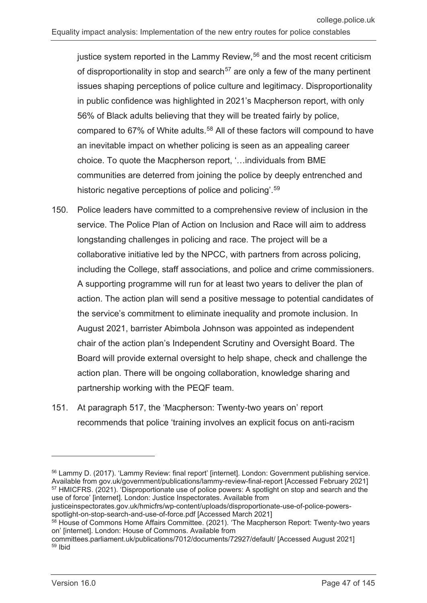justice system reported in the Lammy Review, $56$  and the most recent criticism of disproportionality in stop and search<sup>[57](#page-46-1)</sup> are only a few of the many pertinent issues shaping perceptions of police culture and legitimacy. Disproportionality in public confidence was highlighted in 2021's Macpherson report, with only 56% of Black adults believing that they will be treated fairly by police, compared to 67% of White adults.<sup>[58](#page-46-2)</sup> All of these factors will compound to have an inevitable impact on whether policing is seen as an appealing career choice. To quote the Macpherson report, '…individuals from BME communities are deterred from joining the police by deeply entrenched and historic negative perceptions of police and policing'.<sup>[59](#page-46-3)</sup>

- 150. Police leaders have committed to a comprehensive review of inclusion in the service. The Police Plan of Action on Inclusion and Race will aim to address longstanding challenges in policing and race. The project will be a collaborative initiative led by the NPCC, with partners from across policing, including the College, staff associations, and police and crime commissioners. A supporting programme will run for at least two years to deliver the plan of action. The action plan will send a positive message to potential candidates of the service's commitment to eliminate inequality and promote inclusion. In August 2021, barrister Abimbola Johnson was appointed as independent chair of the action plan's Independent Scrutiny and Oversight Board. The Board will provide external oversight to help shape, check and challenge the action plan. There will be ongoing collaboration, knowledge sharing and partnership working with the PEQF team.
- 151. At paragraph 517, the 'Macpherson: Twenty-two years on' report recommends that police 'training involves an explicit focus on anti-racism

<span id="page-46-1"></span>justiceinspectorates.gov.uk/hmicfrs/wp-content/uploads/disproportionate-use-of-police-powersspotlight-on-stop-search-and-use-of-force.pdf [Accessed March 2021]

<span id="page-46-0"></span><sup>56</sup> Lammy D. (2017). 'Lammy Review: final report' [internet]. London: Government publishing service. Available from gov.uk/government/publications/lammy-review-final-report [Accessed February 2021] <sup>57</sup> HMICFRS. (2021). 'Disproportionate use of police powers: A spotlight on stop and search and the use of force' [internet]. London: Justice Inspectorates. Available from

<span id="page-46-2"></span><sup>58</sup> House of Commons Home Affairs Committee. (2021). 'The Macpherson Report: Twenty-two years on' [internet]. London: House of Commons. Available from

<span id="page-46-3"></span>committees.parliament.uk/publications/7012/documents/72927/default/ [Accessed August 2021] <sup>59</sup> Ibid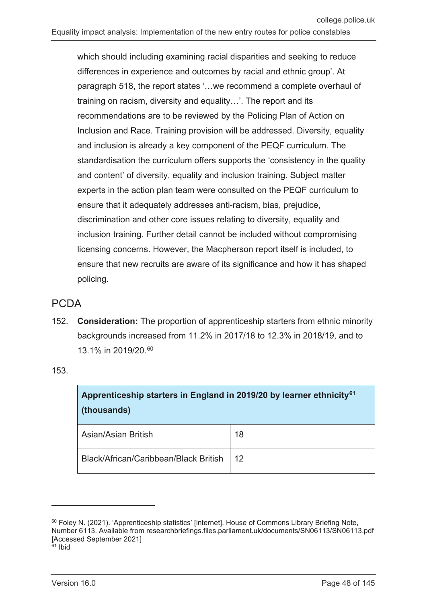which should including examining racial disparities and seeking to reduce differences in experience and outcomes by racial and ethnic group'. At paragraph 518, the report states '…we recommend a complete overhaul of training on racism, diversity and equality…'. The report and its recommendations are to be reviewed by the Policing Plan of Action on Inclusion and Race. Training provision will be addressed. Diversity, equality and inclusion is already a key component of the PEQF curriculum. The standardisation the curriculum offers supports the 'consistency in the quality and content' of diversity, equality and inclusion training. Subject matter experts in the action plan team were consulted on the PEQF curriculum to ensure that it adequately addresses anti-racism, bias, prejudice, discrimination and other core issues relating to diversity, equality and inclusion training. Further detail cannot be included without compromising licensing concerns. However, the Macpherson report itself is included, to ensure that new recruits are aware of its significance and how it has shaped policing.

#### PCDA

152. **Consideration:** The proportion of apprenticeship starters from ethnic minority backgrounds increased from 11.2% in 2017/18 to 12.3% in 2018/19, and to 13.1% in 2019/20.[60](#page-47-0)

153.

| Apprenticeship starters in England in 2019/20 by learner ethnicity <sup>61</sup><br>(thousands) |    |  |  |  |  |
|-------------------------------------------------------------------------------------------------|----|--|--|--|--|
| Asian/Asian British                                                                             | 18 |  |  |  |  |
| Black/African/Caribbean/Black British                                                           | 12 |  |  |  |  |

<span id="page-47-1"></span><span id="page-47-0"></span><sup>60</sup> Foley N. (2021). 'Apprenticeship statistics' linternet]. House of Commons Library Briefing Note, Number 6113. Available from researchbriefings.files.parliament.uk/documents/SN06113/SN06113.pdf [Accessed September 2021] <sup>61</sup> Ibid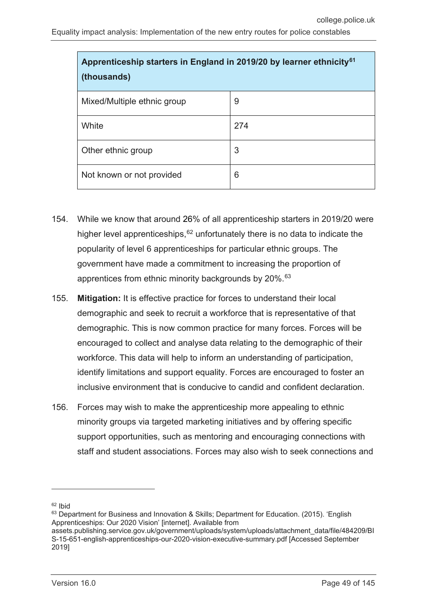| Apprenticeship starters in England in 2019/20 by learner ethnicity <sup>61</sup><br>(thousands) |     |  |  |  |
|-------------------------------------------------------------------------------------------------|-----|--|--|--|
| Mixed/Multiple ethnic group                                                                     | 9   |  |  |  |
| White                                                                                           | 274 |  |  |  |
| Other ethnic group                                                                              | 3   |  |  |  |
| Not known or not provided                                                                       | 6   |  |  |  |

- 154. While we know that around 26% of all apprenticeship starters in 2019/20 were higher level apprenticeships,  $62$  unfortunately there is no data to indicate the popularity of level 6 apprenticeships for particular ethnic groups. The government have made a commitment to increasing the proportion of apprentices from ethnic minority backgrounds by 20%.<sup>[63](#page-48-1)</sup>
- 155. **Mitigation:** It is effective practice for forces to understand their local demographic and seek to recruit a workforce that is representative of that demographic. This is now common practice for many forces. Forces will be encouraged to collect and analyse data relating to the demographic of their workforce. This data will help to inform an understanding of participation, identify limitations and support equality. Forces are encouraged to foster an inclusive environment that is conducive to candid and confident declaration.
- 156. Forces may wish to make the apprenticeship more appealing to ethnic minority groups via targeted marketing initiatives and by offering specific support opportunities, such as mentoring and encouraging connections with staff and student associations. Forces may also wish to seek connections and

<span id="page-48-0"></span> $62$  Ibid

<span id="page-48-1"></span><sup>63</sup> Department for Business and Innovation & Skills; Department for Education. (2015). 'English Apprenticeships: Our 2020 Vision' [internet]. Available from

assets.publishing.service.gov.uk/government/uploads/system/uploads/attachment\_data/file/484209/BI S-15-651-english-apprenticeships-our-2020-vision-executive-summary.pdf [Accessed September 2019]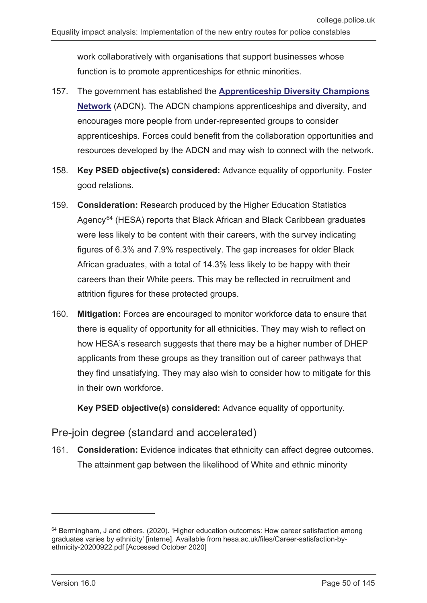work collaboratively with organisations that support businesses whose function is to promote apprenticeships for ethnic minorities.

- 157. The government has established the **[Apprenticeship Diversity Champions](https://www.gov.uk/government/groups/apprenticeship-diversity-champions-networkhttps:/www.gov.uk/government/groups/apprenticeship-diversity-champions-network)  [Network](https://www.gov.uk/government/groups/apprenticeship-diversity-champions-networkhttps:/www.gov.uk/government/groups/apprenticeship-diversity-champions-network)** (ADCN). The ADCN champions apprenticeships and diversity, and encourages more people from under-represented groups to consider apprenticeships. Forces could benefit from the collaboration opportunities and resources developed by the ADCN and may wish to connect with the network.
- 158. **Key PSED objective(s) considered:** Advance equality of opportunity. Foster good relations.
- 159. **Consideration:** Research produced by the Higher Education Statistics Agency<sup>[64](#page-49-0)</sup> (HESA) reports that Black African and Black Caribbean graduates were less likely to be content with their careers, with the survey indicating figures of 6.3% and 7.9% respectively. The gap increases for older Black African graduates, with a total of 14.3% less likely to be happy with their careers than their White peers. This may be reflected in recruitment and attrition figures for these protected groups.
- 160. **Mitigation:** Forces are encouraged to monitor workforce data to ensure that there is equality of opportunity for all ethnicities. They may wish to reflect on how HESA's research suggests that there may be a higher number of DHEP applicants from these groups as they transition out of career pathways that they find unsatisfying. They may also wish to consider how to mitigate for this in their own workforce.

**Key PSED objective(s) considered:** Advance equality of opportunity.

## Pre-join degree (standard and accelerated)

161. **Consideration:** Evidence indicates that ethnicity can affect degree outcomes. The attainment gap between the likelihood of White and ethnic minority

<span id="page-49-0"></span> $64$  Bermingham, J and others. (2020). 'Higher education outcomes: How career satisfaction among graduates varies by ethnicity' [interne]. Available from hesa.ac.uk/files/Career-satisfaction-byethnicity-20200922.pdf [Accessed October 2020]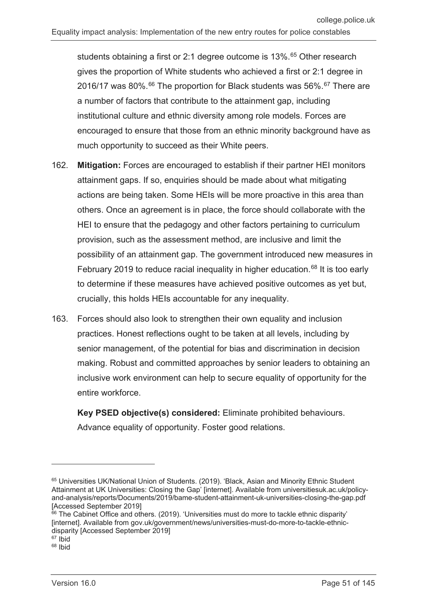students obtaining a first or 2:1 degree outcome is 13%.<sup>[65](#page-50-0)</sup> Other research gives the proportion of White students who achieved a first or 2:1 degree in 2016/17 was 80%. $^{66}$  $^{66}$  $^{66}$  The proportion for Black students was 56%. $^{67}$  $^{67}$  $^{67}$  There are a number of factors that contribute to the attainment gap, including institutional culture and ethnic diversity among role models. Forces are encouraged to ensure that those from an ethnic minority background have as much opportunity to succeed as their White peers.

- 162. **Mitigation:** Forces are encouraged to establish if their partner HEI monitors attainment gaps. If so, enquiries should be made about what mitigating actions are being taken. Some HEIs will be more proactive in this area than others. Once an agreement is in place, the force should collaborate with the HEI to ensure that the pedagogy and other factors pertaining to curriculum provision, such as the assessment method, are inclusive and limit the possibility of an attainment gap. The government introduced new measures in February 2019 to reduce racial inequality in higher education.<sup>[68](#page-50-3)</sup> It is too early to determine if these measures have achieved positive outcomes as yet but, crucially, this holds HEIs accountable for any inequality.
- 163. Forces should also look to strengthen their own equality and inclusion practices. Honest reflections ought to be taken at all levels, including by senior management, of the potential for bias and discrimination in decision making. Robust and committed approaches by senior leaders to obtaining an inclusive work environment can help to secure equality of opportunity for the entire workforce.

**Key PSED objective(s) considered:** Eliminate prohibited behaviours. Advance equality of opportunity. Foster good relations.

<span id="page-50-0"></span><sup>&</sup>lt;sup>65</sup> Universities UK/National Union of Students. (2019). 'Black, Asian and Minority Ethnic Student Attainment at UK Universities: Closing the Gap' [internet]. Available from universitiesuk.ac.uk/policyand-analysis/reports/Documents/2019/bame-student-attainment-uk-universities-closing-the-gap.pdf [Accessed September 2019]

<span id="page-50-1"></span><sup>&</sup>lt;sup>66</sup> The Cabinet Office and others. (2019). 'Universities must do more to tackle ethnic disparity' [internet]. Available from gov.uk/government/news/universities-must-do-more-to-tackle-ethnicdisparity [Accessed September 2019]

<span id="page-50-2"></span> $67$  lbid

<span id="page-50-3"></span><sup>68</sup> Ibid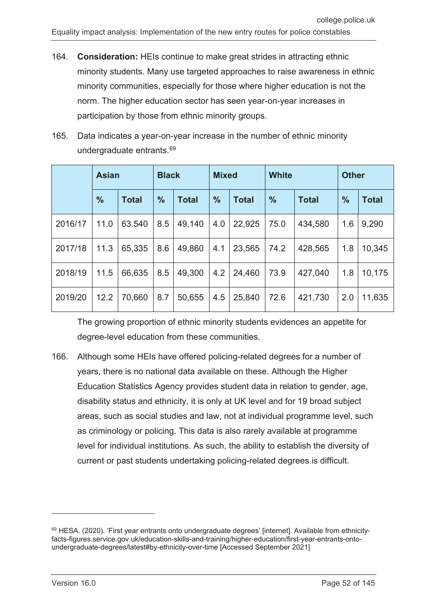- 164. **Consideration:** HEIs continue to make great strides in attracting ethnic minority students. Many use targeted approaches to raise awareness in ethnic minority communities, especially for those where higher education is not the norm. The higher education sector has seen year-on-year increases in participation by those from ethnic minority groups.
- 165. Data indicates a year-on-year increase in the number of ethnic minority undergraduate entrants.[69](#page-51-0)

|         | <b>Asian</b>  |              |               | <b>Black</b> |               | <b>Mixed</b> |               | <b>White</b> |               | <b>Other</b> |  |
|---------|---------------|--------------|---------------|--------------|---------------|--------------|---------------|--------------|---------------|--------------|--|
|         | $\frac{9}{6}$ | <b>Total</b> | $\frac{9}{6}$ | <b>Total</b> | $\frac{9}{6}$ | <b>Total</b> | $\frac{0}{0}$ | <b>Total</b> | $\frac{0}{0}$ | <b>Total</b> |  |
| 2016/17 | 11.0          | 63.540       | 8.5           | 49,140       | 4.0           | 22,925       | 75.0          | 434,580      | 1.6           | 9,290        |  |
| 2017/18 | 11.3          | 65,335       | 8.6           | 49,860       | 4.1           | 23,565       | 74.2          | 428,565      | 1.8           | 10,345       |  |
| 2018/19 | 11.5          | 66,635       | 8.5           | 49,300       | 4.2           | 24,460       | 73.9          | 427,040      | 1.8           | 10,175       |  |
| 2019/20 | 12.2          | 70,660       | 8.7           | 50,655       | 4.5           | 25,840       | 72.6          | 421,730      | 2.0           | 11,635       |  |

The growing proportion of ethnic minority students evidences an appetite for degree-level education from these communities.

166. Although some HEIs have offered policing-related degrees for a number of years, there is no national data available on these. Although the Higher Education Statistics Agency provides student data in relation to gender, age, disability status and ethnicity, it is only at UK level and for 19 broad subject areas, such as social studies and law, not at individual programme level, such as criminology or policing. This data is also rarely available at programme level for individual institutions. As such, the ability to establish the diversity of current or past students undertaking policing-related degrees is difficult.

<span id="page-51-0"></span><sup>&</sup>lt;sup>69</sup> HESA. (2020). 'First year entrants onto undergraduate degrees' [internet]. Available from ethnicityfacts-figures.service.gov.uk/education-skills-and-training/higher-education/first-year-entrants-ontoundergraduate-degrees/latest#by-ethnicity-over-time [Accessed September 2021]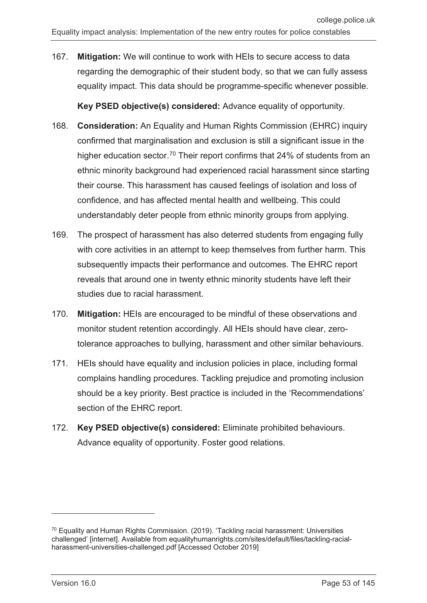167. **Mitigation:** We will continue to work with HEIs to secure access to data regarding the demographic of their student body, so that we can fully assess equality impact. This data should be programme-specific whenever possible.

**Key PSED objective(s) considered:** Advance equality of opportunity.

- 168. **Consideration:** An Equality and Human Rights Commission (EHRC) inquiry confirmed that marginalisation and exclusion is still a significant issue in the higher education sector.<sup>[70](#page-52-0)</sup> Their report confirms that 24% of students from an ethnic minority background had experienced racial harassment since starting their course. This harassment has caused feelings of isolation and loss of confidence, and has affected mental health and wellbeing. This could understandably deter people from ethnic minority groups from applying.
- 169. The prospect of harassment has also deterred students from engaging fully with core activities in an attempt to keep themselves from further harm. This subsequently impacts their performance and outcomes. The EHRC report reveals that around one in twenty ethnic minority students have left their studies due to racial harassment.
- 170. **Mitigation:** HEIs are encouraged to be mindful of these observations and monitor student retention accordingly. All HEIs should have clear, zerotolerance approaches to bullying, harassment and other similar behaviours.
- 171. HEIs should have equality and inclusion policies in place, including formal complains handling procedures. Tackling prejudice and promoting inclusion should be a key priority. Best practice is included in the 'Recommendations' section of the EHRC report.
- 172. **Key PSED objective(s) considered:** Eliminate prohibited behaviours. Advance equality of opportunity. Foster good relations.

<span id="page-52-0"></span> $70$  Equality and Human Rights Commission. (2019). 'Tackling racial harassment: Universities challenged' [internet]. Available from equalityhumanrights.com/sites/default/files/tackling-racialharassment-universities-challenged.pdf [Accessed October 2019]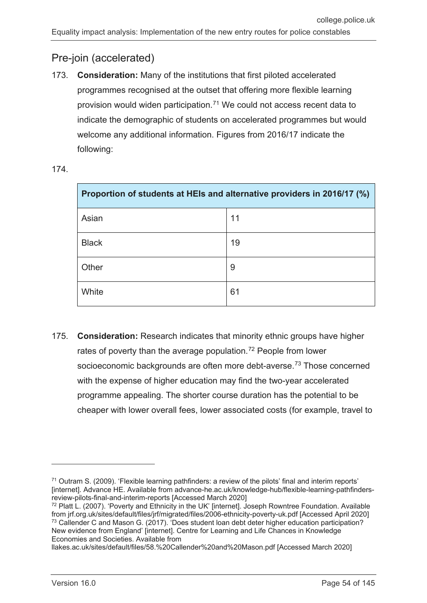### Pre-join (accelerated)

173. **Consideration:** Many of the institutions that first piloted accelerated programmes recognised at the outset that offering more flexible learning provision would widen participation.[71](#page-53-0) We could not access recent data to indicate the demographic of students on accelerated programmes but would welcome any additional information. Figures from 2016/17 indicate the following:

| Proportion of students at HEIs and alternative providers in 2016/17 (%) |    |  |  |
|-------------------------------------------------------------------------|----|--|--|
| Asian                                                                   | 11 |  |  |
| <b>Black</b>                                                            | 19 |  |  |
| Other                                                                   | 9  |  |  |
| White                                                                   | 61 |  |  |

174.

175. **Consideration:** Research indicates that minority ethnic groups have higher rates of poverty than the average population.<sup>[72](#page-53-1)</sup> People from lower socioeconomic backgrounds are often more debt-averse.<sup>[73](#page-53-2)</sup> Those concerned with the expense of higher education may find the two-year accelerated programme appealing. The shorter course duration has the potential to be cheaper with lower overall fees, lower associated costs (for example, travel to

llakes.ac.uk/sites/default/files/58.%20Callender%20and%20Mason.pdf [Accessed March 2020]

<span id="page-53-0"></span> $71$  Outram S. (2009). 'Flexible learning pathfinders: a review of the pilots' final and interim reports' [internet]. Advance HE. Available from advance-he.ac.uk/knowledge-hub/flexible-learning-pathfindersreview-pilots-final-and-interim-reports [Accessed March 2020]

<span id="page-53-2"></span><span id="page-53-1"></span><sup>72</sup> Platt L. (2007). 'Poverty and Ethnicity in the UK' [internet]. Joseph Rowntree Foundation. Available from jrf.org.uk/sites/default/files/jrf/migrated/files/2006-ethnicity-poverty-uk.pdf [Accessed April 2020] <sup>73</sup> Callender C and Mason G. (2017). 'Does student loan debt deter higher education participation? New evidence from England' [internet]. Centre for Learning and Life Chances in Knowledge Economies and Societies. Available from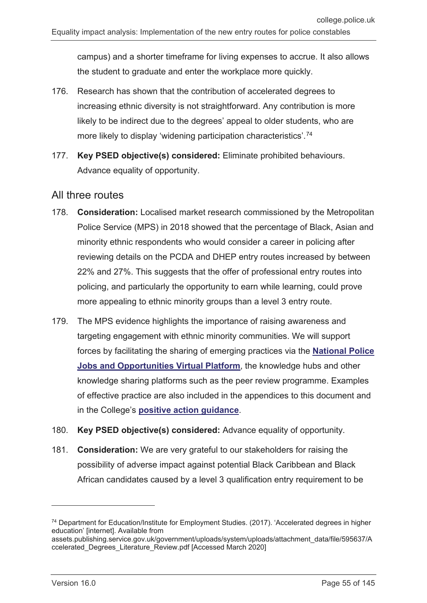campus) and a shorter timeframe for living expenses to accrue. It also allows the student to graduate and enter the workplace more quickly.

- 176. Research has shown that the contribution of accelerated degrees to increasing ethnic diversity is not straightforward. Any contribution is more likely to be indirect due to the degrees' appeal to older students, who are more likely to display 'widening participation characteristics'. [74](#page-54-0)
- 177. **Key PSED objective(s) considered:** Eliminate prohibited behaviours. Advance equality of opportunity.

#### All three routes

- 178. **Consideration:** Localised market research commissioned by the Metropolitan Police Service (MPS) in 2018 showed that the percentage of Black, Asian and minority ethnic respondents who would consider a career in policing after reviewing details on the PCDA and DHEP entry routes increased by between 22% and 27%. This suggests that the offer of professional entry routes into policing, and particularly the opportunity to earn while learning, could prove more appealing to ethnic minority groups than a level 3 entry route.
- 179. The MPS evidence highlights the importance of raising awareness and targeting engagement with ethnic minority communities. We will support forces by facilitating the sharing of emerging practices via the **[National Police](https://recruit.college.police.uk/Pages/home.aspx)  [Jobs and Opportunities Virtual Platform](https://recruit.college.police.uk/Pages/home.aspx)**, the knowledge hubs and other knowledge sharing platforms such as the peer review programme. Examples of effective practice are also included in the appendices to this document and in the College's **[positive action guidance](https://paas-s3-broker-prod-lon-6453d964-1d1a-432a-9260-5e0ba7d2fc51.s3.eu-west-2.amazonaws.com/s3fs-public/College-of-Policing-Positive-Action-Guidance.pdf)**.
- 180. **Key PSED objective(s) considered:** Advance equality of opportunity.
- 181. **Consideration:** We are very grateful to our stakeholders for raising the possibility of adverse impact against potential Black Caribbean and Black African candidates caused by a level 3 qualification entry requirement to be

<span id="page-54-0"></span><sup>74</sup> Department for Education/Institute for Employment Studies. (2017). 'Accelerated degrees in higher education' [internet]. Available from

assets.publishing.service.gov.uk/government/uploads/system/uploads/attachment\_data/file/595637/A ccelerated\_Degrees\_Literature\_Review.pdf [Accessed March 2020]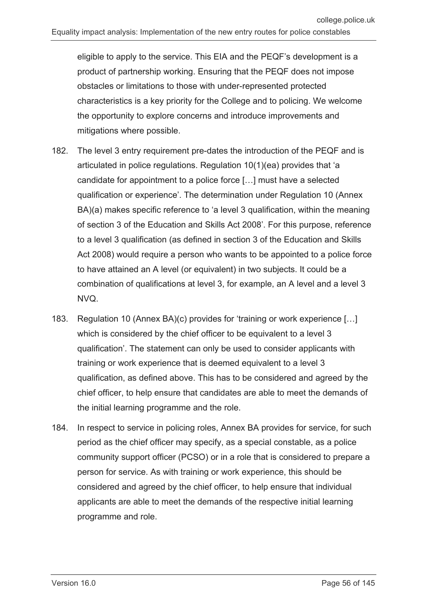eligible to apply to the service. This EIA and the PEQF's development is a product of partnership working. Ensuring that the PEQF does not impose obstacles or limitations to those with under-represented protected characteristics is a key priority for the College and to policing. We welcome the opportunity to explore concerns and introduce improvements and mitigations where possible.

- 182. The level 3 entry requirement pre-dates the introduction of the PEQF and is articulated in police regulations. Regulation 10(1)(ea) provides that 'a candidate for appointment to a police force […] must have a selected qualification or experience'. The determination under Regulation 10 (Annex BA)(a) makes specific reference to 'a level 3 qualification, within the meaning of section 3 of the Education and Skills Act 2008'. For this purpose, reference to a level 3 qualification (as defined in section 3 of the Education and Skills Act 2008) would require a person who wants to be appointed to a police force to have attained an A level (or equivalent) in two subjects. It could be a combination of qualifications at level 3, for example, an A level and a level 3 NVQ.
- 183. Regulation 10 (Annex BA)(c) provides for 'training or work experience […] which is considered by the chief officer to be equivalent to a level 3 qualification'. The statement can only be used to consider applicants with training or work experience that is deemed equivalent to a level 3 qualification, as defined above. This has to be considered and agreed by the chief officer, to help ensure that candidates are able to meet the demands of the initial learning programme and the role.
- 184. In respect to service in policing roles, Annex BA provides for service, for such period as the chief officer may specify, as a special constable, as a police community support officer (PCSO) or in a role that is considered to prepare a person for service. As with training or work experience, this should be considered and agreed by the chief officer, to help ensure that individual applicants are able to meet the demands of the respective initial learning programme and role.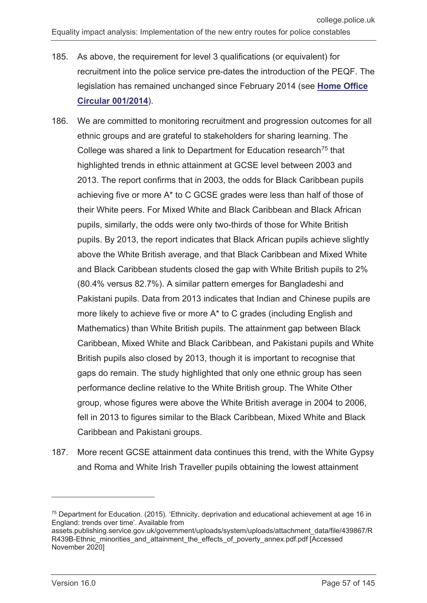- 185. As above, the requirement for level 3 qualifications (or equivalent) for recruitment into the police service pre-dates the introduction of the PEQF. The legislation has remained unchanged since February 2014 (see **[Home Office](https://assets.publishing.service.gov.uk/government/uploads/system/uploads/attachment_data/file/279357/DeterminationsPoliceRegsReg10.pdf)  [Circular 001/2014](https://assets.publishing.service.gov.uk/government/uploads/system/uploads/attachment_data/file/279357/DeterminationsPoliceRegsReg10.pdf)**).
- 186. We are committed to monitoring recruitment and progression outcomes for all ethnic groups and are grateful to stakeholders for sharing learning. The College was shared a link to Department for Education research<sup>[75](#page-56-0)</sup> that highlighted trends in ethnic attainment at GCSE level between 2003 and 2013. The report confirms that in 2003, the odds for Black Caribbean pupils achieving five or more A\* to C GCSE grades were less than half of those of their White peers. For Mixed White and Black Caribbean and Black African pupils, similarly, the odds were only two-thirds of those for White British pupils. By 2013, the report indicates that Black African pupils achieve slightly above the White British average, and that Black Caribbean and Mixed White and Black Caribbean students closed the gap with White British pupils to 2% (80.4% versus 82.7%). A similar pattern emerges for Bangladeshi and Pakistani pupils. Data from 2013 indicates that Indian and Chinese pupils are more likely to achieve five or more A\* to C grades (including English and Mathematics) than White British pupils. The attainment gap between Black Caribbean, Mixed White and Black Caribbean, and Pakistani pupils and White British pupils also closed by 2013, though it is important to recognise that gaps do remain. The study highlighted that only one ethnic group has seen performance decline relative to the White British group. The White Other group, whose figures were above the White British average in 2004 to 2006, fell in 2013 to figures similar to the Black Caribbean, Mixed White and Black Caribbean and Pakistani groups.
- 187. More recent GCSE attainment data continues this trend, with the White Gypsy and Roma and White Irish Traveller pupils obtaining the lowest attainment

 $\overline{a}$ 

<span id="page-56-0"></span><sup>75</sup> Department for Education. (2015). 'Ethnicity, deprivation and educational achievement at age 16 in England: trends over time'. Available from

assets.publishing.service.gov.uk/government/uploads/system/uploads/attachment\_data/file/439867/R R439B-Ethnic\_minorities\_and\_attainment\_the\_effects\_of\_poverty\_annex.pdf.pdf [Accessed November 2020]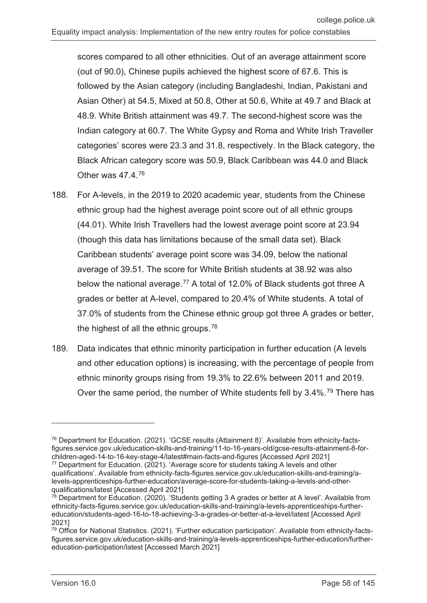scores compared to all other ethnicities. Out of an average attainment score (out of 90.0), Chinese pupils achieved the highest score of 67.6. This is followed by the Asian category (including Bangladeshi, Indian, Pakistani and Asian Other) at 54.5, Mixed at 50.8, Other at 50.6, White at 49.7 and Black at 48.9. White British attainment was 49.7. The second-highest score was the Indian category at 60.7. The White Gypsy and Roma and White Irish Traveller categories' scores were 23.3 and 31.8, respectively. In the Black category, the Black African category score was 50.9, Black Caribbean was 44.0 and Black Other was 47.4.[76](#page-57-0)

- 188. For A-levels, in the 2019 to 2020 academic year, students from the Chinese ethnic group had the highest average point score out of all ethnic groups (44.01). White Irish Travellers had the lowest average point score at 23.94 (though this data has limitations because of the small data set). Black Caribbean students' average point score was 34.09, below the national average of 39.51. The score for White British students at 38.92 was also below the national average.<sup>[77](#page-57-1)</sup> A total of 12.0% of Black students got three A grades or better at A-level, compared to 20.4% of White students. A total of 37.0% of students from the Chinese ethnic group got three A grades or better, the highest of all the ethnic groups.<sup>[78](#page-57-2)</sup>
- 189. Data indicates that ethnic minority participation in further education (A levels and other education options) is increasing, with the percentage of people from ethnic minority groups rising from 19.3% to 22.6% between 2011 and 2019. Over the same period, the number of White students fell by 3.4%.<sup>[79](#page-57-3)</sup> There has

<span id="page-57-0"></span><sup>76</sup> Department for Education. (2021). 'GCSE results (Attainment 8)'. Available from ethnicity-factsfigures.service.gov.uk/education-skills-and-training/11-to-16-years-old/gcse-results-attainment-8-forchildren-aged-14-to-16-key-stage-4/latest#main-facts-and-figures [Accessed April 2021]

<span id="page-57-1"></span><sup>77</sup> Department for Education. (2021). 'Average score for students taking A levels and other qualifications'. Available from ethnicity-facts-figures.service.gov.uk/education-skills-and-training/alevels-apprenticeships-further-education/average-score-for-students-taking-a-levels-and-otherqualifications/latest [Accessed April 2021]

<span id="page-57-2"></span> $78$  Department for Education. (2020). 'Students getting 3 A grades or better at A level'. Available from ethnicity-facts-figures.service.gov.uk/education-skills-and-training/a-levels-apprenticeships-furthereducation/students-aged-16-to-18-achieving-3-a-grades-or-better-at-a-level/latest [Accessed April 2021]

<span id="page-57-3"></span><sup>79</sup> Office for National Statistics. (2021). 'Further education participation'. Available from ethnicity-factsfigures.service.gov.uk/education-skills-and-training/a-levels-apprenticeships-further-education/furthereducation-participation/latest [Accessed March 2021]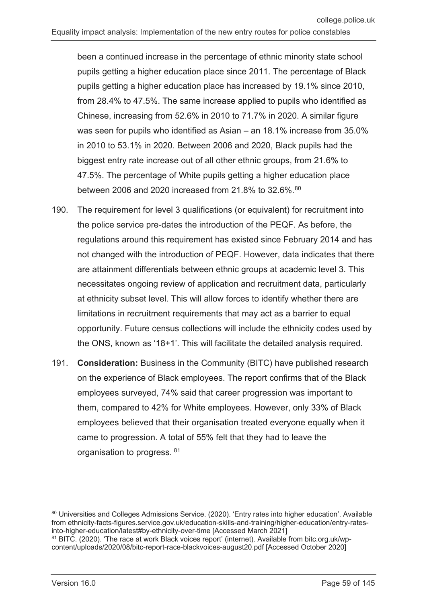been a continued increase in the percentage of ethnic minority state school pupils getting a higher education place since 2011. The percentage of Black pupils getting a higher education place has increased by 19.1% since 2010, from 28.4% to 47.5%. The same increase applied to pupils who identified as Chinese, increasing from 52.6% in 2010 to 71.7% in 2020. A similar figure was seen for pupils who identified as Asian – an 18.1% increase from 35.0% in 2010 to 53.1% in 2020. Between 2006 and 2020, Black pupils had the biggest entry rate increase out of all other ethnic groups, from 21.6% to 47.5%. The percentage of White pupils getting a higher education place between 2006 and 2020 increased from 21.8% to 32.6%.<sup>[80](#page-58-0)</sup>

- 190. The requirement for level 3 qualifications (or equivalent) for recruitment into the police service pre-dates the introduction of the PEQF. As before, the regulations around this requirement has existed since February 2014 and has not changed with the introduction of PEQF. However, data indicates that there are attainment differentials between ethnic groups at academic level 3. This necessitates ongoing review of application and recruitment data, particularly at ethnicity subset level. This will allow forces to identify whether there are limitations in recruitment requirements that may act as a barrier to equal opportunity. Future census collections will include the ethnicity codes used by the ONS, known as '18+1'. This will facilitate the detailed analysis required.
- 191. **Consideration:** Business in the Community (BITC) have published research on the experience of Black employees. The report confirms that of the Black employees surveyed, 74% said that career progression was important to them, compared to 42% for White employees. However, only 33% of Black employees believed that their organisation treated everyone equally when it came to progression. A total of 55% felt that they had to leave the organisation to progress. [81](#page-58-1)

 $\overline{a}$ 

<span id="page-58-0"></span><sup>80</sup> Universities and Colleges Admissions Service. (2020). 'Entry rates into higher education'. Available from ethnicity-facts-figures.service.gov.uk/education-skills-and-training/higher-education/entry-ratesinto-higher-education/latest#by-ethnicity-over-time [Accessed March 2021]

<span id="page-58-1"></span><sup>&</sup>lt;sup>81</sup> BITC. (2020). 'The race at work Black voices report' (internet). Available from bitc.org.uk/wpcontent/uploads/2020/08/bitc-report-race-blackvoices-august20.pdf [Accessed October 2020]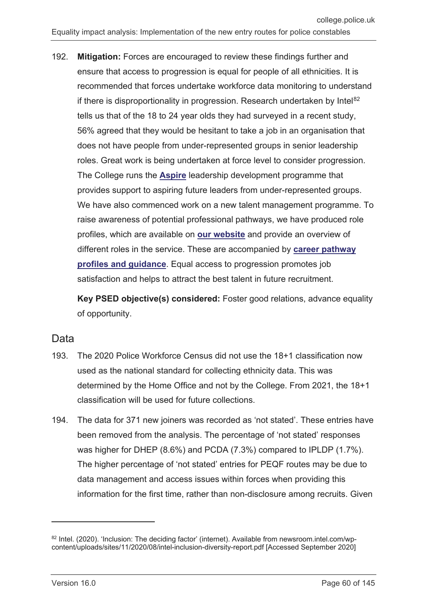192. **Mitigation:** Forces are encouraged to review these findings further and ensure that access to progression is equal for people of all ethnicities. It is recommended that forces undertake workforce data monitoring to understand if there is disproportionality in progression. Research undertaken by Intel<sup>[82](#page-59-0)</sup> tells us that of the 18 to 24 year olds they had surveyed in a recent study, 56% agreed that they would be hesitant to take a job in an organisation that does not have people from under-represented groups in senior leadership roles. Great work is being undertaken at force level to consider progression. The College runs the **[Aspire](https://www.college.police.uk/career-learning/learning/courses/aspire-leadership-development-programme)** leadership development programme that provides support to aspiring future leaders from under-represented groups. We have also commenced work on a new talent management programme. To raise awareness of potential professional pathways, we have produced role profiles, which are available on **[our website](https://profdev.college.police.uk/professional-profiles/profiles/)** and provide an overview of different roles in the service. These are accompanied by **[career pathway](https://www.college.police.uk/career-learning/career-development/career-pathways/investigation/detective-sergeant-lucy-edgeworth)  [profiles and guidance](https://www.college.police.uk/career-learning/career-development/career-pathways/investigation/detective-sergeant-lucy-edgeworth)**. Equal access to progression promotes job satisfaction and helps to attract the best talent in future recruitment.

**Key PSED objective(s) considered:** Foster good relations, advance equality of opportunity.

#### Data

- 193. The 2020 Police Workforce Census did not use the 18+1 classification now used as the national standard for collecting ethnicity data. This was determined by the Home Office and not by the College. From 2021, the 18+1 classification will be used for future collections.
- 194. The data for 371 new joiners was recorded as 'not stated'. These entries have been removed from the analysis. The percentage of 'not stated' responses was higher for DHEP (8.6%) and PCDA (7.3%) compared to IPLDP (1.7%). The higher percentage of 'not stated' entries for PEQF routes may be due to data management and access issues within forces when providing this information for the first time, rather than non-disclosure among recruits. Given

 $\overline{a}$ 

<span id="page-59-0"></span><sup>82</sup> Intel. (2020). 'Inclusion: The deciding factor' (internet). Available from newsroom.intel.com/wpcontent/uploads/sites/11/2020/08/intel-inclusion-diversity-report.pdf [Accessed September 2020]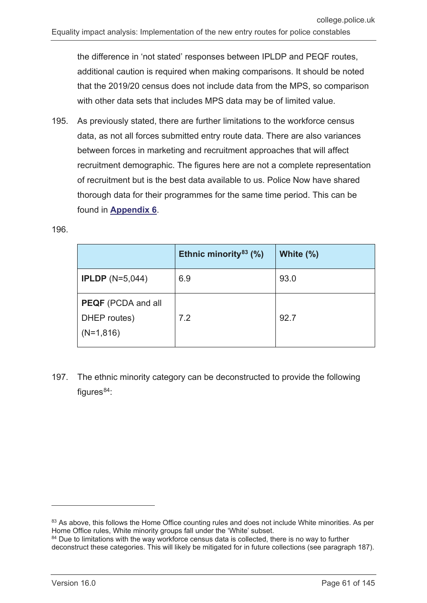the difference in 'not stated' responses between IPLDP and PEQF routes, additional caution is required when making comparisons. It should be noted that the 2019/20 census does not include data from the MPS, so comparison with other data sets that includes MPS data may be of limited value.

195. As previously stated, there are further limitations to the workforce census data, as not all forces submitted entry route data. There are also variances between forces in marketing and recruitment approaches that will affect recruitment demographic. The figures here are not a complete representation of recruitment but is the best data available to us. Police Now have shared thorough data for their programmes for the same time period. This can be found in **[Appendix 6](#page-142-0)**.

196.

|                                                          | Ethnic minority $83$ (%) | White $(\%)$ |
|----------------------------------------------------------|--------------------------|--------------|
| <b>IPLDP</b> ( $N=5,044$ )                               | 6.9                      | 93.0         |
| <b>PEQF</b> (PCDA and all<br>DHEP routes)<br>$(N=1,816)$ | 7.2                      | 92.7         |

197. The ethnic minority category can be deconstructed to provide the following figures $84$ :

<span id="page-60-0"></span><sup>83</sup> As above, this follows the Home Office counting rules and does not include White minorities. As per Home Office rules, White minority groups fall under the 'White' subset.

<span id="page-60-1"></span><sup>&</sup>lt;sup>84</sup> Due to limitations with the way workforce census data is collected, there is no way to further deconstruct these categories. This will likely be mitigated for in future collections (see paragraph 187).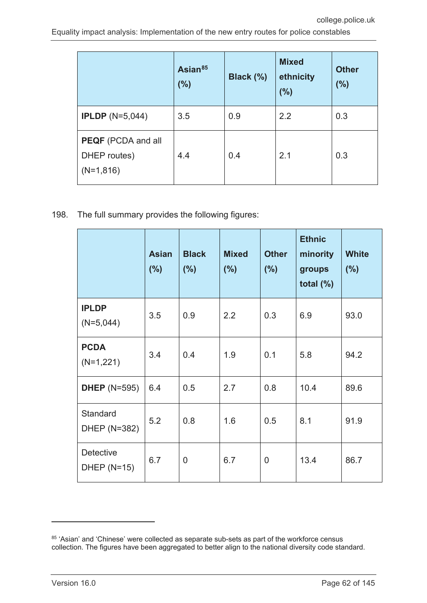|                                                          | Asian <sup>85</sup><br>(%) | Black (%) | <b>Mixed</b><br>ethnicity<br>(%) | <b>Other</b><br>(%) |
|----------------------------------------------------------|----------------------------|-----------|----------------------------------|---------------------|
| <b>IPLDP</b> ( $N=5,044$ )                               | 3.5                        | 0.9       | 2.2                              | 0.3                 |
| <b>PEQF</b> (PCDA and all<br>DHEP routes)<br>$(N=1,816)$ | 4.4                        | 0.4       | 2.1                              | 0.3                 |

198. The full summary provides the following figures:

|                                        | <b>Asian</b><br>(% ) | <b>Black</b><br>(% ) | <b>Mixed</b><br>(%) | <b>Other</b><br>(% ) | <b>Ethnic</b><br>minority<br>groups<br>total $(\%)$ | <b>White</b><br>(% ) |
|----------------------------------------|----------------------|----------------------|---------------------|----------------------|-----------------------------------------------------|----------------------|
| <b>IPLDP</b><br>$(N=5,044)$            | 3.5                  | 0.9                  | 2.2                 | 0.3                  | 6.9                                                 | 93.0                 |
| <b>PCDA</b><br>$(N=1,221)$             | 3.4                  | 0.4                  | 1.9                 | 0.1                  | 5.8                                                 | 94.2                 |
| <b>DHEP</b> (N=595)                    | 6.4                  | 0.5                  | 2.7                 | 0.8                  | 10.4                                                | 89.6                 |
| Standard<br>DHEP (N=382)               | 5.2                  | 0.8                  | 1.6                 | 0.5                  | 8.1                                                 | 91.9                 |
| <b>Detective</b><br><b>DHEP (N=15)</b> | 6.7                  | $\overline{0}$       | 6.7                 | $\overline{0}$       | 13.4                                                | 86.7                 |

 $\overline{a}$ 

<span id="page-61-0"></span> $85$  'Asian' and 'Chinese' were collected as separate sub-sets as part of the workforce census collection. The figures have been aggregated to better align to the national diversity code standard.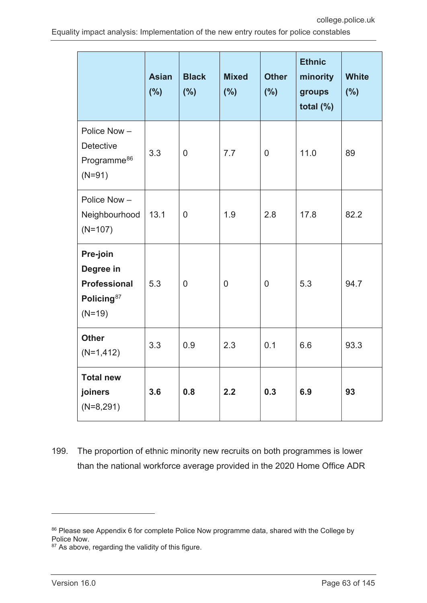|                                                                                    | <b>Asian</b><br>(%) | <b>Black</b><br>(%) | <b>Mixed</b><br>(%) | <b>Other</b><br>(%) | <b>Ethnic</b><br>minority<br>groups<br>total $(\%)$ | <b>White</b><br>(%) |
|------------------------------------------------------------------------------------|---------------------|---------------------|---------------------|---------------------|-----------------------------------------------------|---------------------|
| Police Now-<br><b>Detective</b><br>Programme <sup>86</sup><br>$(N=91)$             | 3.3                 | $\overline{0}$      | 7.7                 | $\overline{0}$      | 11.0                                                | 89                  |
| Police Now-<br>Neighbourhood<br>$(N=107)$                                          | 13.1                | $\overline{0}$      | 1.9                 | 2.8                 | 17.8                                                | 82.2                |
| Pre-join<br>Degree in<br><b>Professional</b><br>Policing <sup>87</sup><br>$(N=19)$ | 5.3                 | $\mathbf 0$         | $\mathbf 0$         | $\overline{0}$      | 5.3                                                 | 94.7                |
| <b>Other</b><br>$(N=1, 412)$                                                       | 3.3                 | 0.9                 | 2.3                 | 0.1                 | 6.6                                                 | 93.3                |
| <b>Total new</b><br>joiners<br>$(N=8,291)$                                         | 3.6                 | 0.8                 | 2.2                 | 0.3                 | 6.9                                                 | 93                  |

199. The proportion of ethnic minority new recruits on both programmes is lower than the national workforce average provided in the 2020 Home Office ADR

<span id="page-62-0"></span><sup>86</sup> Please see Appendix 6 for complete Police Now programme data, shared with the College by Police Now.

<span id="page-62-1"></span><sup>87</sup> As above, regarding the validity of this figure.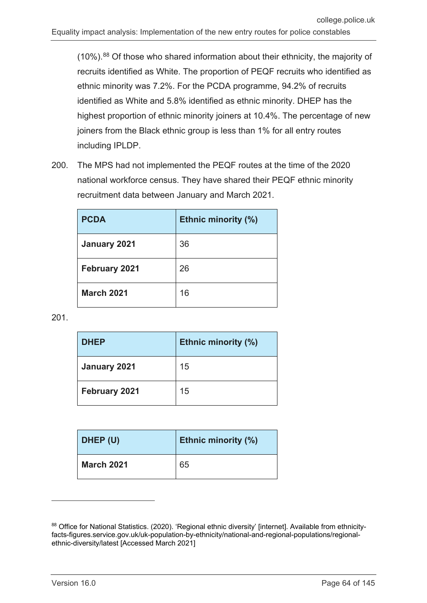$(10\%)$ .<sup>[88](#page-63-0)</sup> Of those who shared information about their ethnicity, the majority of recruits identified as White. The proportion of PEQF recruits who identified as ethnic minority was 7.2%. For the PCDA programme, 94.2% of recruits identified as White and 5.8% identified as ethnic minority. DHEP has the highest proportion of ethnic minority joiners at 10.4%. The percentage of new joiners from the Black ethnic group is less than 1% for all entry routes including IPLDP.

200. The MPS had not implemented the PEQF routes at the time of the 2020 national workforce census. They have shared their PEQF ethnic minority recruitment data between January and March 2021.

| <b>PCDA</b>          | <b>Ethnic minority (%)</b> |
|----------------------|----------------------------|
| January 2021         | 36                         |
| <b>February 2021</b> | 26                         |
| <b>March 2021</b>    | 16                         |

201.

| <b>DHEP</b>   | Ethnic minority (%) |
|---------------|---------------------|
| January 2021  | 15                  |
| February 2021 | 15                  |

| DHEP (U)          | <b>Ethnic minority (%)</b> |
|-------------------|----------------------------|
| <b>March 2021</b> | 65                         |

<span id="page-63-0"></span><sup>88</sup> Office for National Statistics. (2020). 'Regional ethnic diversity' [internet]. Available from ethnicityfacts-figures.service.gov.uk/uk-population-by-ethnicity/national-and-regional-populations/regionalethnic-diversity/latest [Accessed March 2021]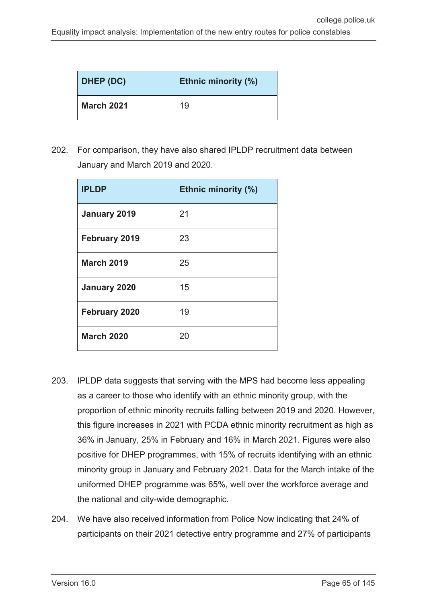| DHEP (DC)         | <b>Ethnic minority (%)</b> |
|-------------------|----------------------------|
| <b>March 2021</b> | 19                         |

202. For comparison, they have also shared IPLDP recruitment data between January and March 2019 and 2020.

| <b>IPLDP</b>         | <b>Ethnic minority (%)</b> |
|----------------------|----------------------------|
| January 2019         | 21                         |
| <b>February 2019</b> | 23                         |
| <b>March 2019</b>    | 25                         |
| January 2020         | 15                         |
| <b>February 2020</b> | 19                         |
| <b>March 2020</b>    | 20                         |

- 203. IPLDP data suggests that serving with the MPS had become less appealing as a career to those who identify with an ethnic minority group, with the proportion of ethnic minority recruits falling between 2019 and 2020. However, this figure increases in 2021 with PCDA ethnic minority recruitment as high as 36% in January, 25% in February and 16% in March 2021. Figures were also positive for DHEP programmes, with 15% of recruits identifying with an ethnic minority group in January and February 2021. Data for the March intake of the uniformed DHEP programme was 65%, well over the workforce average and the national and city-wide demographic.
- 204. We have also received information from Police Now indicating that 24% of participants on their 2021 detective entry programme and 27% of participants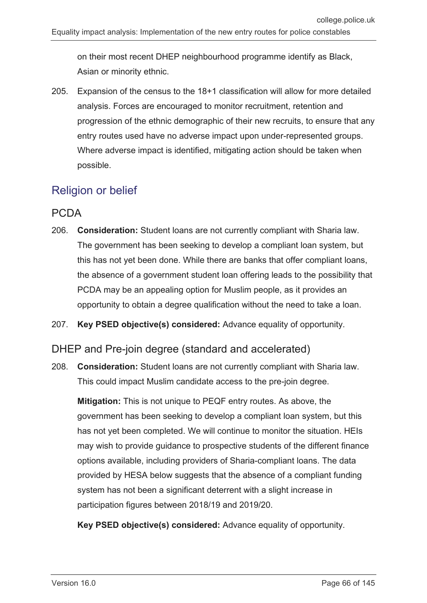on their most recent DHEP neighbourhood programme identify as Black, Asian or minority ethnic.

205. Expansion of the census to the 18+1 classification will allow for more detailed analysis. Forces are encouraged to monitor recruitment, retention and progression of the ethnic demographic of their new recruits, to ensure that any entry routes used have no adverse impact upon under-represented groups. Where adverse impact is identified, mitigating action should be taken when possible.

## Religion or belief

## PCDA

- 206. **Consideration:** Student loans are not currently compliant with Sharia law. The government has been seeking to develop a compliant loan system, but this has not yet been done. While there are banks that offer compliant loans, the absence of a government student loan offering leads to the possibility that PCDA may be an appealing option for Muslim people, as it provides an opportunity to obtain a degree qualification without the need to take a loan.
- 207. **Key PSED objective(s) considered:** Advance equality of opportunity.

#### DHEP and Pre-join degree (standard and accelerated)

208. **Consideration:** Student loans are not currently compliant with Sharia law. This could impact Muslim candidate access to the pre-join degree.

**Mitigation:** This is not unique to PEQF entry routes. As above, the government has been seeking to develop a compliant loan system, but this has not yet been completed. We will continue to monitor the situation. HEIs may wish to provide guidance to prospective students of the different finance options available, including providers of Sharia-compliant loans. The data provided by HESA below suggests that the absence of a compliant funding system has not been a significant deterrent with a slight increase in participation figures between 2018/19 and 2019/20.

**Key PSED objective(s) considered:** Advance equality of opportunity.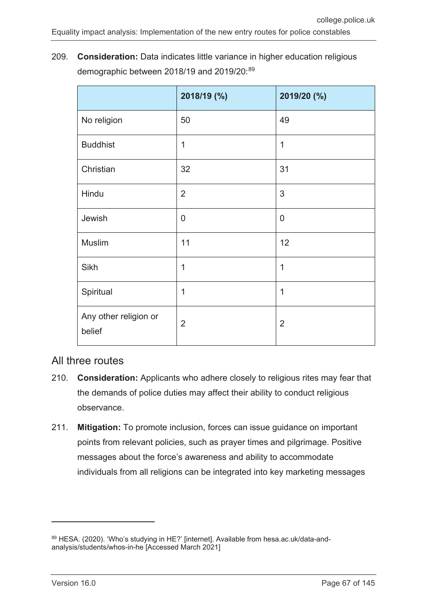209. **Consideration:** Data indicates little variance in higher education religious demographic between 2018/19 and 2019/20:[89](#page-66-0)

|                                 | 2018/19 (%)    | 2019/20 (%)    |
|---------------------------------|----------------|----------------|
| No religion                     | 50             | 49             |
| <b>Buddhist</b>                 | $\overline{1}$ | 1              |
| Christian                       | 32             | 31             |
| Hindu                           | $\overline{2}$ | 3              |
| Jewish                          | $\overline{0}$ | $\overline{0}$ |
| <b>Muslim</b>                   | 11             | 12             |
| Sikh                            | 1              | 1              |
| Spiritual                       | 1              | $\overline{1}$ |
| Any other religion or<br>belief | $\overline{2}$ | $\overline{2}$ |

#### All three routes

- 210. **Consideration:** Applicants who adhere closely to religious rites may fear that the demands of police duties may affect their ability to conduct religious observance.
- 211. **Mitigation:** To promote inclusion, forces can issue guidance on important points from relevant policies, such as prayer times and pilgrimage. Positive messages about the force's awareness and ability to accommodate individuals from all religions can be integrated into key marketing messages

 $\overline{a}$ 

<span id="page-66-0"></span><sup>89</sup> HESA. (2020). 'Who's studying in HE?' [internet]. Available from hesa.ac.uk/data-andanalysis/students/whos-in-he [Accessed March 2021]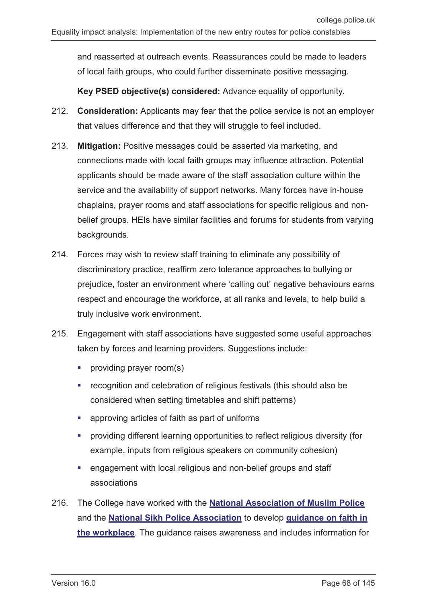and reasserted at outreach events. Reassurances could be made to leaders of local faith groups, who could further disseminate positive messaging.

**Key PSED objective(s) considered:** Advance equality of opportunity.

- 212. **Consideration:** Applicants may fear that the police service is not an employer that values difference and that they will struggle to feel included.
- 213. **Mitigation:** Positive messages could be asserted via marketing, and connections made with local faith groups may influence attraction. Potential applicants should be made aware of the staff association culture within the service and the availability of support networks. Many forces have in-house chaplains, prayer rooms and staff associations for specific religious and nonbelief groups. HEIs have similar facilities and forums for students from varying backgrounds.
- 214. Forces may wish to review staff training to eliminate any possibility of discriminatory practice, reaffirm zero tolerance approaches to bullying or prejudice, foster an environment where 'calling out' negative behaviours earns respect and encourage the workforce, at all ranks and levels, to help build a truly inclusive work environment.
- 215. Engagement with staff associations have suggested some useful approaches taken by forces and learning providers. Suggestions include:
	- **•** providing prayer room(s)
	- **•** recognition and celebration of religious festivals (this should also be considered when setting timetables and shift patterns)
	- approving articles of faith as part of uniforms
	- providing different learning opportunities to reflect religious diversity (for example, inputs from religious speakers on community cohesion)
	- engagement with local religious and non-belief groups and staff associations
- 216. The College have worked with the **[National Association of Muslim Police](https://muslim.police.uk/)** and the **[National Sikh Police Association](https://www.joiningthepolice.co.uk/supporting-diversity/support-organisations/national-sikh-police-association)** to develop **[guidance on faith in](https://www.college.police.uk/support-forces/diversity-and-inclusion)  [the workplace](https://www.college.police.uk/support-forces/diversity-and-inclusion)**. The guidance raises awareness and includes information for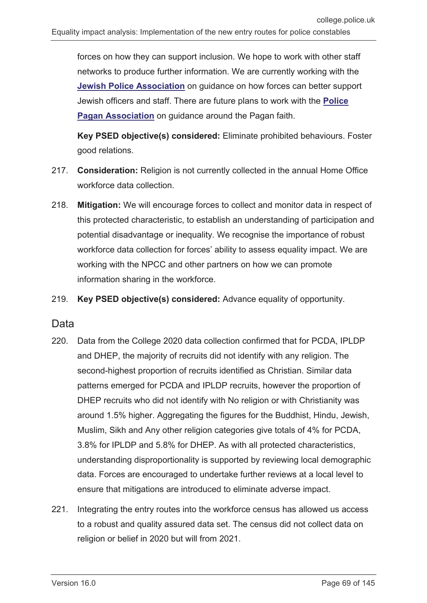forces on how they can support inclusion. We hope to work with other staff networks to produce further information. We are currently working with the **[Jewish Police Association](https://jewishpoliceassociation.org.uk/)** on guidance on how forces can better support Jewish officers and staff. There are future plans to work with the **[Police](https://policepaganassociation.org/)  [Pagan Association](https://policepaganassociation.org/)** on guidance around the Pagan faith.

**Key PSED objective(s) considered:** Eliminate prohibited behaviours. Foster good relations.

- 217. **Consideration:** Religion is not currently collected in the annual Home Office workforce data collection.
- 218. **Mitigation:** We will encourage forces to collect and monitor data in respect of this protected characteristic, to establish an understanding of participation and potential disadvantage or inequality. We recognise the importance of robust workforce data collection for forces' ability to assess equality impact. We are working with the NPCC and other partners on how we can promote information sharing in the workforce.
- 219. **Key PSED objective(s) considered:** Advance equality of opportunity.

#### Data

- 220. Data from the College 2020 data collection confirmed that for PCDA, IPLDP and DHEP, the majority of recruits did not identify with any religion. The second-highest proportion of recruits identified as Christian. Similar data patterns emerged for PCDA and IPLDP recruits, however the proportion of DHEP recruits who did not identify with No religion or with Christianity was around 1.5% higher. Aggregating the figures for the Buddhist, Hindu, Jewish, Muslim, Sikh and Any other religion categories give totals of 4% for PCDA, 3.8% for IPLDP and 5.8% for DHEP. As with all protected characteristics, understanding disproportionality is supported by reviewing local demographic data. Forces are encouraged to undertake further reviews at a local level to ensure that mitigations are introduced to eliminate adverse impact.
- 221. Integrating the entry routes into the workforce census has allowed us access to a robust and quality assured data set. The census did not collect data on religion or belief in 2020 but will from 2021.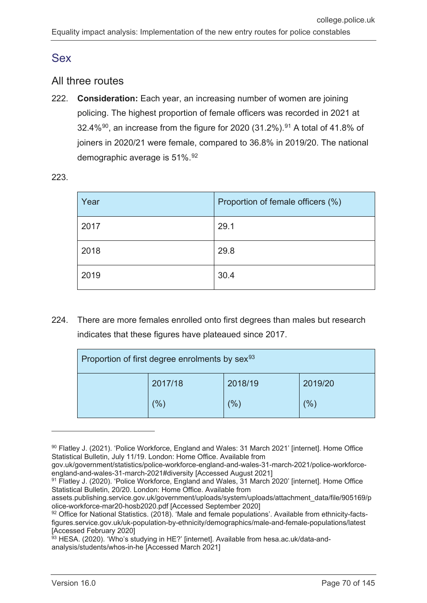## Sex

### All three routes

222. **Consideration:** Each year, an increasing number of women are joining policing. The highest proportion of female officers was recorded in 2021 at 32.4% $^{90}$  $^{90}$  $^{90}$ , an increase from the figure for 2020 (31.2%). $^{91}$  $^{91}$  $^{91}$  A total of 41.8% of joiners in 2020/21 were female, compared to 36.8% in 2019/20. The national demographic average is 51%.<sup>[92](#page-69-2)</sup>

|  | ×<br>۰, |  |
|--|---------|--|

| Year | Proportion of female officers (%) |
|------|-----------------------------------|
| 2017 | 29.1                              |
| 2018 | 29.8                              |
| 2019 | 30.4                              |

224. There are more females enrolled onto first degrees than males but research indicates that these figures have plateaued since 2017.

| Proportion of first degree enrolments by sex <sup>93</sup> |                |         |         |
|------------------------------------------------------------|----------------|---------|---------|
|                                                            | 2017/18        | 2018/19 | 2019/20 |
|                                                            | $\frac{10}{6}$ | $(\%)$  | (%)     |

<span id="page-69-0"></span><sup>90</sup> Flatley J. (2021). 'Police Workforce, England and Wales: 31 March 2021' [internet]. Home Office Statistical Bulletin, July 11/19. London: Home Office. Available from

gov.uk/government/statistics/police-workforce-england-and-wales-31-march-2021/police-workforceengland-and-wales-31-march-2021#diversity [Accessed August 2021]

<span id="page-69-1"></span><sup>91</sup> Flatley J. (2020). 'Police Workforce, England and Wales, 31 March 2020' [internet]. Home Office Statistical Bulletin, 20/20. London: Home Office. Available from

assets.publishing.service.gov.uk/government/uploads/system/uploads/attachment\_data/file/905169/p olice-workforce-mar20-hosb2020.pdf [Accessed September 2020]

<span id="page-69-2"></span><sup>92</sup> Office for National Statistics. (2018). 'Male and female populations'. Available from ethnicity-factsfigures.service.gov.uk/uk-population-by-ethnicity/demographics/male-and-female-populations/latest [Accessed February 2020]

<span id="page-69-3"></span><sup>&</sup>lt;sup>93</sup> HESA. (2020). 'Who's studying in HE?' [internet]. Available from hesa.ac.uk/data-andanalysis/students/whos-in-he [Accessed March 2021]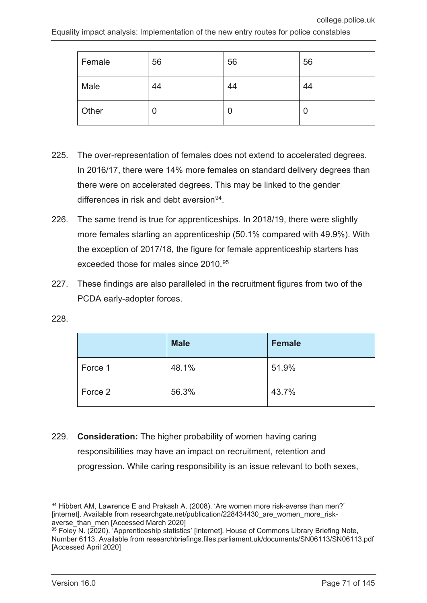| Female | 56 | 56 | 56 |
|--------|----|----|----|
| Male   | 44 | 44 | 44 |
| Other  | u  | U  | U  |

- 225. The over-representation of females does not extend to accelerated degrees. In 2016/17, there were 14% more females on standard delivery degrees than there were on accelerated degrees. This may be linked to the gender differences in risk and debt aversion $94$ .
- 226. The same trend is true for apprenticeships. In 2018/19, there were slightly more females starting an apprenticeship (50.1% compared with 49.9%). With the exception of 2017/18, the figure for female apprenticeship starters has exceeded those for males since 2010.[95](#page-70-1)
- 227. These findings are also paralleled in the recruitment figures from two of the PCDA early-adopter forces.

|  | ۰. |  |
|--|----|--|

|         | <b>Male</b> | <b>Female</b> |
|---------|-------------|---------------|
| Force 1 | 48.1%       | 51.9%         |
| Force 2 | 56.3%       | 43.7%         |

229. **Consideration:** The higher probability of women having caring responsibilities may have an impact on recruitment, retention and progression. While caring responsibility is an issue relevant to both sexes,

<span id="page-70-0"></span><sup>94</sup> Hibbert AM, Lawrence E and Prakash A. (2008). 'Are women more risk-averse than men?' [internet]. Available from researchgate.net/publication/228434430\_are\_women\_more\_riskaverse\_than\_men [Accessed March 2020]

<span id="page-70-1"></span> $95$  Foley N. (2020). Apprenticeship statistics' [internet]. House of Commons Library Briefing Note, Number 6113. Available from researchbriefings.files.parliament.uk/documents/SN06113/SN06113.pdf [Accessed April 2020]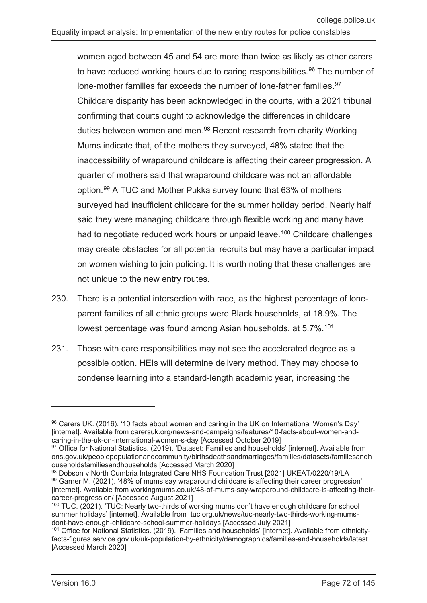women aged between 45 and 54 are more than twice as likely as other carers to have reduced working hours due to caring responsibilities.<sup>[96](#page-71-0)</sup> The number of lone-mother families far exceeds the number of lone-father families.<sup>[97](#page-71-1)</sup> Childcare disparity has been acknowledged in the courts, with a 2021 tribunal confirming that courts ought to acknowledge the differences in childcare duties between women and men.<sup>[98](#page-71-2)</sup> Recent research from charity Working Mums indicate that, of the mothers they surveyed, 48% stated that the inaccessibility of wraparound childcare is affecting their career progression. A quarter of mothers said that wraparound childcare was not an affordable option.[99](#page-71-3) A TUC and Mother Pukka survey found that 63% of mothers surveyed had insufficient childcare for the summer holiday period. Nearly half said they were managing childcare through flexible working and many have had to negotiate reduced work hours or unpaid leave.<sup>[100](#page-71-4)</sup> Childcare challenges may create obstacles for all potential recruits but may have a particular impact on women wishing to join policing. It is worth noting that these challenges are not unique to the new entry routes.

- 230. There is a potential intersection with race, as the highest percentage of loneparent families of all ethnic groups were Black households, at 18.9%. The lowest percentage was found among Asian households, at 5.7%.<sup>[101](#page-71-5)</sup>
- 231. Those with care responsibilities may not see the accelerated degree as a possible option. HEIs will determine delivery method. They may choose to condense learning into a standard-length academic year, increasing the

<span id="page-71-0"></span><sup>96</sup> Carers UK. (2016). '10 facts about women and caring in the UK on International Women's Day' [internet]. Available from carersuk.org/news-and-campaigns/features/10-facts-about-women-andcaring-in-the-uk-on-international-women-s-day [Accessed October 2019]

<span id="page-71-1"></span><sup>97</sup> Office for National Statistics. (2019). 'Dataset: Families and households' [internet]. Available from ons.gov.uk/peoplepopulationandcommunity/birthsdeathsandmarriages/families/datasets/familiesandh ouseholdsfamiliesandhouseholds [Accessed March 2020]

<span id="page-71-3"></span><span id="page-71-2"></span><sup>98</sup> Dobson v North Cumbria Integrated Care NHS Foundation Trust [2021] UKEAT/0220/19/LA 99 Garner M. (2021). '48% of mums say wraparound childcare is affecting their career progression' [internet]. Available from workingmums.co.uk/48-of-mums-say-wraparound-childcare-is-affecting-theircareer-progression/ [Accessed August 2021]

<span id="page-71-4"></span><sup>100</sup> TUC. (2021). 'TUC: Nearly two-thirds of working mums don't have enough childcare for school summer holidays' [internet]. Available from tuc.org.uk/news/tuc-nearly-two-thirds-working-mumsdont-have-enough-childcare-school-summer-holidays [Accessed July 2021]

<span id="page-71-5"></span><sup>101</sup> Office for National Statistics. (2019). 'Families and households' [internet]. Available from ethnicityfacts-figures.service.gov.uk/uk-population-by-ethnicity/demographics/families-and-households/latest [Accessed March 2020]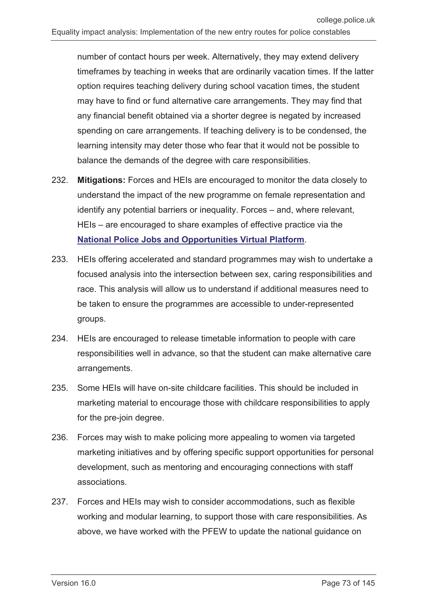number of contact hours per week. Alternatively, they may extend delivery timeframes by teaching in weeks that are ordinarily vacation times. If the latter option requires teaching delivery during school vacation times, the student may have to find or fund alternative care arrangements. They may find that any financial benefit obtained via a shorter degree is negated by increased spending on care arrangements. If teaching delivery is to be condensed, the learning intensity may deter those who fear that it would not be possible to balance the demands of the degree with care responsibilities.

- 232. **Mitigations:** Forces and HEIs are encouraged to monitor the data closely to understand the impact of the new programme on female representation and identify any potential barriers or inequality. Forces – and, where relevant, HEIs – are encouraged to share examples of effective practice via the **[National Police Jobs and Opportunities Virtual Platform](https://recruit.college.police.uk/Pages/home.aspx)**.
- 233. HEIs offering accelerated and standard programmes may wish to undertake a focused analysis into the intersection between sex, caring responsibilities and race. This analysis will allow us to understand if additional measures need to be taken to ensure the programmes are accessible to under-represented groups.
- 234. HEIs are encouraged to release timetable information to people with care responsibilities well in advance, so that the student can make alternative care arrangements.
- 235. Some HEIs will have on-site childcare facilities. This should be included in marketing material to encourage those with childcare responsibilities to apply for the pre-join degree.
- 236. Forces may wish to make policing more appealing to women via targeted marketing initiatives and by offering specific support opportunities for personal development, such as mentoring and encouraging connections with staff associations.
- 237. Forces and HEIs may wish to consider accommodations, such as flexible working and modular learning, to support those with care responsibilities. As above, we have worked with the PFEW to update the national guidance on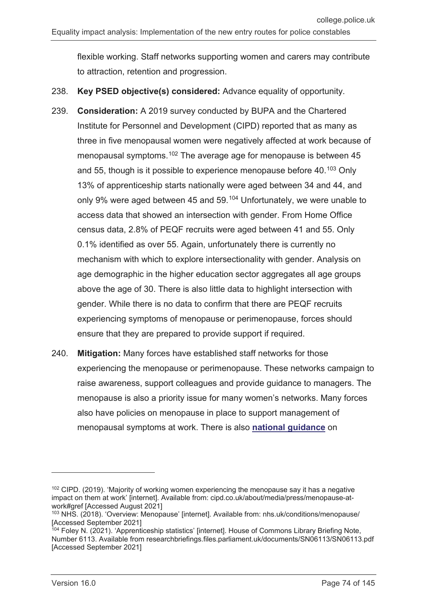flexible working. Staff networks supporting women and carers may contribute to attraction, retention and progression.

- 238. **Key PSED objective(s) considered:** Advance equality of opportunity.
- 239. **Consideration:** A 2019 survey conducted by BUPA and the Chartered Institute for Personnel and Development (CIPD) reported that as many as three in five menopausal women were negatively affected at work because of menopausal symptoms.<sup>[102](#page-73-0)</sup> The average age for menopause is between 45 and 55, though is it possible to experience menopause before 40.<sup>[103](#page-73-1)</sup> Only 13% of apprenticeship starts nationally were aged between 34 and 44, and only 9% were aged between 45 and 59.<sup>[104](#page-73-2)</sup> Unfortunately, we were unable to access data that showed an intersection with gender. From Home Office census data, 2.8% of PEQF recruits were aged between 41 and 55. Only 0.1% identified as over 55. Again, unfortunately there is currently no mechanism with which to explore intersectionality with gender. Analysis on age demographic in the higher education sector aggregates all age groups above the age of 30. There is also little data to highlight intersection with gender. While there is no data to confirm that there are PEQF recruits experiencing symptoms of menopause or perimenopause, forces should ensure that they are prepared to provide support if required.
- 240. **Mitigation:** Many forces have established staff networks for those experiencing the menopause or perimenopause. These networks campaign to raise awareness, support colleagues and provide guidance to managers. The menopause is also a priority issue for many women's networks. Many forces also have policies on menopause in place to support management of menopausal symptoms at work. There is also **[national guidance](https://www.polfed.org/media/15097/menopause-guidance-document-2019.pdf)** on

 $\overline{a}$ 

<span id="page-73-0"></span> $102$  CIPD. (2019). 'Majority of working women experiencing the menopause say it has a negative impact on them at work' [internet]. Available from: cipd.co.uk/about/media/press/menopause-atwork#gref [Accessed August 2021]

<span id="page-73-1"></span><sup>103</sup> NHS. (2018). 'Overview: Menopause' [internet]. Available from: nhs.uk/conditions/menopause/ [Accessed September 2021]

<span id="page-73-2"></span><sup>&</sup>lt;sup>104</sup> Foley N. (2021). 'Apprenticeship statistics' [internet]. House of Commons Library Briefing Note, Number 6113. Available from researchbriefings.files.parliament.uk/documents/SN06113/SN06113.pdf [Accessed September 2021]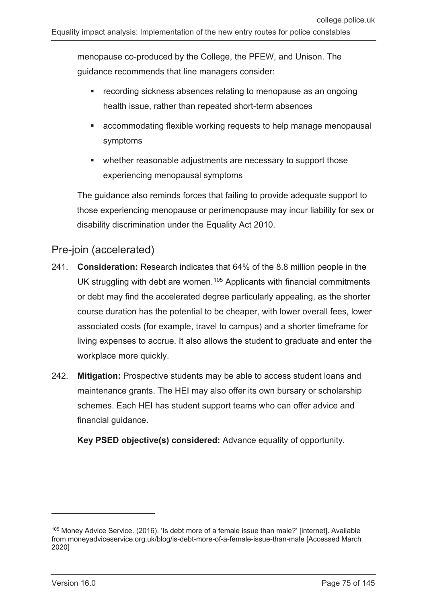menopause co-produced by the College, the PFEW, and Unison. The guidance recommends that line managers consider:

- recording sickness absences relating to menopause as an ongoing health issue, rather than repeated short-term absences
- accommodating flexible working requests to help manage menopausal symptoms
- whether reasonable adjustments are necessary to support those experiencing menopausal symptoms

The guidance also reminds forces that failing to provide adequate support to those experiencing menopause or perimenopause may incur liability for sex or disability discrimination under the Equality Act 2010.

### Pre-join (accelerated)

- 241. **Consideration:** Research indicates that 64% of the 8.8 million people in the UK struggling with debt are women.<sup>[105](#page-74-0)</sup> Applicants with financial commitments or debt may find the accelerated degree particularly appealing, as the shorter course duration has the potential to be cheaper, with lower overall fees, lower associated costs (for example, travel to campus) and a shorter timeframe for living expenses to accrue. It also allows the student to graduate and enter the workplace more quickly.
- 242. **Mitigation:** Prospective students may be able to access student loans and maintenance grants. The HEI may also offer its own bursary or scholarship schemes. Each HEI has student support teams who can offer advice and financial guidance.

**Key PSED objective(s) considered:** Advance equality of opportunity.

<span id="page-74-0"></span><sup>105</sup> Money Advice Service. (2016). 'Is debt more of a female issue than male?' [internet]. Available from moneyadviceservice.org.uk/blog/is-debt-more-of-a-female-issue-than-male [Accessed March 2020]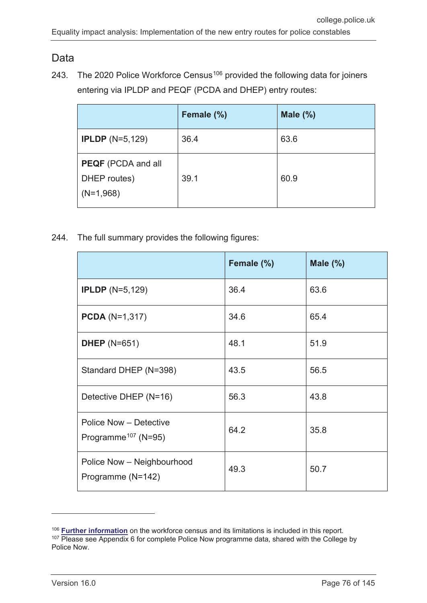### Data

243. The 2020 Police Workforce Census<sup>[106](#page-75-0)</sup> provided the following data for joiners entering via IPLDP and PEQF (PCDA and DHEP) entry routes:

|                                                          | Female (%) | Male $(\%)$ |
|----------------------------------------------------------|------------|-------------|
| <b>IPLDP</b> $(N=5,129)$                                 | 36.4       | 63.6        |
| <b>PEQF</b> (PCDA and all<br>DHEP routes)<br>$(N=1,968)$ | 39.1       | 60.9        |

244. The full summary provides the following figures:

|                                                           | Female (%) | Male $(\%)$ |
|-----------------------------------------------------------|------------|-------------|
| <b>IPLDP</b> $(N=5,129)$                                  | 36.4       | 63.6        |
| <b>PCDA</b> ( $N=1,317$ )                                 | 34.6       | 65.4        |
| <b>DHEP</b> (N=651)                                       | 48.1       | 51.9        |
| Standard DHEP (N=398)                                     | 43.5       | 56.5        |
| Detective DHEP (N=16)                                     | 56.3       | 43.8        |
| Police Now - Detective<br>Programme <sup>107</sup> (N=95) | 64.2       | 35.8        |
| Police Now - Neighbourhood<br>Programme (N=142)           | 49.3       | 50.7        |

<span id="page-75-1"></span><span id="page-75-0"></span><sup>106</sup> **[Further information](#page-17-0)** on the workforce census and its limitations is included in this report.  $107$  Please see Appendix 6 for complete Police Now programme data, shared with the College by Police Now.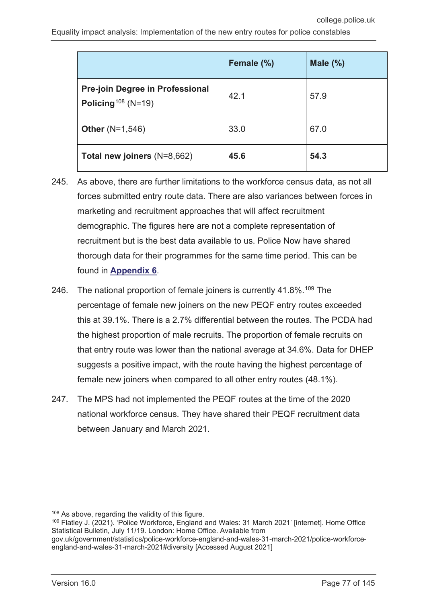|                                                                          | Female (%) | Male $(\%)$ |
|--------------------------------------------------------------------------|------------|-------------|
| <b>Pre-join Degree in Professional</b><br>Policing <sup>108</sup> (N=19) | 42.1       | 57.9        |
| <b>Other</b> $(N=1,546)$                                                 | 33.0       | 67.0        |
| Total new joiners (N=8,662)                                              | 45.6       | 54.3        |

- 245. As above, there are further limitations to the workforce census data, as not all forces submitted entry route data. There are also variances between forces in marketing and recruitment approaches that will affect recruitment demographic. The figures here are not a complete representation of recruitment but is the best data available to us. Police Now have shared thorough data for their programmes for the same time period. This can be found in **[Appendix 6](#page-142-0)**.
- 246. The national proportion of female joiners is currently 41.8%.<sup>[109](#page-76-1)</sup> The percentage of female new joiners on the new PEQF entry routes exceeded this at 39.1%. There is a 2.7% differential between the routes. The PCDA had the highest proportion of male recruits. The proportion of female recruits on that entry route was lower than the national average at 34.6%. Data for DHEP suggests a positive impact, with the route having the highest percentage of female new joiners when compared to all other entry routes (48.1%).
- 247. The MPS had not implemented the PEQF routes at the time of the 2020 national workforce census. They have shared their PEQF recruitment data between January and March 2021.

<span id="page-76-1"></span><span id="page-76-0"></span><sup>109</sup> Flatley J. (2021). 'Police Workforce, England and Wales: 31 March 2021' [internet]. Home Office Statistical Bulletin, July 11/19. London: Home Office. Available from gov.uk/government/statistics/police-workforce-england-and-wales-31-march-2021/police-workforceengland-and-wales-31-march-2021#diversity [Accessed August 2021]

 $\overline{a}$ 

<sup>&</sup>lt;sup>108</sup> As above, regarding the validity of this figure.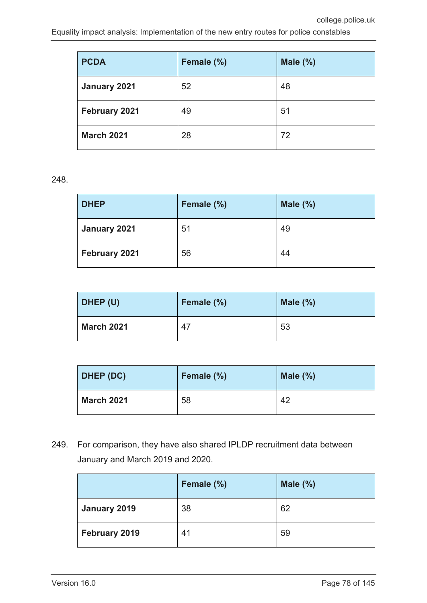| <b>PCDA</b>       | Female (%) | Male $(\%)$ |
|-------------------|------------|-------------|
| January 2021      | 52         | 48          |
| February 2021     | 49         | 51          |
| <b>March 2021</b> | 28         | 72          |

248.

| <b>DHEP</b>   | Female (%) | Male $(\%)$ |
|---------------|------------|-------------|
| January 2021  | 51         | 49          |
| February 2021 | 56         | 44          |

| DHEP (U)          | Female (%) | Male $(\%)$ |
|-------------------|------------|-------------|
| <b>March 2021</b> | 47         | 53          |

| DHEP (DC)         | Female (%) | Male $(\%)$ |
|-------------------|------------|-------------|
| <b>March 2021</b> | 58         | 42          |

249. For comparison, they have also shared IPLDP recruitment data between January and March 2019 and 2020.

|               | Female (%) | Male $(\%)$ |
|---------------|------------|-------------|
| January 2019  | 38         | 62          |
| February 2019 | 41         | 59          |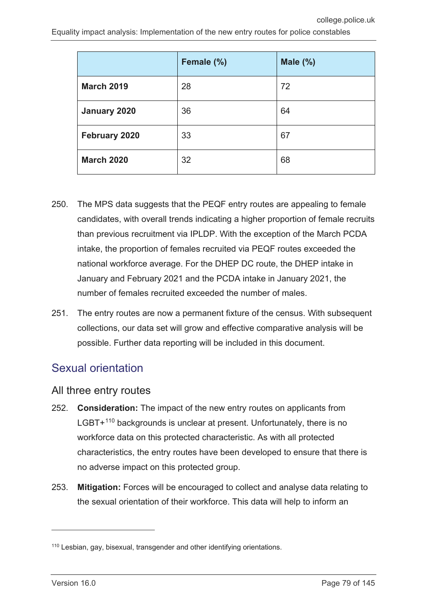|                   | Female (%) | Male $(\%)$ |
|-------------------|------------|-------------|
| <b>March 2019</b> | 28         | 72          |
| January 2020      | 36         | 64          |
| February 2020     | 33         | 67          |
| <b>March 2020</b> | 32         | 68          |

- 250. The MPS data suggests that the PEQF entry routes are appealing to female candidates, with overall trends indicating a higher proportion of female recruits than previous recruitment via IPLDP. With the exception of the March PCDA intake, the proportion of females recruited via PEQF routes exceeded the national workforce average. For the DHEP DC route, the DHEP intake in January and February 2021 and the PCDA intake in January 2021, the number of females recruited exceeded the number of males.
- 251. The entry routes are now a permanent fixture of the census. With subsequent collections, our data set will grow and effective comparative analysis will be possible. Further data reporting will be included in this document.

### Sexual orientation

### All three entry routes

- 252. **Consideration:** The impact of the new entry routes on applicants from LGBT+<sup>[110](#page-78-0)</sup> backgrounds is unclear at present. Unfortunately, there is no workforce data on this protected characteristic. As with all protected characteristics, the entry routes have been developed to ensure that there is no adverse impact on this protected group.
- 253. **Mitigation:** Forces will be encouraged to collect and analyse data relating to the sexual orientation of their workforce. This data will help to inform an

<span id="page-78-0"></span><sup>110</sup> Lesbian, gay, bisexual, transgender and other identifying orientations.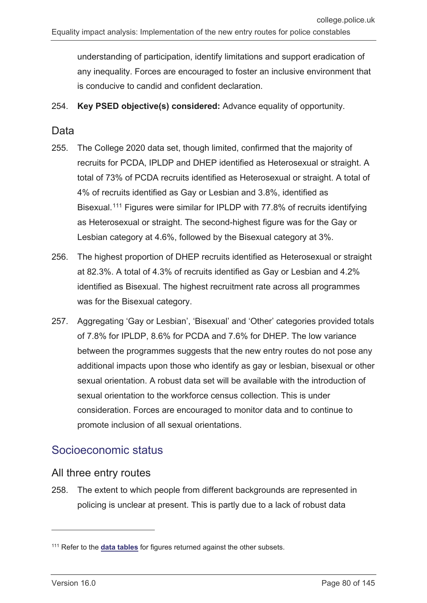understanding of participation, identify limitations and support eradication of any inequality. Forces are encouraged to foster an inclusive environment that is conducive to candid and confident declaration.

254. **Key PSED objective(s) considered:** Advance equality of opportunity.

### **Data**

- 255. The College 2020 data set, though limited, confirmed that the majority of recruits for PCDA, IPLDP and DHEP identified as Heterosexual or straight. A total of 73% of PCDA recruits identified as Heterosexual or straight. A total of 4% of recruits identified as Gay or Lesbian and 3.8%, identified as Bisexual.[111](#page-79-0) Figures were similar for IPLDP with 77.8% of recruits identifying as Heterosexual or straight. The second-highest figure was for the Gay or Lesbian category at 4.6%, followed by the Bisexual category at 3%.
- 256. The highest proportion of DHEP recruits identified as Heterosexual or straight at 82.3%. A total of 4.3% of recruits identified as Gay or Lesbian and 4.2% identified as Bisexual. The highest recruitment rate across all programmes was for the Bisexual category.
- 257. Aggregating 'Gay or Lesbian', 'Bisexual' and 'Other' categories provided totals of 7.8% for IPLDP, 8.6% for PCDA and 7.6% for DHEP. The low variance between the programmes suggests that the new entry routes do not pose any additional impacts upon those who identify as gay or lesbian, bisexual or other sexual orientation. A robust data set will be available with the introduction of sexual orientation to the workforce census collection. This is under consideration. Forces are encouraged to monitor data and to continue to promote inclusion of all sexual orientations.

### Socioeconomic status

### All three entry routes

258. The extent to which people from different backgrounds are represented in policing is unclear at present. This is partly due to a lack of robust data

<span id="page-79-0"></span><sup>111</sup> Refer to the **data tables** for figures returned against the other subsets.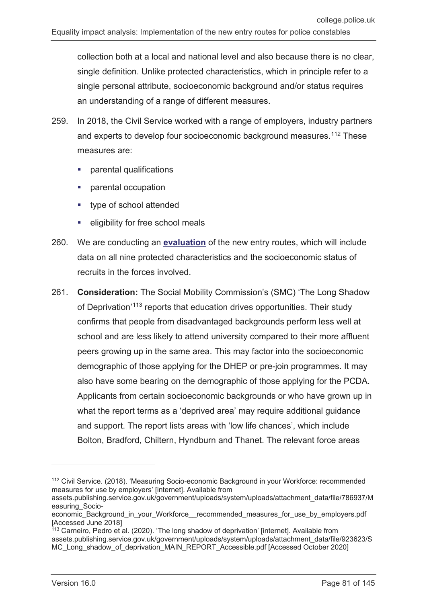collection both at a local and national level and also because there is no clear, single definition. Unlike protected characteristics, which in principle refer to a single personal attribute, socioeconomic background and/or status requires an understanding of a range of different measures.

- 259. In 2018, the Civil Service worked with a range of employers, industry partners and experts to develop four socioeconomic background measures.<sup>[112](#page-80-0)</sup> These measures are:
	- parental qualifications
	- parental occupation
	- type of school attended
	- eligibility for free school meals
- 260. We are conducting an **[evaluation](https://whatworks.college.police.uk/Research/Documents/PCDA_evaluation.pdf)** of the new entry routes, which will include data on all nine protected characteristics and the socioeconomic status of recruits in the forces involved.
- 261. **Consideration:** The Social Mobility Commission's (SMC) 'The Long Shadow of Deprivation'<sup>[113](#page-80-1)</sup> reports that education drives opportunities. Their study confirms that people from disadvantaged backgrounds perform less well at school and are less likely to attend university compared to their more affluent peers growing up in the same area. This may factor into the socioeconomic demographic of those applying for the DHEP or pre-join programmes. It may also have some bearing on the demographic of those applying for the PCDA. Applicants from certain socioeconomic backgrounds or who have grown up in what the report terms as a 'deprived area' may require additional guidance and support. The report lists areas with 'low life chances', which include Bolton, Bradford, Chiltern, Hyndburn and Thanet. The relevant force areas

<span id="page-80-0"></span><sup>&</sup>lt;sup>112</sup> Civil Service. (2018). 'Measuring Socio-economic Background in your Workforce: recommended measures for use by employers' [internet]. Available from

assets.publishing.service.gov.uk/government/uploads/system/uploads/attachment\_data/file/786937/M easuring\_Socio-

economic\_Background\_in\_your\_Workforce\_\_recommended\_measures\_for\_use\_by\_employers.pdf [Accessed June 2018]

<span id="page-80-1"></span><sup>&</sup>lt;sup>113</sup> Carneiro, Pedro et al. (2020). 'The long shadow of deprivation' [internet]. Available from assets.publishing.service.gov.uk/government/uploads/system/uploads/attachment\_data/file/923623/S MC\_Long\_shadow\_of\_deprivation\_MAIN\_REPORT\_Accessible.pdf [Accessed October 2020]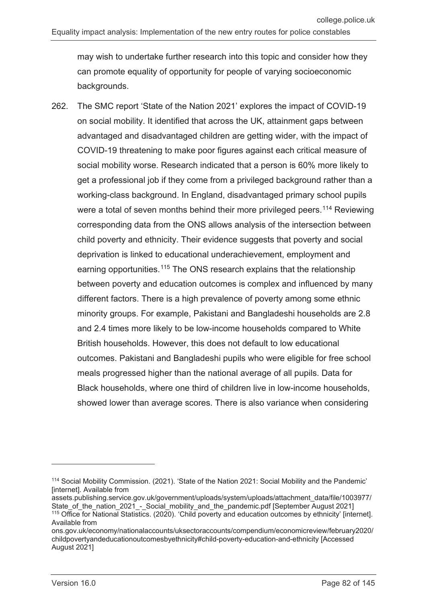may wish to undertake further research into this topic and consider how they can promote equality of opportunity for people of varying socioeconomic backgrounds.

262. The SMC report 'State of the Nation 2021' explores the impact of COVID-19 on social mobility. It identified that across the UK, attainment gaps between advantaged and disadvantaged children are getting wider, with the impact of COVID-19 threatening to make poor figures against each critical measure of social mobility worse. Research indicated that a person is 60% more likely to get a professional job if they come from a privileged background rather than a working-class background. In England, disadvantaged primary school pupils were a total of seven months behind their more privileged peers.<sup>[114](#page-81-0)</sup> Reviewing corresponding data from the ONS allows analysis of the intersection between child poverty and ethnicity. Their evidence suggests that poverty and social deprivation is linked to educational underachievement, employment and earning opportunities.<sup>[115](#page-81-1)</sup> The ONS research explains that the relationship between poverty and education outcomes is complex and influenced by many different factors. There is a high prevalence of poverty among some ethnic minority groups. For example, Pakistani and Bangladeshi households are 2.8 and 2.4 times more likely to be low-income households compared to White British households. However, this does not default to low educational outcomes. Pakistani and Bangladeshi pupils who were eligible for free school meals progressed higher than the national average of all pupils. Data for Black households, where one third of children live in low-income households, showed lower than average scores. There is also variance when considering

<span id="page-81-0"></span><sup>114</sup> Social Mobility Commission. (2021). 'State of the Nation 2021: Social Mobility and the Pandemic' [internet]. Available from

assets.publishing.service.gov.uk/government/uploads/system/uploads/attachment\_data/file/1003977/ State\_of\_the\_nation\_2021\_-\_Social\_mobility\_and\_the\_pandemic.pdf [September August 2021] <sup>115</sup> Office for National Statistics. (2020). 'Child poverty and education outcomes by ethnicity' [internet]. Available from

<span id="page-81-1"></span>ons.gov.uk/economy/nationalaccounts/uksectoraccounts/compendium/economicreview/february2020/ childpovertyandeducationoutcomesbyethnicity#child-poverty-education-and-ethnicity [Accessed August 2021]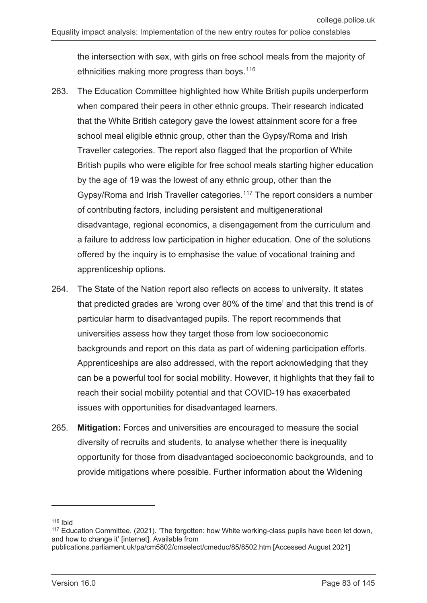the intersection with sex, with girls on free school meals from the majority of ethnicities making more progress than boys.<sup>116</sup>

- 263. The Education Committee highlighted how White British pupils underperform when compared their peers in other ethnic groups. Their research indicated that the White British category gave the lowest attainment score for a free school meal eligible ethnic group, other than the Gypsy/Roma and Irish Traveller categories. The report also flagged that the proportion of White British pupils who were eligible for free school meals starting higher education by the age of 19 was the lowest of any ethnic group, other than the Gypsy/Roma and Irish Traveller categories.<sup>[117](#page-82-1)</sup> The report considers a number of contributing factors, including persistent and multigenerational disadvantage, regional economics, a disengagement from the curriculum and a failure to address low participation in higher education. One of the solutions offered by the inquiry is to emphasise the value of vocational training and apprenticeship options.
- 264. The State of the Nation report also reflects on access to university. It states that predicted grades are 'wrong over 80% of the time' and that this trend is of particular harm to disadvantaged pupils. The report recommends that universities assess how they target those from low socioeconomic backgrounds and report on this data as part of widening participation efforts. Apprenticeships are also addressed, with the report acknowledging that they can be a powerful tool for social mobility. However, it highlights that they fail to reach their social mobility potential and that COVID-19 has exacerbated issues with opportunities for disadvantaged learners.
- 265. **Mitigation:** Forces and universities are encouraged to measure the social diversity of recruits and students, to analyse whether there is inequality opportunity for those from disadvantaged socioeconomic backgrounds, and to provide mitigations where possible. Further information about the Widening

<span id="page-82-0"></span> $116$  Ibid

<span id="page-82-1"></span><sup>&</sup>lt;sup>117</sup> Education Committee. (2021). 'The forgotten: how White working-class pupils have been let down, and how to change it' [internet]. Available from

publications.parliament.uk/pa/cm5802/cmselect/cmeduc/85/8502.htm [Accessed August 2021]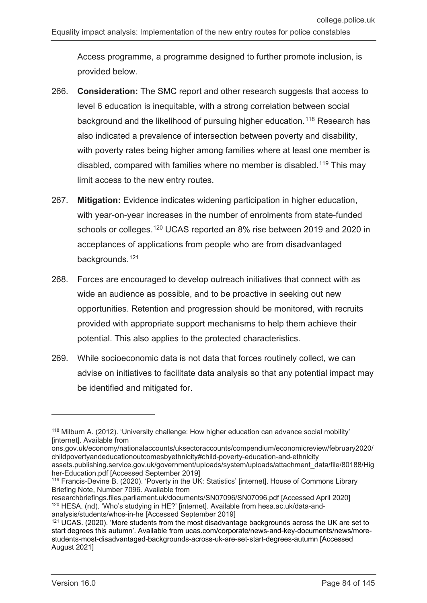Access programme, a programme designed to further promote inclusion, is provided below.

- 266. **Consideration:** The SMC report and other research suggests that access to level 6 education is inequitable, with a strong correlation between social background and the likelihood of pursuing higher education.<sup>[118](#page-83-0)</sup> Research has also indicated a prevalence of intersection between poverty and disability, with poverty rates being higher among families where at least one member is disabled, compared with families where no member is disabled.[119](#page-83-1) This may limit access to the new entry routes.
- 267. **Mitigation:** Evidence indicates widening participation in higher education, with year-on-year increases in the number of enrolments from state-funded schools or colleges.[120](#page-83-2) UCAS reported an 8% rise between 2019 and 2020 in acceptances of applications from people who are from disadvantaged backgrounds. [121](#page-83-3)
- 268. Forces are encouraged to develop outreach initiatives that connect with as wide an audience as possible, and to be proactive in seeking out new opportunities. Retention and progression should be monitored, with recruits provided with appropriate support mechanisms to help them achieve their potential. This also applies to the protected characteristics.
- 269. While socioeconomic data is not data that forces routinely collect, we can advise on initiatives to facilitate data analysis so that any potential impact may be identified and mitigated for.

<span id="page-83-0"></span><sup>118</sup> Milburn A. (2012). 'University challenge: How higher education can advance social mobility' [internet]. Available from

ons.gov.uk/economy/nationalaccounts/uksectoraccounts/compendium/economicreview/february2020/ childpovertyandeducationoutcomesbyethnicity#child-poverty-education-and-ethnicity

assets.publishing.service.gov.uk/government/uploads/system/uploads/attachment\_data/file/80188/Hig her-Education.pdf [Accessed September 2019]

<span id="page-83-1"></span><sup>&</sup>lt;sup>119</sup> Francis-Devine B. (2020). 'Poverty in the UK: Statistics' [internet]. House of Commons Library Briefing Note, Number 7096. Available from

<span id="page-83-2"></span>researchbriefings.files.parliament.uk/documents/SN07096/SN07096.pdf [Accessed April 2020] <sup>120</sup> HESA. (nd). 'Who's studying in HE?' [internet]. Available from hesa.ac.uk/data-andanalysis/students/whos-in-he [Accessed September 2019]

<span id="page-83-3"></span><sup>&</sup>lt;sup>121</sup> UCAS. (2020). 'More students from the most disadvantage backgrounds across the UK are set to start degrees this autumn'. Available from ucas.com/corporate/news-and-key-documents/news/morestudents-most-disadvantaged-backgrounds-across-uk-are-set-start-degrees-autumn [Accessed August 2021]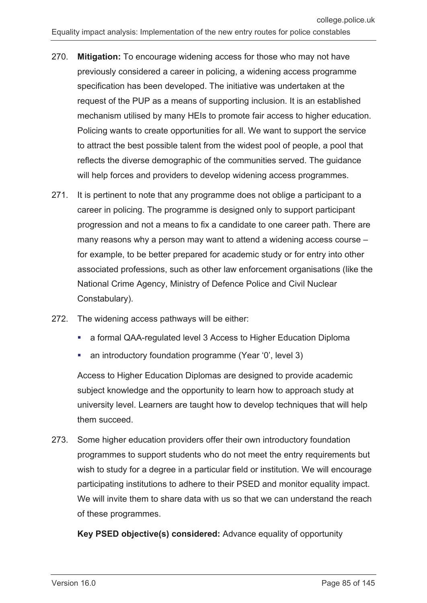- 270. **Mitigation:** To encourage widening access for those who may not have previously considered a career in policing, a widening access programme specification has been developed. The initiative was undertaken at the request of the PUP as a means of supporting inclusion. It is an established mechanism utilised by many HEIs to promote fair access to higher education. Policing wants to create opportunities for all. We want to support the service to attract the best possible talent from the widest pool of people, a pool that reflects the diverse demographic of the communities served. The guidance will help forces and providers to develop widening access programmes.
- 271. It is pertinent to note that any programme does not oblige a participant to a career in policing. The programme is designed only to support participant progression and not a means to fix a candidate to one career path. There are many reasons why a person may want to attend a widening access course – for example, to be better prepared for academic study or for entry into other associated professions, such as other law enforcement organisations (like the National Crime Agency, Ministry of Defence Police and Civil Nuclear Constabulary).
- 272. The widening access pathways will be either:
	- a formal QAA-regulated level 3 Access to Higher Education Diploma
	- an introductory foundation programme (Year '0', level 3)

Access to Higher Education Diplomas are designed to provide academic subject knowledge and the opportunity to learn how to approach study at university level. Learners are taught how to develop techniques that will help them succeed.

273. Some higher education providers offer their own introductory foundation programmes to support students who do not meet the entry requirements but wish to study for a degree in a particular field or institution. We will encourage participating institutions to adhere to their PSED and monitor equality impact. We will invite them to share data with us so that we can understand the reach of these programmes.

**Key PSED objective(s) considered:** Advance equality of opportunity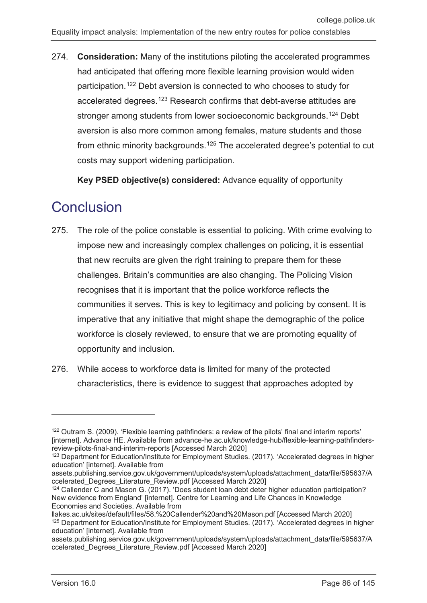274. **Consideration:** Many of the institutions piloting the accelerated programmes had anticipated that offering more flexible learning provision would widen participation.[122](#page-85-0) Debt aversion is connected to who chooses to study for accelerated degrees.<sup>[123](#page-85-1)</sup> Research confirms that debt-averse attitudes are stronger among students from lower socioeconomic backgrounds.<sup>[124](#page-85-2)</sup> Debt aversion is also more common among females, mature students and those from ethnic minority backgrounds.[125](#page-85-3) The accelerated degree's potential to cut costs may support widening participation.

**Key PSED objective(s) considered:** Advance equality of opportunity

# **Conclusion**

- 275. The role of the police constable is essential to policing. With crime evolving to impose new and increasingly complex challenges on policing, it is essential that new recruits are given the right training to prepare them for these challenges. Britain's communities are also changing. The Policing Vision recognises that it is important that the police workforce reflects the communities it serves. This is key to legitimacy and policing by consent. It is imperative that any initiative that might shape the demographic of the police workforce is closely reviewed, to ensure that we are promoting equality of opportunity and inclusion.
- 276. While access to workforce data is limited for many of the protected characteristics, there is evidence to suggest that approaches adopted by

<span id="page-85-0"></span><sup>&</sup>lt;sup>122</sup> Outram S. (2009). 'Flexible learning pathfinders: a review of the pilots' final and interim reports' [internet]. Advance HE. Available from advance-he.ac.uk/knowledge-hub/flexible-learning-pathfindersreview-pilots-final-and-interim-reports [Accessed March 2020]

<span id="page-85-1"></span><sup>&</sup>lt;sup>123</sup> Department for Education/Institute for Employment Studies. (2017). 'Accelerated degrees in higher education' [internet]. Available from

assets.publishing.service.gov.uk/government/uploads/system/uploads/attachment\_data/file/595637/A ccelerated\_Degrees\_Literature\_Review.pdf [Accessed March 2020]

<span id="page-85-2"></span><sup>&</sup>lt;sup>124</sup> Callender C and Mason G. (2017). 'Does student loan debt deter higher education participation? New evidence from England' [internet]. Centre for Learning and Life Chances in Knowledge Economies and Societies. Available from

<span id="page-85-3"></span>llakes.ac.uk/sites/default/files/58.%20Callender%20and%20Mason.pdf [Accessed March 2020] <sup>125</sup> Department for Education/Institute for Employment Studies. (2017). 'Accelerated degrees in higher education' [internet]. Available from

assets.publishing.service.gov.uk/government/uploads/system/uploads/attachment\_data/file/595637/A ccelerated\_Degrees\_Literature\_Review.pdf [Accessed March 2020]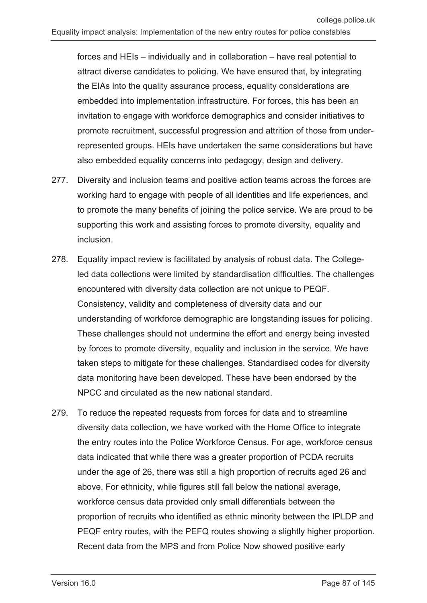forces and HEIs – individually and in collaboration – have real potential to attract diverse candidates to policing. We have ensured that, by integrating the EIAs into the quality assurance process, equality considerations are embedded into implementation infrastructure. For forces, this has been an invitation to engage with workforce demographics and consider initiatives to promote recruitment, successful progression and attrition of those from underrepresented groups. HEIs have undertaken the same considerations but have also embedded equality concerns into pedagogy, design and delivery.

- 277. Diversity and inclusion teams and positive action teams across the forces are working hard to engage with people of all identities and life experiences, and to promote the many benefits of joining the police service. We are proud to be supporting this work and assisting forces to promote diversity, equality and inclusion.
- 278. Equality impact review is facilitated by analysis of robust data. The Collegeled data collections were limited by standardisation difficulties. The challenges encountered with diversity data collection are not unique to PEQF. Consistency, validity and completeness of diversity data and our understanding of workforce demographic are longstanding issues for policing. These challenges should not undermine the effort and energy being invested by forces to promote diversity, equality and inclusion in the service. We have taken steps to mitigate for these challenges. Standardised codes for diversity data monitoring have been developed. These have been endorsed by the NPCC and circulated as the new national standard.
- 279. To reduce the repeated requests from forces for data and to streamline diversity data collection, we have worked with the Home Office to integrate the entry routes into the Police Workforce Census. For age, workforce census data indicated that while there was a greater proportion of PCDA recruits under the age of 26, there was still a high proportion of recruits aged 26 and above. For ethnicity, while figures still fall below the national average, workforce census data provided only small differentials between the proportion of recruits who identified as ethnic minority between the IPLDP and PEQF entry routes, with the PEFQ routes showing a slightly higher proportion. Recent data from the MPS and from Police Now showed positive early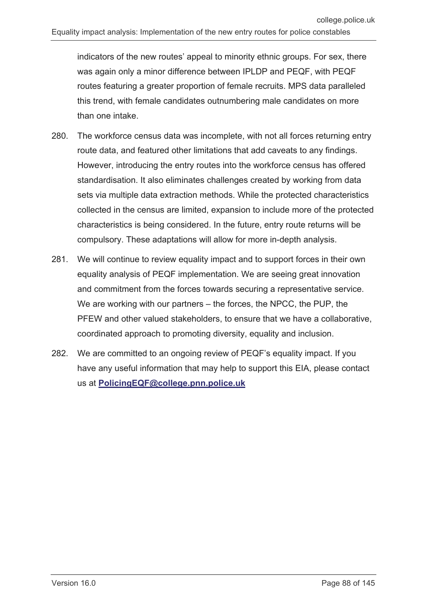indicators of the new routes' appeal to minority ethnic groups. For sex, there was again only a minor difference between IPLDP and PEQF, with PEQF routes featuring a greater proportion of female recruits. MPS data paralleled this trend, with female candidates outnumbering male candidates on more than one intake.

- 280. The workforce census data was incomplete, with not all forces returning entry route data, and featured other limitations that add caveats to any findings. However, introducing the entry routes into the workforce census has offered standardisation. It also eliminates challenges created by working from data sets via multiple data extraction methods. While the protected characteristics collected in the census are limited, expansion to include more of the protected characteristics is being considered. In the future, entry route returns will be compulsory. These adaptations will allow for more in-depth analysis.
- 281. We will continue to review equality impact and to support forces in their own equality analysis of PEQF implementation. We are seeing great innovation and commitment from the forces towards securing a representative service. We are working with our partners – the forces, the NPCC, the PUP, the PFEW and other valued stakeholders, to ensure that we have a collaborative, coordinated approach to promoting diversity, equality and inclusion.
- 282. We are committed to an ongoing review of PEQF's equality impact. If you have any useful information that may help to support this EIA, please contact us at **[PolicingEQF@college.pnn.police.uk](mailto:PolicingEQF@college.pnn.police.uk)**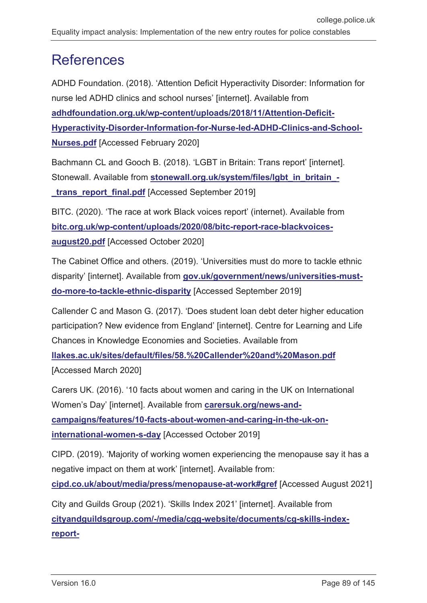# **References**

ADHD Foundation. (2018). 'Attention Deficit Hyperactivity Disorder: Information for nurse led ADHD clinics and school nurses' [internet]. Available from **[adhdfoundation.org.uk/wp-content/uploads/2018/11/Attention-Deficit-](https://www.adhdfoundation.org.uk/wp-content/uploads/2018/11/Attention-Deficit-Hyperactivity-Disorder-Information-for-Nurse-led-ADHD-Clinics-and-School-Nurses.pdf)[Hyperactivity-Disorder-Information-for-Nurse-led-ADHD-Clinics-and-School-](https://www.adhdfoundation.org.uk/wp-content/uploads/2018/11/Attention-Deficit-Hyperactivity-Disorder-Information-for-Nurse-led-ADHD-Clinics-and-School-Nurses.pdf)[Nurses.pdf](https://www.adhdfoundation.org.uk/wp-content/uploads/2018/11/Attention-Deficit-Hyperactivity-Disorder-Information-for-Nurse-led-ADHD-Clinics-and-School-Nurses.pdf)** [Accessed February 2020]

Bachmann CL and Gooch B. (2018). 'LGBT in Britain: Trans report' [internet]. Stonewall. Available from **[stonewall.org.uk/system/files/lgbt\\_in\\_britain\\_](https://www.stonewall.org.uk/system/files/lgbt_in_britain_-_trans_report_final.pdf)** trans report final.pdf [Accessed September 2019]

BITC. (2020). 'The race at work Black voices report' (internet). Available from **[bitc.org.uk/wp-content/uploads/2020/08/bitc-report-race-blackvoices](https://www.bitc.org.uk/wp-content/uploads/2020/08/bitc-report-race-blackvoices-august20.pdf)[august20.pdf](https://www.bitc.org.uk/wp-content/uploads/2020/08/bitc-report-race-blackvoices-august20.pdf)** [Accessed October 2020]

The Cabinet Office and others. (2019). 'Universities must do more to tackle ethnic disparity' [internet]. Available from **[gov.uk/government/news/universities-must](https://www.gov.uk/government/news/universities-must-do-more-to-tackle-ethnic-disparity)[do-more-to-tackle-ethnic-disparity](https://www.gov.uk/government/news/universities-must-do-more-to-tackle-ethnic-disparity)** [Accessed September 2019]

Callender C and Mason G. (2017). 'Does student loan debt deter higher education participation? New evidence from England' [internet]. Centre for Learning and Life Chances in Knowledge Economies and Societies. Available from

**[llakes.ac.uk/sites/default/files/58.%20Callender%20and%20Mason.pdf](https://www.llakes.ac.uk/sites/default/files/58.%20Callender%20and%20Mason.pdf)** [Accessed March 2020]

Carers UK. (2016). '10 facts about women and caring in the UK on International Women's Day' [internet]. Available from **[carersuk.org/news-and](https://www.carersuk.org/news-and-campaigns/features/10-facts-about-women-and-caring-in-the-uk-on-international-women-s-day)[campaigns/features/10-facts-about-women-and-caring-in-the-uk-on](https://www.carersuk.org/news-and-campaigns/features/10-facts-about-women-and-caring-in-the-uk-on-international-women-s-day)[international-women-s-day](https://www.carersuk.org/news-and-campaigns/features/10-facts-about-women-and-caring-in-the-uk-on-international-women-s-day)** [Accessed October 2019]

CIPD. (2019). 'Majority of working women experiencing the menopause say it has a negative impact on them at work' [internet]. Available from: **[cipd.co.uk/about/media/press/menopause-at-work#gref](https://www.cipd.co.uk/about/media/press/menopause-at-work#gref)** [Accessed August 2021]

City and Guilds Group (2021). 'Skills Index 2021' [internet]. Available from **[cityandguildsgroup.com/-/media/cgg-website/documents/cg-skills-index](https://www.cityandguildsgroup.com/-/media/cgg-website/documents/cg-skills-index-report-pdf.ashx?la=en&hash=B04AAEA0DBBF4F4A9203BBF024350A7C1B07257A)[report-](https://www.cityandguildsgroup.com/-/media/cgg-website/documents/cg-skills-index-report-pdf.ashx?la=en&hash=B04AAEA0DBBF4F4A9203BBF024350A7C1B07257A)**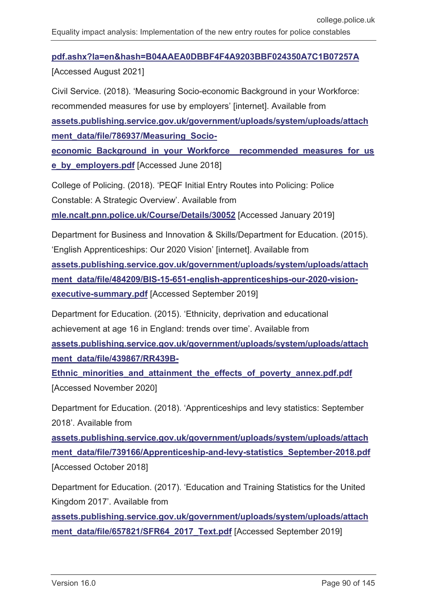#### **[pdf.ashx?la=en&hash=B04AAEA0DBBF4F4A9203BBF024350A7C1B07257A](https://www.cityandguildsgroup.com/-/media/cgg-website/documents/cg-skills-index-report-pdf.ashx?la=en&hash=B04AAEA0DBBF4F4A9203BBF024350A7C1B07257A)**

[Accessed August 2021]

Civil Service. (2018). 'Measuring Socio-economic Background in your Workforce: recommended measures for use by employers' [internet]. Available from

**[assets.publishing.service.gov.uk/government/uploads/system/uploads/attach](https://assets.publishing.service.gov.uk/government/uploads/system/uploads/attachment_data/file/786937/Measuring_Socio-economic_Background_in_your_Workforce__recommended_measures_for_use_by_employers.pdf) [ment\\_data/file/786937/Measuring\\_Socio-](https://assets.publishing.service.gov.uk/government/uploads/system/uploads/attachment_data/file/786937/Measuring_Socio-economic_Background_in_your_Workforce__recommended_measures_for_use_by_employers.pdf)**

**[economic\\_Background\\_in\\_your\\_Workforce\\_\\_recommended\\_measures\\_for\\_us](https://assets.publishing.service.gov.uk/government/uploads/system/uploads/attachment_data/file/786937/Measuring_Socio-economic_Background_in_your_Workforce__recommended_measures_for_use_by_employers.pdf) [e\\_by\\_employers.pdf](https://assets.publishing.service.gov.uk/government/uploads/system/uploads/attachment_data/file/786937/Measuring_Socio-economic_Background_in_your_Workforce__recommended_measures_for_use_by_employers.pdf)** [Accessed June 2018]

College of Policing. (2018). 'PEQF Initial Entry Routes into Policing: Police Constable: A Strategic Overview'. Available from

**[mle.ncalt.pnn.police.uk/Course/Details/30052](https://www.mle.ncalt.pnn.police.uk/Course/Details/30052)** [Accessed January 2019]

Department for Business and Innovation & Skills/Department for Education. (2015). 'English Apprenticeships: Our 2020 Vision' [internet]. Available from

**[assets.publishing.service.gov.uk/government/uploads/system/uploads/attach](https://assets.publishing.service.gov.uk/government/uploads/system/uploads/attachment_data/file/484209/BIS-15-651-english-apprenticeships-our-2020-vision-executive-summary.pdf)** [ment\\_data/file/484209/BIS-15-651-english-apprenticeships-our-2020-vision](https://assets.publishing.service.gov.uk/government/uploads/system/uploads/attachment_data/file/484209/BIS-15-651-english-apprenticeships-our-2020-vision-executive-summary.pdf)**[executive-summary.pdf](https://assets.publishing.service.gov.uk/government/uploads/system/uploads/attachment_data/file/484209/BIS-15-651-english-apprenticeships-our-2020-vision-executive-summary.pdf)** [Accessed September 2019]

Department for Education. (2015). 'Ethnicity, deprivation and educational achievement at age 16 in England: trends over time'. Available from **[assets.publishing.service.gov.uk/government/uploads/system/uploads/attach](https://assets.publishing.service.gov.uk/government/uploads/system/uploads/attachment_data/file/439867/RR439B-Ethnic_minorities_and_attainment_the_effects_of_poverty_annex.pdf.pdf) [ment\\_data/file/439867/RR439B-](https://assets.publishing.service.gov.uk/government/uploads/system/uploads/attachment_data/file/439867/RR439B-Ethnic_minorities_and_attainment_the_effects_of_poverty_annex.pdf.pdf)**

**[Ethnic\\_minorities\\_and\\_attainment\\_the\\_effects\\_of\\_poverty\\_annex.pdf.pdf](https://assets.publishing.service.gov.uk/government/uploads/system/uploads/attachment_data/file/439867/RR439B-Ethnic_minorities_and_attainment_the_effects_of_poverty_annex.pdf.pdf)** [Accessed November 2020]

Department for Education. (2018). 'Apprenticeships and levy statistics: September 2018'. Available from

**[assets.publishing.service.gov.uk/government/uploads/system/uploads/attach](https://assets.publishing.service.gov.uk/government/uploads/system/uploads/attachment_data/file/739166/Apprenticeship-and-levy-statistics_September-2018.pdf)** [ment\\_data/file/739166/Apprenticeship-and-levy-statistics\\_September-2018.pdf](https://assets.publishing.service.gov.uk/government/uploads/system/uploads/attachment_data/file/739166/Apprenticeship-and-levy-statistics_September-2018.pdf) [Accessed October 2018]

Department for Education. (2017). 'Education and Training Statistics for the United Kingdom 2017'. Available from

**[assets.publishing.service.gov.uk/government/uploads/system/uploads/attach](https://assets.publishing.service.gov.uk/government/uploads/system/uploads/attachment_data/file/657821/SFR64_2017_Text.pdf)** [ment\\_data/file/657821/SFR64\\_2017\\_Text.pdf](https://assets.publishing.service.gov.uk/government/uploads/system/uploads/attachment_data/file/657821/SFR64_2017_Text.pdf) [Accessed September 2019]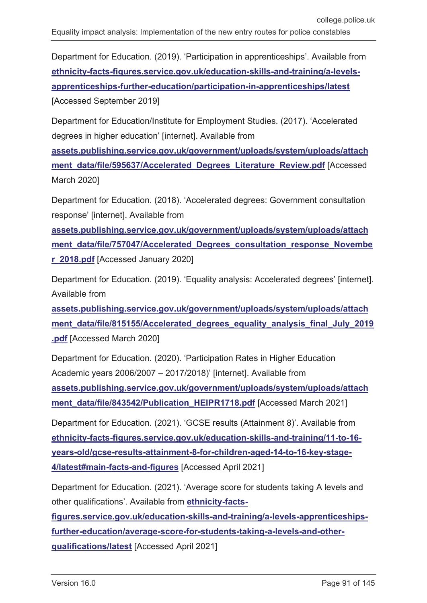Department for Education. (2019). 'Participation in apprenticeships'. Available from **[ethnicity-facts-figures.service.gov.uk/education-skills-and-training/a-levels](https://www.ethnicity-facts-figures.service.gov.uk/education-skills-and-training/a-levels-apprenticeships-further-education/participation-in-apprenticeships/latest)[apprenticeships-further-education/participation-in-apprenticeships/latest](https://www.ethnicity-facts-figures.service.gov.uk/education-skills-and-training/a-levels-apprenticeships-further-education/participation-in-apprenticeships/latest)** [Accessed September 2019]

Department for Education/Institute for Employment Studies. (2017). 'Accelerated degrees in higher education' [internet]. Available from

**[assets.publishing.service.gov.uk/government/uploads/system/uploads/attach](https://assets.publishing.service.gov.uk/government/uploads/system/uploads/attachment_data/file/595637/Accelerated_Degrees_Literature_Review.pdf) ment data/file/595637/Accelerated Degrees Literature Review.pdf** [Accessed March 2020]

Department for Education. (2018). 'Accelerated degrees: Government consultation response' [internet]. Available from

**[assets.publishing.service.gov.uk/government/uploads/system/uploads/attach](https://assets.publishing.service.gov.uk/government/uploads/system/uploads/attachment_data/file/757047/Accelerated_Degrees_consultation_response_November_2018.pdf)** ment data/file/757047/Accelerated Degrees consultation response Novembe **[r\\_2018.pdf](https://assets.publishing.service.gov.uk/government/uploads/system/uploads/attachment_data/file/757047/Accelerated_Degrees_consultation_response_November_2018.pdf)** [Accessed January 2020]

Department for Education. (2019). 'Equality analysis: Accelerated degrees' [internet]. Available from

**[assets.publishing.service.gov.uk/government/uploads/system/uploads/attach](https://assets.publishing.service.gov.uk/government/uploads/system/uploads/attachment_data/file/815155/Accelerated_degrees_equality_analysis_final_July_2019.pdf)** ment data/file/815155/Accelerated degrees equality analysis final July 2019 **[.pdf](https://assets.publishing.service.gov.uk/government/uploads/system/uploads/attachment_data/file/815155/Accelerated_degrees_equality_analysis_final_July_2019.pdf)** [Accessed March 2020]

Department for Education. (2020). 'Participation Rates in Higher Education Academic years 2006/2007 – 2017/2018)' [internet]. Available from

**[assets.publishing.service.gov.uk/government/uploads/system/uploads/attach](https://assets.publishing.service.gov.uk/government/uploads/system/uploads/attachment_data/file/843542/Publication_HEIPR1718.pdf) [ment\\_data/file/843542/Publication\\_HEIPR1718.pdf](https://assets.publishing.service.gov.uk/government/uploads/system/uploads/attachment_data/file/843542/Publication_HEIPR1718.pdf)** [Accessed March 2021]

Department for Education. (2021). 'GCSE results (Attainment 8)'. Available from **[ethnicity-facts-figures.service.gov.uk/education-skills-and-training/11-to-16](https://www.ethnicity-facts-figures.service.gov.uk/education-skills-and-training/11-to-16-years-old/gcse-results-attainment-8-for-children-aged-14-to-16-key-stage-4/latest#main-facts-and-figures) [years-old/gcse-results-attainment-8-for-children-aged-14-to-16-key-stage-](https://www.ethnicity-facts-figures.service.gov.uk/education-skills-and-training/11-to-16-years-old/gcse-results-attainment-8-for-children-aged-14-to-16-key-stage-4/latest#main-facts-and-figures)[4/latest#main-facts-and-figures](https://www.ethnicity-facts-figures.service.gov.uk/education-skills-and-training/11-to-16-years-old/gcse-results-attainment-8-for-children-aged-14-to-16-key-stage-4/latest#main-facts-and-figures)** [Accessed April 2021]

Department for Education. (2021). 'Average score for students taking A levels and other qualifications'. Available from **[ethnicity-facts-](https://www.ethnicity-facts-figures.service.gov.uk/education-skills-and-training/a-levels-apprenticeships-further-education/average-score-for-students-taking-a-levels-and-other-qualifications/latest)**

**[figures.service.gov.uk/education-skills-and-training/a-levels-apprenticeships](https://www.ethnicity-facts-figures.service.gov.uk/education-skills-and-training/a-levels-apprenticeships-further-education/average-score-for-students-taking-a-levels-and-other-qualifications/latest)[further-education/average-score-for-students-taking-a-levels-and-other](https://www.ethnicity-facts-figures.service.gov.uk/education-skills-and-training/a-levels-apprenticeships-further-education/average-score-for-students-taking-a-levels-and-other-qualifications/latest)[qualifications/latest](https://www.ethnicity-facts-figures.service.gov.uk/education-skills-and-training/a-levels-apprenticeships-further-education/average-score-for-students-taking-a-levels-and-other-qualifications/latest)** [Accessed April 2021]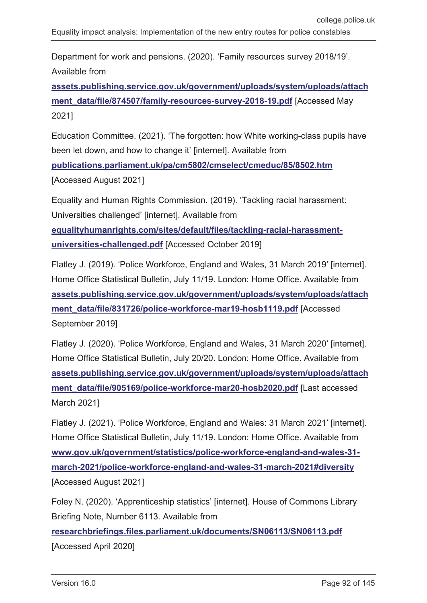Department for work and pensions. (2020). 'Family resources survey 2018/19'. Available from

**[assets.publishing.service.gov.uk/government/uploads/system/uploads/attach](https://assets.publishing.service.gov.uk/government/uploads/system/uploads/attachment_data/file/874507/family-resources-survey-2018-19.pdf)** [ment\\_data/file/874507/family-resources-survey-2018-19.pdf](https://assets.publishing.service.gov.uk/government/uploads/system/uploads/attachment_data/file/874507/family-resources-survey-2018-19.pdf) [Accessed May 2021]

Education Committee. (2021). 'The forgotten: how White working-class pupils have been let down, and how to change it' [internet]. Available from

**[publications.parliament.uk/pa/cm5802/cmselect/cmeduc/85/8502.htm](https://publications.parliament.uk/pa/cm5802/cmselect/cmeduc/85/8502.htm)** [Accessed August 2021]

Equality and Human Rights Commission. (2019). 'Tackling racial harassment: Universities challenged' [internet]. Available from **[equalityhumanrights.com/sites/default/files/tackling-racial-harassment](https://www.equalityhumanrights.com/sites/default/files/tackling-racial-harassment-universities-challenged.pdf)[universities-challenged.pdf](https://www.equalityhumanrights.com/sites/default/files/tackling-racial-harassment-universities-challenged.pdf)** [Accessed October 2019]

Flatley J. (2019). 'Police Workforce, England and Wales, 31 March 2019' [internet]. Home Office Statistical Bulletin, July 11/19. London: Home Office. Available from **[assets.publishing.service.gov.uk/government/uploads/system/uploads/attach](https://assets.publishing.service.gov.uk/government/uploads/system/uploads/attachment_data/file/831726/police-workforce-mar19-hosb1119.pdf) [ment\\_data/file/831726/police-workforce-mar19-hosb1119.pdf](https://assets.publishing.service.gov.uk/government/uploads/system/uploads/attachment_data/file/831726/police-workforce-mar19-hosb1119.pdf)** [Accessed September 2019]

Flatley J. (2020). 'Police Workforce, England and Wales, 31 March 2020' [internet]. Home Office Statistical Bulletin, July 20/20. London: Home Office. Available from **[assets.publishing.service.gov.uk/government/uploads/system/uploads/attach](https://assets.publishing.service.gov.uk/government/uploads/system/uploads/attachment_data/file/905169/police-workforce-mar20-hosb2020.pdf) [ment\\_data/file/905169/police-workforce-mar20-hosb2020.pdf](https://assets.publishing.service.gov.uk/government/uploads/system/uploads/attachment_data/file/905169/police-workforce-mar20-hosb2020.pdf)** [Last accessed March 2021]

Flatley J. (2021). 'Police Workforce, England and Wales: 31 March 2021' [internet]. Home Office Statistical Bulletin, July 11/19. London: Home Office. Available from **[www.gov.uk/government/statistics/police-workforce-england-and-wales-31](http://www.gov.uk/government/statistics/police-workforce-england-and-wales-31-march-2021/police-workforce-england-and-wales-31-march-2021#diversity) [march-2021/police-workforce-england-and-wales-31-march-2021#diversity](http://www.gov.uk/government/statistics/police-workforce-england-and-wales-31-march-2021/police-workforce-england-and-wales-31-march-2021#diversity)** [Accessed August 2021]

Foley N. (2020). 'Apprenticeship statistics' [internet]. House of Commons Library Briefing Note, Number 6113. Available from

**[researchbriefings.files.parliament.uk/documents/SN06113/SN06113.pdf](https://researchbriefings.files.parliament.uk/documents/SN06113/SN06113.pdf)** [Accessed April 2020]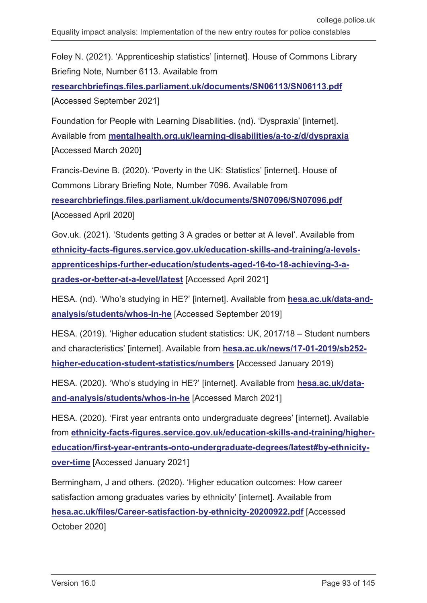Foley N. (2021). 'Apprenticeship statistics' [internet]. House of Commons Library Briefing Note, Number 6113. Available from

**[researchbriefings.files.parliament.uk/documents/SN06113/SN06113.pdf](https://researchbriefings.files.parliament.uk/documents/SN06113/SN06113.pdf)** [Accessed September 2021]

Foundation for People with Learning Disabilities. (nd). 'Dyspraxia' [internet]. Available from **[mentalhealth.org.uk/learning-disabilities/a-to-z/d/dyspraxia](https://www.mentalhealth.org.uk/learning-disabilities/a-to-z/d/dyspraxia)** [Accessed March 2020]

Francis-Devine B. (2020). 'Poverty in the UK: Statistics' [internet]. House of Commons Library Briefing Note, Number 7096. Available from

**[researchbriefings.files.parliament.uk/documents/SN07096/SN07096.pdf](https://researchbriefings.files.parliament.uk/documents/SN07096/SN07096.pdf)** [Accessed April 2020]

Gov.uk. (2021). 'Students getting 3 A grades or better at A level'. Available from **[ethnicity-facts-figures.service.gov.uk/education-skills-and-training/a-levels](https://www.ethnicity-facts-figures.service.gov.uk/education-skills-and-training/a-levels-apprenticeships-further-education/students-aged-16-to-18-achieving-3-a-grades-or-better-at-a-level/latest)[apprenticeships-further-education/students-aged-16-to-18-achieving-3-a](https://www.ethnicity-facts-figures.service.gov.uk/education-skills-and-training/a-levels-apprenticeships-further-education/students-aged-16-to-18-achieving-3-a-grades-or-better-at-a-level/latest)[grades-or-better-at-a-level/latest](https://www.ethnicity-facts-figures.service.gov.uk/education-skills-and-training/a-levels-apprenticeships-further-education/students-aged-16-to-18-achieving-3-a-grades-or-better-at-a-level/latest)** [Accessed April 2021]

HESA. (nd). 'Who's studying in HE?' [internet]. Available from **[hesa.ac.uk/data-and](https://www.hesa.ac.uk/data-and-analysis/students/whos-in-he)[analysis/students/whos-in-he](https://www.hesa.ac.uk/data-and-analysis/students/whos-in-he)** [Accessed September 2019]

HESA. (2019). 'Higher education student statistics: UK, 2017/18 – Student numbers and characteristics' [internet]. Available from **[hesa.ac.uk/news/17-01-2019/sb252](https://www.hesa.ac.uk/news/17-01-2019/sb252-higher-education-student-statistics/numbers) [higher-education-student-statistics/numbers](https://www.hesa.ac.uk/news/17-01-2019/sb252-higher-education-student-statistics/numbers)** [Accessed January 2019)

HESA. (2020). 'Who's studying in HE?' [internet]. Available from **[hesa.ac.uk/data](https://www.hesa.ac.uk/data-and-analysis/students/whos-in-he)[and-analysis/students/whos-in-he](https://www.hesa.ac.uk/data-and-analysis/students/whos-in-he)** [Accessed March 2021]

HESA. (2020). 'First year entrants onto undergraduate degrees' [internet]. Available from **[ethnicity-facts-figures.service.gov.uk/education-skills-and-training/higher](https://www.ethnicity-facts-figures.service.gov.uk/education-skills-and-training/higher-education/first-year-entrants-onto-undergraduate-degrees/latest#by-ethnicity-over-time)[education/first-year-entrants-onto-undergraduate-degrees/latest#by-ethnicity](https://www.ethnicity-facts-figures.service.gov.uk/education-skills-and-training/higher-education/first-year-entrants-onto-undergraduate-degrees/latest#by-ethnicity-over-time)[over-time](https://www.ethnicity-facts-figures.service.gov.uk/education-skills-and-training/higher-education/first-year-entrants-onto-undergraduate-degrees/latest#by-ethnicity-over-time)** [Accessed January 2021]

Bermingham, J and others. (2020). 'Higher education outcomes: How career satisfaction among graduates varies by ethnicity' [internet]. Available from **[hesa.ac.uk/files/Career-satisfaction-by-ethnicity-20200922.pdf](https://www.hesa.ac.uk/files/Career-satisfaction-by-ethnicity-20200922.pdf)** [Accessed October 2020]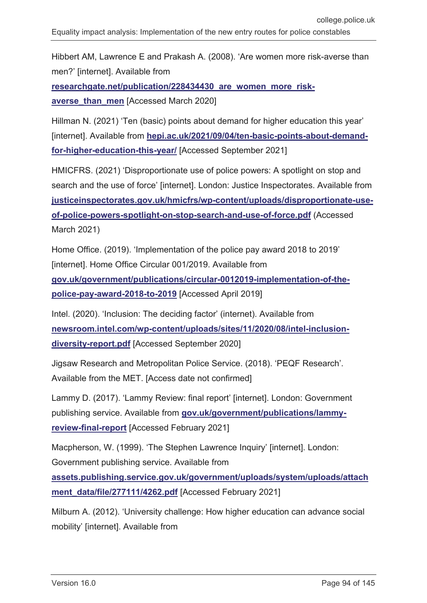Hibbert AM, Lawrence E and Prakash A. (2008). 'Are women more risk-averse than men?' [internet]. Available from

researchgate.net/publication/228434430 are women more risk**averse than men** [Accessed March 2020]

Hillman N. (2021) 'Ten (basic) points about demand for higher education this year' [internet]. Available from [hepi.ac.uk/2021/09/04/ten-basic-points-about-demand](https://www.hepi.ac.uk/2021/09/04/ten-basic-points-about-demand-for-higher-education-this-year/)**[for-higher-education-this-year/](https://www.hepi.ac.uk/2021/09/04/ten-basic-points-about-demand-for-higher-education-this-year/)** [Accessed September 2021]

HMICFRS. (2021) 'Disproportionate use of police powers: A spotlight on stop and search and the use of force' [internet]. London: Justice Inspectorates. Available from **[justiceinspectorates.gov.uk/hmicfrs/wp-content/uploads/disproportionate-use](https://www.justiceinspectorates.gov.uk/hmicfrs/wp-content/uploads/disproportionate-use-of-police-powers-spotlight-on-stop-search-and-use-of-force.pdf)[of-police-powers-spotlight-on-stop-search-and-use-of-force.pdf](https://www.justiceinspectorates.gov.uk/hmicfrs/wp-content/uploads/disproportionate-use-of-police-powers-spotlight-on-stop-search-and-use-of-force.pdf)** (Accessed March 2021)

Home Office. (2019). 'Implementation of the police pay award 2018 to 2019' [internet]. Home Office Circular 001/2019. Available from

**[gov.uk/government/publications/circular-0012019-implementation-of-the](https://www.gov.uk/government/publications/circular-0012019-implementation-of-the-police-pay-award-2018-to-2019)[police-pay-award-2018-to-2019](https://www.gov.uk/government/publications/circular-0012019-implementation-of-the-police-pay-award-2018-to-2019)** [Accessed April 2019]

Intel. (2020). 'Inclusion: The deciding factor' (internet). Available from **[newsroom.intel.com/wp-content/uploads/sites/11/2020/08/intel-inclusion](https://newsroom.intel.com/wp-content/uploads/sites/11/2020/08/intel-inclusion-diversity-report.pdf)[diversity-report.pdf](https://newsroom.intel.com/wp-content/uploads/sites/11/2020/08/intel-inclusion-diversity-report.pdf)** [Accessed September 2020]

Jigsaw Research and Metropolitan Police Service. (2018). 'PEQF Research'. Available from the MET. [Access date not confirmed]

Lammy D. (2017). 'Lammy Review: final report' [internet]. London: Government publishing service. Available from **[gov.uk/government/publications/lammy](https://www.gov.uk/government/publications/lammy-review-final-report)[review-final-report](https://www.gov.uk/government/publications/lammy-review-final-report)** [Accessed February 2021]

Macpherson, W. (1999). 'The Stephen Lawrence Inquiry' [internet]. London: Government publishing service. Available from

**[assets.publishing.service.gov.uk/government/uploads/system/uploads/attach](https://assets.publishing.service.gov.uk/government/uploads/system/uploads/attachment_data/file/277111/4262.pdf) [ment\\_data/file/277111/4262.pdf](https://assets.publishing.service.gov.uk/government/uploads/system/uploads/attachment_data/file/277111/4262.pdf)** [Accessed February 2021]

Milburn A. (2012). 'University challenge: How higher education can advance social mobility' [internet]. Available from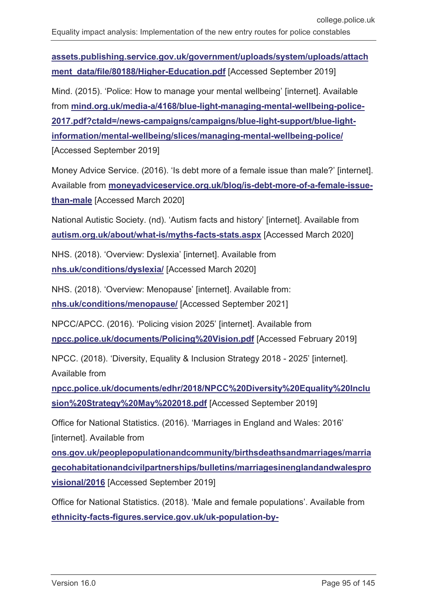**[assets.publishing.service.gov.uk/government/uploads/system/uploads/attach](https://assets.publishing.service.gov.uk/government/uploads/system/uploads/attachment_data/file/80188/Higher-Education.pdf)** [ment\\_data/file/80188/Higher-Education.pdf](https://assets.publishing.service.gov.uk/government/uploads/system/uploads/attachment_data/file/80188/Higher-Education.pdf) [Accessed September 2019]

Mind. (2015). 'Police: How to manage your mental wellbeing' [internet]. Available from **[mind.org.uk/media-a/4168/blue-light-managing-mental-wellbeing-police-](https://www.mind.org.uk/media-a/4168/blue-light-managing-mental-wellbeing-police-2017.pdf?ctaId=/news-campaigns/campaigns/blue-light-support/blue-light-information/mental-wellbeing/slices/managing-mental-wellbeing-police/)[2017.pdf?ctaId=/news-campaigns/campaigns/blue-light-support/blue-light](https://www.mind.org.uk/media-a/4168/blue-light-managing-mental-wellbeing-police-2017.pdf?ctaId=/news-campaigns/campaigns/blue-light-support/blue-light-information/mental-wellbeing/slices/managing-mental-wellbeing-police/)[information/mental-wellbeing/slices/managing-mental-wellbeing-police/](https://www.mind.org.uk/media-a/4168/blue-light-managing-mental-wellbeing-police-2017.pdf?ctaId=/news-campaigns/campaigns/blue-light-support/blue-light-information/mental-wellbeing/slices/managing-mental-wellbeing-police/)** [Accessed September 2019]

Money Advice Service. (2016). 'Is debt more of a female issue than male?' [internet]. Available from **[moneyadviceservice.org.uk/blog/is-debt-more-of-a-female-issue](https://www.moneyadviceservice.org.uk/blog/is-debt-more-of-a-female-issue-than-male)[than-male](https://www.moneyadviceservice.org.uk/blog/is-debt-more-of-a-female-issue-than-male)** [Accessed March 2020]

National Autistic Society. (nd). 'Autism facts and history' [internet]. Available from **[autism.org.uk/about/what-is/myths-facts-stats.aspx](https://www.autism.org.uk/about/what-is/myths-facts-stats.aspx)** [Accessed March 2020]

NHS. (2018). 'Overview: Dyslexia' [internet]. Available from **[nhs.uk/conditions/dyslexia/](https://www.nhs.uk/conditions/dyslexia/)** [Accessed March 2020]

NHS. (2018). 'Overview: Menopause' [internet]. Available from: **[nhs.uk/conditions/menopause/](https://www.nhs.uk/conditions/menopause/)** [Accessed September 2021]

NPCC/APCC. (2016). 'Policing vision 2025' [internet]. Available from **[npcc.police.uk/documents/Policing%20Vision.pdf](https://www.npcc.police.uk/documents/Policing%20Vision.pdf)** [Accessed February 2019]

NPCC. (2018). 'Diversity, Equality & Inclusion Strategy 2018 - 2025' [internet]. Available from

**[npcc.police.uk/documents/edhr/2018/NPCC%20Diversity%20Equality%20Inclu](https://www.npcc.police.uk/documents/edhr/2018/NPCC%20Diversity%20Equality%20Inclusion%20Strategy%20May%202018.pdf) [sion%20Strategy%20May%202018.pdf](https://www.npcc.police.uk/documents/edhr/2018/NPCC%20Diversity%20Equality%20Inclusion%20Strategy%20May%202018.pdf)** [Accessed September 2019]

Office for National Statistics. (2016). 'Marriages in England and Wales: 2016' [internet]. Available from

**[ons.gov.uk/peoplepopulationandcommunity/birthsdeathsandmarriages/marria](https://www.ons.gov.uk/peoplepopulationandcommunity/birthsdeathsandmarriages/marriagecohabitationandcivilpartnerships/bulletins/marriagesinenglandandwalesprovisional/2016) [gecohabitationandcivilpartnerships/bulletins/marriagesinenglandandwalespro](https://www.ons.gov.uk/peoplepopulationandcommunity/birthsdeathsandmarriages/marriagecohabitationandcivilpartnerships/bulletins/marriagesinenglandandwalesprovisional/2016) [visional/2016](https://www.ons.gov.uk/peoplepopulationandcommunity/birthsdeathsandmarriages/marriagecohabitationandcivilpartnerships/bulletins/marriagesinenglandandwalesprovisional/2016)** [Accessed September 2019]

Office for National Statistics. (2018). 'Male and female populations'. Available from **[ethnicity-facts-figures.service.gov.uk/uk-population-by-](https://www.ethnicity-facts-figures.service.gov.uk/uk-population-by-ethnicity/demographics/male-and-female-populations/latest)**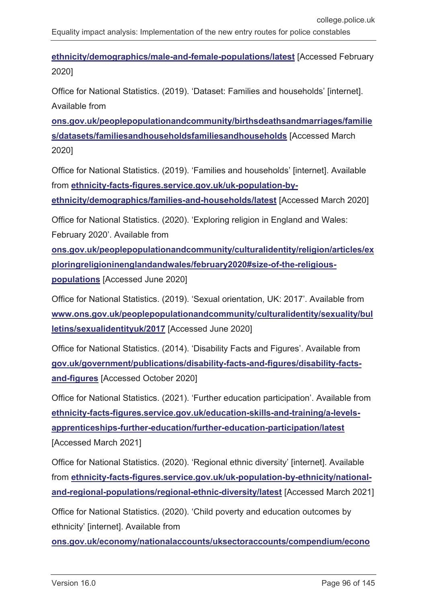**[ethnicity/demographics/male-and-female-populations/latest](https://www.ethnicity-facts-figures.service.gov.uk/uk-population-by-ethnicity/demographics/male-and-female-populations/latest)** [Accessed February 2020]

Office for National Statistics. (2019). 'Dataset: Families and households' [internet]. Available from

**[ons.gov.uk/peoplepopulationandcommunity/birthsdeathsandmarriages/familie](https://www.ons.gov.uk/peoplepopulationandcommunity/birthsdeathsandmarriages/families/datasets/familiesandhouseholdsfamiliesandhouseholds) [s/datasets/familiesandhouseholdsfamiliesandhouseholds](https://www.ons.gov.uk/peoplepopulationandcommunity/birthsdeathsandmarriages/families/datasets/familiesandhouseholdsfamiliesandhouseholds)** [Accessed March 2020]

Office for National Statistics. (2019). 'Families and households' [internet]. Available from **[ethnicity-facts-figures.service.gov.uk/uk-population-by-](https://www.ethnicity-facts-figures.service.gov.uk/uk-population-by-ethnicity/demographics/families-and-households/latest)**

**[ethnicity/demographics/families-and-households/latest](https://www.ethnicity-facts-figures.service.gov.uk/uk-population-by-ethnicity/demographics/families-and-households/latest)** [Accessed March 2020]

Office for National Statistics. (2020). 'Exploring religion in England and Wales:

February 2020'. Available from

**[ons.gov.uk/peoplepopulationandcommunity/culturalidentity/religion/articles/ex](https://www.ons.gov.uk/peoplepopulationandcommunity/culturalidentity/religion/articles/exploringreligioninenglandandwales/february2020%23size-of-the-religious-populations) [ploringreligioninenglandandwales/february2020#size-of-the-religious-](https://www.ons.gov.uk/peoplepopulationandcommunity/culturalidentity/religion/articles/exploringreligioninenglandandwales/february2020%23size-of-the-religious-populations)**

**[populations](https://www.ons.gov.uk/peoplepopulationandcommunity/culturalidentity/religion/articles/exploringreligioninenglandandwales/february2020%23size-of-the-religious-populations)** [Accessed June 2020]

Office for National Statistics. (2019). 'Sexual orientation, UK: 2017'. Available from **[www.ons.gov.uk/peoplepopulationandcommunity/culturalidentity/sexuality/bul](http://www.ons.gov.uk/peoplepopulationandcommunity/culturalidentity/sexuality/bulletins/sexualidentityuk/2017) [letins/sexualidentityuk/2017](http://www.ons.gov.uk/peoplepopulationandcommunity/culturalidentity/sexuality/bulletins/sexualidentityuk/2017)** [Accessed June 2020]

Office for National Statistics. (2014). 'Disability Facts and Figures'. Available from **[gov.uk/government/publications/disability-facts-and-figures/disability-facts](https://www.gov.uk/government/publications/disability-facts-and-figures/disability-facts-and-figures)[and-figures](https://www.gov.uk/government/publications/disability-facts-and-figures/disability-facts-and-figures)** [Accessed October 2020]

Office for National Statistics. (2021). 'Further education participation'. Available from **[ethnicity-facts-figures.service.gov.uk/education-skills-and-training/a-levels](https://www.ethnicity-facts-figures.service.gov.uk/education-skills-and-training/a-levels-apprenticeships-further-education/further-education-participation/latest)[apprenticeships-further-education/further-education-participation/latest](https://www.ethnicity-facts-figures.service.gov.uk/education-skills-and-training/a-levels-apprenticeships-further-education/further-education-participation/latest)** [Accessed March 2021]

Office for National Statistics. (2020). 'Regional ethnic diversity' [internet]. Available from **[ethnicity-facts-figures.service.gov.uk/uk-population-by-ethnicity/national](https://www.ethnicity-facts-figures.service.gov.uk/uk-population-by-ethnicity/national-and-regional-populations/regional-ethnic-diversity/latest)[and-regional-populations/regional-ethnic-diversity/latest](https://www.ethnicity-facts-figures.service.gov.uk/uk-population-by-ethnicity/national-and-regional-populations/regional-ethnic-diversity/latest)** [Accessed March 2021]

Office for National Statistics. (2020). 'Child poverty and education outcomes by ethnicity' [internet]. Available from

**[ons.gov.uk/economy/nationalaccounts/uksectoraccounts/compendium/econo](https://www.ons.gov.uk/economy/nationalaccounts/uksectoraccounts/compendium/economicreview/february2020/childpovertyandeducationoutcomesbyethnicity#child-poverty-education-and-ethnicity)**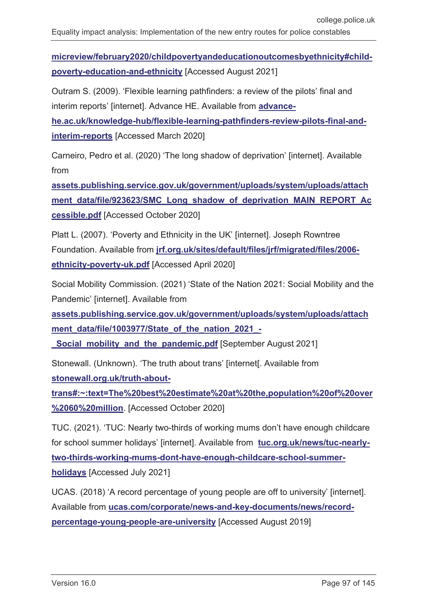**[micreview/february2020/childpovertyandeducationoutcomesbyethnicity#child](https://www.ons.gov.uk/economy/nationalaccounts/uksectoraccounts/compendium/economicreview/february2020/childpovertyandeducationoutcomesbyethnicity#child-poverty-education-and-ethnicity)[poverty-education-and-ethnicity](https://www.ons.gov.uk/economy/nationalaccounts/uksectoraccounts/compendium/economicreview/february2020/childpovertyandeducationoutcomesbyethnicity#child-poverty-education-and-ethnicity)** [Accessed August 2021]

Outram S. (2009). 'Flexible learning pathfinders: a review of the pilots' final and interim reports' [internet]. Advance HE. Available from **[advance-](https://www.advance-he.ac.uk/knowledge-hub/flexible-learning-pathfinders-review-pilots-final-and-interim-reports)**

**[he.ac.uk/knowledge-hub/flexible-learning-pathfinders-review-pilots-final-and](https://www.advance-he.ac.uk/knowledge-hub/flexible-learning-pathfinders-review-pilots-final-and-interim-reports)[interim-reports](https://www.advance-he.ac.uk/knowledge-hub/flexible-learning-pathfinders-review-pilots-final-and-interim-reports)** [Accessed March 2020]

Carneiro, Pedro et al. (2020) 'The long shadow of deprivation' [internet]. Available from

**[assets.publishing.service.gov.uk/government/uploads/system/uploads/attach](https://assets.publishing.service.gov.uk/government/uploads/system/uploads/attachment_data/file/923623/SMC_Long_shadow_of_deprivation_MAIN_REPORT_Accessible.pdf)** [ment\\_data/file/923623/SMC\\_Long\\_shadow\\_of\\_deprivation\\_MAIN\\_REPORT\\_Ac](https://assets.publishing.service.gov.uk/government/uploads/system/uploads/attachment_data/file/923623/SMC_Long_shadow_of_deprivation_MAIN_REPORT_Accessible.pdf) **[cessible.pdf](https://assets.publishing.service.gov.uk/government/uploads/system/uploads/attachment_data/file/923623/SMC_Long_shadow_of_deprivation_MAIN_REPORT_Accessible.pdf)** [Accessed October 2020]

Platt L. (2007). 'Poverty and Ethnicity in the UK' [internet]. Joseph Rowntree Foundation. Available from **[jrf.org.uk/sites/default/files/jrf/migrated/files/2006](https://www.jrf.org.uk/sites/default/files/jrf/migrated/files/2006-ethnicity-poverty-uk.pdf) [ethnicity-poverty-uk.pdf](https://www.jrf.org.uk/sites/default/files/jrf/migrated/files/2006-ethnicity-poverty-uk.pdf)** [Accessed April 2020]

Social Mobility Commission. (2021) 'State of the Nation 2021: Social Mobility and the Pandemic' [internet]. Available from

**[assets.publishing.service.gov.uk/government/uploads/system/uploads/attach](https://assets.publishing.service.gov.uk/government/uploads/system/uploads/attachment_data/file/1003977/State_of_the_nation_2021_-_Social_mobility_and_the_pandemic.pdf) [ment\\_data/file/1003977/State\\_of\\_the\\_nation\\_2021\\_-](https://assets.publishing.service.gov.uk/government/uploads/system/uploads/attachment_data/file/1003977/State_of_the_nation_2021_-_Social_mobility_and_the_pandemic.pdf)**

**Social mobility and the pandemic.pdf** [September August 2021]

Stonewall. (Unknown). 'The truth about trans' [internet[. Available from **[stonewall.org.uk/truth-about-](https://www.stonewall.org.uk/truth-about-trans#:%7E:text=The%20best%20estimate%20at%20the,population%20of%20over%2060%20million)**

**[trans#:~:text=The%20best%20estimate%20at%20the,population%20of%20over](https://www.stonewall.org.uk/truth-about-trans#:%7E:text=The%20best%20estimate%20at%20the,population%20of%20over%2060%20million) [%2060%20million](https://www.stonewall.org.uk/truth-about-trans#:%7E:text=The%20best%20estimate%20at%20the,population%20of%20over%2060%20million)**. [Accessed October 2020]

TUC. (2021). 'TUC: Nearly two-thirds of working mums don't have enough childcare for school summer holidays' [internet]. Available from **[tuc.org.uk/news/tuc-nearly](https://www.tuc.org.uk/news/tuc-nearly-two-thirds-working-mums-dont-have-enough-childcare-school-summer-holidays)[two-thirds-working-mums-dont-have-enough-childcare-school-summer](https://www.tuc.org.uk/news/tuc-nearly-two-thirds-working-mums-dont-have-enough-childcare-school-summer-holidays)[holidays](https://www.tuc.org.uk/news/tuc-nearly-two-thirds-working-mums-dont-have-enough-childcare-school-summer-holidays)** [Accessed July 2021]

UCAS. (2018) 'A record percentage of young people are off to university' [internet]. Available from **[ucas.com/corporate/news-and-key-documents/news/record](https://www.ucas.com/corporate/news-and-key-documents/news/record-percentage-young-people-are-university)[percentage-young-people-are-university](https://www.ucas.com/corporate/news-and-key-documents/news/record-percentage-young-people-are-university)** [Accessed August 2019]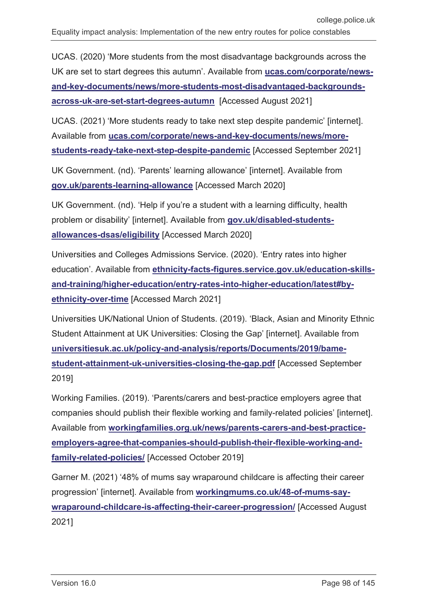UCAS. (2020) 'More students from the most disadvantage backgrounds across the UK are set to start degrees this autumn'. Available from **[ucas.com/corporate/news](https://www.ucas.com/corporate/news-and-key-documents/news/more-students-most-disadvantaged-backgrounds-across-uk-are-set-start-degrees-autumn)[and-key-documents/news/more-students-most-disadvantaged-backgrounds](https://www.ucas.com/corporate/news-and-key-documents/news/more-students-most-disadvantaged-backgrounds-across-uk-are-set-start-degrees-autumn)[across-uk-are-set-start-degrees-autumn](https://www.ucas.com/corporate/news-and-key-documents/news/more-students-most-disadvantaged-backgrounds-across-uk-are-set-start-degrees-autumn)** [Accessed August 2021]

UCAS. (2021) 'More students ready to take next step despite pandemic' [internet]. Available from **[ucas.com/corporate/news-and-key-documents/news/more](https://www.ucas.com/corporate/news-and-key-documents/news/more-students-ready-take-next-step-despite-pandemic)[students-ready-take-next-step-despite-pandemic](https://www.ucas.com/corporate/news-and-key-documents/news/more-students-ready-take-next-step-despite-pandemic)** [Accessed September 2021]

UK Government. (nd). 'Parents' learning allowance' [internet]. Available from **[gov.uk/parents-learning-allowance](https://www.gov.uk/parents-learning-allowance)** [Accessed March 2020]

UK Government. (nd). 'Help if you're a student with a learning difficulty, health problem or disability' [internet]. Available from **[gov.uk/disabled-students](https://www.gov.uk/disabled-students-allowances-dsas/eligibility)[allowances-dsas/eligibility](https://www.gov.uk/disabled-students-allowances-dsas/eligibility)** [Accessed March 2020]

Universities and Colleges Admissions Service. (2020). 'Entry rates into higher education'. Available from **[ethnicity-facts-figures.service.gov.uk/education-skills](https://www.ethnicity-facts-figures.service.gov.uk/education-skills-and-training/higher-education/entry-rates-into-higher-education/latest#by-ethnicity-over-time)[and-training/higher-education/entry-rates-into-higher-education/latest#by](https://www.ethnicity-facts-figures.service.gov.uk/education-skills-and-training/higher-education/entry-rates-into-higher-education/latest#by-ethnicity-over-time)[ethnicity-over-time](https://www.ethnicity-facts-figures.service.gov.uk/education-skills-and-training/higher-education/entry-rates-into-higher-education/latest#by-ethnicity-over-time)** [Accessed March 2021]

Universities UK/National Union of Students. (2019). 'Black, Asian and Minority Ethnic Student Attainment at UK Universities: Closing the Gap' [internet]. Available from **[universitiesuk.ac.uk/policy-and-analysis/reports/Documents/2019/bame](https://www.universitiesuk.ac.uk/policy-and-analysis/reports/Documents/2019/bame-student-attainment-uk-universities-closing-the-gap.pdf)[student-attainment-uk-universities-closing-the-gap.pdf](https://www.universitiesuk.ac.uk/policy-and-analysis/reports/Documents/2019/bame-student-attainment-uk-universities-closing-the-gap.pdf)** [Accessed September 2019]

Working Families. (2019). 'Parents/carers and best-practice employers agree that companies should publish their flexible working and family-related policies' [internet]. Available from **[workingfamilies.org.uk/news/parents-carers-and-best-practice](https://www.workingfamilies.org.uk/news/parents-carers-and-best-practice-employers-agree-that-companies-should-publish-their-flexible-working-and-family-related-policies/)[employers-agree-that-companies-should-publish-their-flexible-working-and](https://www.workingfamilies.org.uk/news/parents-carers-and-best-practice-employers-agree-that-companies-should-publish-their-flexible-working-and-family-related-policies/)[family-related-policies/](https://www.workingfamilies.org.uk/news/parents-carers-and-best-practice-employers-agree-that-companies-should-publish-their-flexible-working-and-family-related-policies/)** [Accessed October 2019]

Garner M. (2021) '48% of mums say wraparound childcare is affecting their career progression' [internet]. Available from **[workingmums.co.uk/48-of-mums-say](https://www.workingmums.co.uk/48-of-mums-say-wraparound-childcare-is-affecting-their-career-progression/)[wraparound-childcare-is-affecting-their-career-progression/](https://www.workingmums.co.uk/48-of-mums-say-wraparound-childcare-is-affecting-their-career-progression/)** [Accessed August 2021]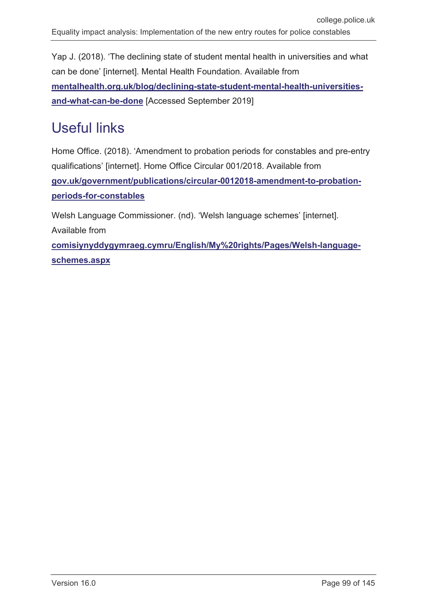Yap J. (2018). 'The declining state of student mental health in universities and what can be done' [internet]. Mental Health Foundation. Available from **[mentalhealth.org.uk/blog/declining-state-student-mental-health-universities](https://www.mentalhealth.org.uk/blog/declining-state-student-mental-health-universities-and-what-can-be-done)[and-what-can-be-done](https://www.mentalhealth.org.uk/blog/declining-state-student-mental-health-universities-and-what-can-be-done)** [Accessed September 2019]

# Useful links

Home Office. (2018). 'Amendment to probation periods for constables and pre-entry qualifications' [internet]. Home Office Circular 001/2018. Available from **[gov.uk/government/publications/circular-0012018-amendment-to-probation](https://www.gov.uk/government/publications/circular-0012018-amendment-to-probation-periods-for-constables)[periods-for-constables](https://www.gov.uk/government/publications/circular-0012018-amendment-to-probation-periods-for-constables)**

Welsh Language Commissioner. (nd). 'Welsh language schemes' [internet]. Available from **[comisiynyddygymraeg.cymru/English/My%20rights/Pages/Welsh-language-](http://www.comisiynyddygymraeg.cymru/English/My%20rights/Pages/Welsh-language-schemes.aspx)**

**[schemes.aspx](http://www.comisiynyddygymraeg.cymru/English/My%20rights/Pages/Welsh-language-schemes.aspx)**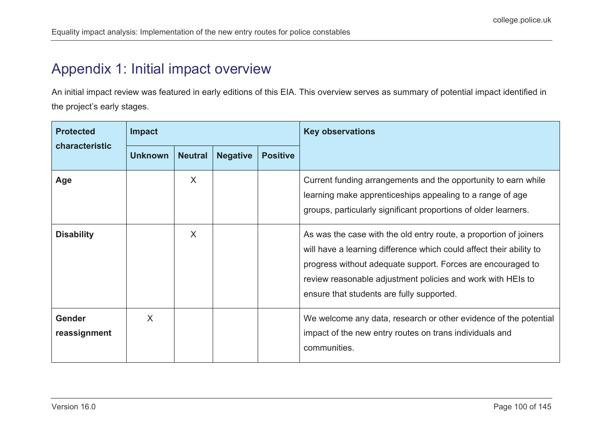## Appendix 1: Initial impact overview

An initial impact review was featured in early editions of this EIA. This overview serves as summary of potential impact identified in the project's early stages.

| <b>Protected</b><br>characteristic | <b>Impact</b>  |                |                 |                 | <b>Key observations</b>                                                                                                                                                                                                                                                                                             |
|------------------------------------|----------------|----------------|-----------------|-----------------|---------------------------------------------------------------------------------------------------------------------------------------------------------------------------------------------------------------------------------------------------------------------------------------------------------------------|
|                                    | <b>Unknown</b> | <b>Neutral</b> | <b>Negative</b> | <b>Positive</b> |                                                                                                                                                                                                                                                                                                                     |
| Age                                |                | X              |                 |                 | Current funding arrangements and the opportunity to earn while<br>learning make apprenticeships appealing to a range of age<br>groups, particularly significant proportions of older learners.                                                                                                                      |
| <b>Disability</b>                  |                | X              |                 |                 | As was the case with the old entry route, a proportion of joiners<br>will have a learning difference which could affect their ability to<br>progress without adequate support. Forces are encouraged to<br>review reasonable adjustment policies and work with HEIs to<br>ensure that students are fully supported. |
| <b>Gender</b><br>reassignment      | X              |                |                 |                 | We welcome any data, research or other evidence of the potential<br>impact of the new entry routes on trans individuals and<br>communities.                                                                                                                                                                         |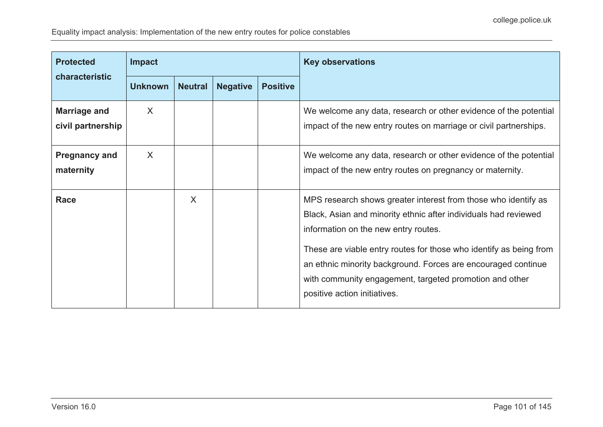| <b>Protected</b>                         | <b>Impact</b>  |                |                 |                 | <b>Key observations</b>                                                                                                                                                                                                                                                                                                                                                                                     |
|------------------------------------------|----------------|----------------|-----------------|-----------------|-------------------------------------------------------------------------------------------------------------------------------------------------------------------------------------------------------------------------------------------------------------------------------------------------------------------------------------------------------------------------------------------------------------|
| characteristic                           | <b>Unknown</b> | <b>Neutral</b> | <b>Negative</b> | <b>Positive</b> |                                                                                                                                                                                                                                                                                                                                                                                                             |
| <b>Marriage and</b><br>civil partnership | X              |                |                 |                 | We welcome any data, research or other evidence of the potential<br>impact of the new entry routes on marriage or civil partnerships.                                                                                                                                                                                                                                                                       |
| <b>Pregnancy and</b><br>maternity        | X              |                |                 |                 | We welcome any data, research or other evidence of the potential<br>impact of the new entry routes on pregnancy or maternity.                                                                                                                                                                                                                                                                               |
| Race                                     |                | X              |                 |                 | MPS research shows greater interest from those who identify as<br>Black, Asian and minority ethnic after individuals had reviewed<br>information on the new entry routes.<br>These are viable entry routes for those who identify as being from<br>an ethnic minority background. Forces are encouraged continue<br>with community engagement, targeted promotion and other<br>positive action initiatives. |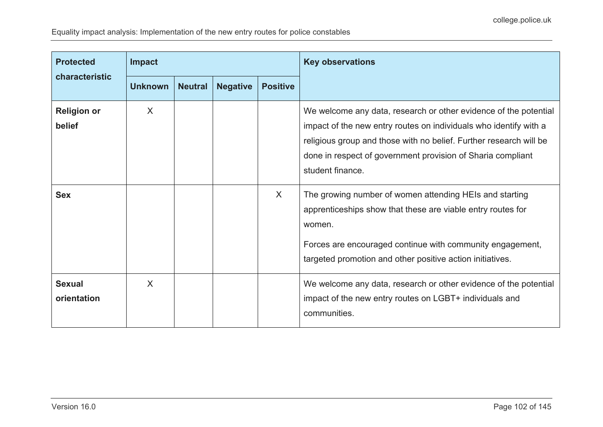| <b>Protected</b>             | <b>Impact</b>  |                |                 |                 | <b>Key observations</b>                                                                                                                                                                                                                                                                        |
|------------------------------|----------------|----------------|-----------------|-----------------|------------------------------------------------------------------------------------------------------------------------------------------------------------------------------------------------------------------------------------------------------------------------------------------------|
| characteristic               | <b>Unknown</b> | <b>Neutral</b> | <b>Negative</b> | <b>Positive</b> |                                                                                                                                                                                                                                                                                                |
| <b>Religion or</b><br>belief | X              |                |                 |                 | We welcome any data, research or other evidence of the potential<br>impact of the new entry routes on individuals who identify with a<br>religious group and those with no belief. Further research will be<br>done in respect of government provision of Sharia compliant<br>student finance. |
| <b>Sex</b>                   |                |                |                 | X               | The growing number of women attending HEIs and starting<br>apprenticeships show that these are viable entry routes for<br>women.<br>Forces are encouraged continue with community engagement,<br>targeted promotion and other positive action initiatives.                                     |
| <b>Sexual</b><br>orientation | X              |                |                 |                 | We welcome any data, research or other evidence of the potential<br>impact of the new entry routes on LGBT+ individuals and<br>communities.                                                                                                                                                    |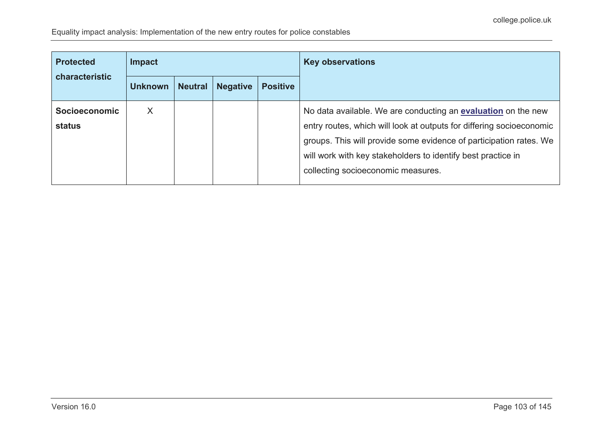| <b>Protected</b><br>characteristic | <b>Impact</b>  |                |                 |                 | <b>Key observations</b>                                                                                                                                                                                                                                                                                                  |
|------------------------------------|----------------|----------------|-----------------|-----------------|--------------------------------------------------------------------------------------------------------------------------------------------------------------------------------------------------------------------------------------------------------------------------------------------------------------------------|
|                                    | <b>Unknown</b> | <b>Neutral</b> | <b>Negative</b> | <b>Positive</b> |                                                                                                                                                                                                                                                                                                                          |
| <b>Socioeconomic</b><br>status     | X              |                |                 |                 | No data available. We are conducting an <b>evaluation</b> on the new<br>entry routes, which will look at outputs for differing socioeconomic<br>groups. This will provide some evidence of participation rates. We<br>will work with key stakeholders to identify best practice in<br>collecting socioeconomic measures. |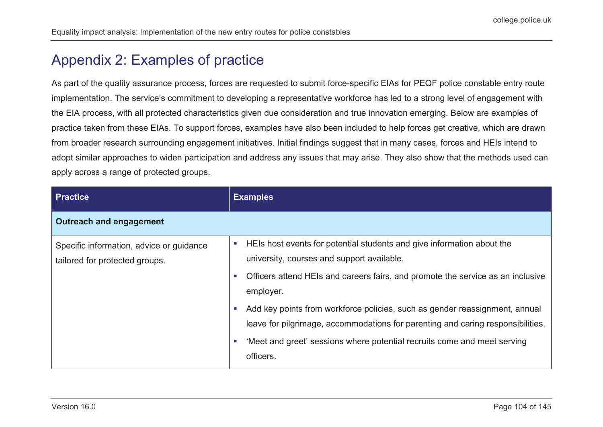## Appendix 2: Examples of practice

As part of the quality assurance process, forces are requested to submit force-specific EIAs for PEQF police constable entry route implementation. The service's commitment to developing a representative workforce has led to a strong level of engagement with the EIA process, with all protected characteristics given due consideration and true innovation emerging. Below are examples of practice taken from these EIAs. To support forces, examples have also been included to help forces get creative, which are drawn from broader research surrounding engagement initiatives. Initial findings suggest that in many cases, forces and HEIs intend to adopt similar approaches to widen participation and address any issues that may arise. They also show that the methods used can apply across a range of protected groups.

| <b>Practice</b>                                                            | <b>Examples</b>                                                                                                                                                                                                                                                                    |
|----------------------------------------------------------------------------|------------------------------------------------------------------------------------------------------------------------------------------------------------------------------------------------------------------------------------------------------------------------------------|
| <b>Outreach and engagement</b>                                             |                                                                                                                                                                                                                                                                                    |
| Specific information, advice or guidance<br>tailored for protected groups. | HEIs host events for potential students and give information about the<br>ш<br>university, courses and support available.<br>Officers attend HEIs and careers fairs, and promote the service as an inclusive<br><b>COL</b><br>employer.                                            |
|                                                                            | Add key points from workforce policies, such as gender reassignment, annual<br><b>CO</b><br>leave for pilgrimage, accommodations for parenting and caring responsibilities.<br>'Meet and greet' sessions where potential recruits come and meet serving<br><b>COL</b><br>officers. |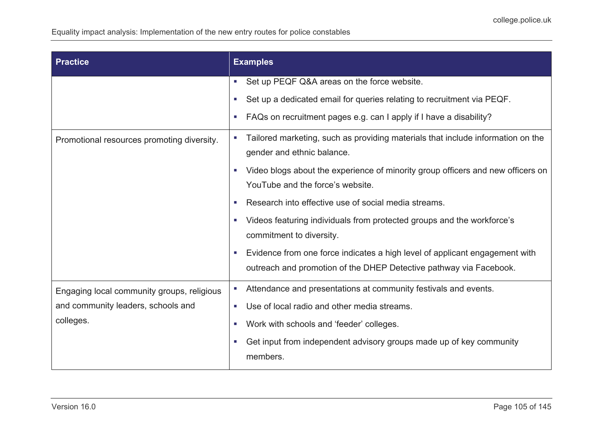Equality impact analysis: Implementation of the new entry routes for police constables

| <b>Practice</b>                            | <b>Examples</b>                                                                                                                                        |  |
|--------------------------------------------|--------------------------------------------------------------------------------------------------------------------------------------------------------|--|
|                                            | Set up PEQF Q&A areas on the force website.<br>$\blacksquare$                                                                                          |  |
|                                            | Set up a dedicated email for queries relating to recruitment via PEQF.<br>$\mathcal{L}_{\mathcal{A}}$                                                  |  |
|                                            | FAQs on recruitment pages e.g. can I apply if I have a disability?<br>$\blacksquare$                                                                   |  |
| Promotional resources promoting diversity. | Tailored marketing, such as providing materials that include information on the<br>$\blacksquare$<br>gender and ethnic balance.                        |  |
|                                            | Video blogs about the experience of minority group officers and new officers on<br>×<br>YouTube and the force's website.                               |  |
|                                            | Research into effective use of social media streams.<br>a.                                                                                             |  |
|                                            | Videos featuring individuals from protected groups and the workforce's<br>$\blacksquare$<br>commitment to diversity.                                   |  |
|                                            | Evidence from one force indicates a high level of applicant engagement with<br>×<br>outreach and promotion of the DHEP Detective pathway via Facebook. |  |
| Engaging local community groups, religious | Attendance and presentations at community festivals and events.<br>$\mathcal{L}_{\mathcal{A}}$                                                         |  |
| and community leaders, schools and         | Use of local radio and other media streams.<br>$\mathcal{L}_{\mathcal{A}}$                                                                             |  |
| colleges.                                  | Work with schools and 'feeder' colleges.<br>$\mathcal{L}_{\mathcal{A}}$                                                                                |  |
|                                            | Get input from independent advisory groups made up of key community<br>×<br>members.                                                                   |  |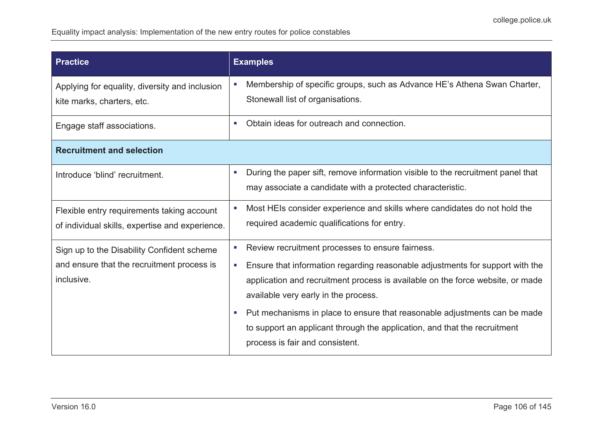| <b>Practice</b>                                                                                        | <b>Examples</b>                                                                                                                                                                                                                                                                                                                                                                                                                                                                        |  |  |
|--------------------------------------------------------------------------------------------------------|----------------------------------------------------------------------------------------------------------------------------------------------------------------------------------------------------------------------------------------------------------------------------------------------------------------------------------------------------------------------------------------------------------------------------------------------------------------------------------------|--|--|
| Applying for equality, diversity and inclusion<br>kite marks, charters, etc.                           | Membership of specific groups, such as Advance HE's Athena Swan Charter,<br>$\mathcal{L}_{\mathcal{A}}$<br>Stonewall list of organisations.                                                                                                                                                                                                                                                                                                                                            |  |  |
| Engage staff associations.                                                                             | Obtain ideas for outreach and connection.<br>$\overline{\phantom{a}}$                                                                                                                                                                                                                                                                                                                                                                                                                  |  |  |
| <b>Recruitment and selection</b>                                                                       |                                                                                                                                                                                                                                                                                                                                                                                                                                                                                        |  |  |
| Introduce 'blind' recruitment.                                                                         | During the paper sift, remove information visible to the recruitment panel that<br><b>I</b><br>may associate a candidate with a protected characteristic.                                                                                                                                                                                                                                                                                                                              |  |  |
| Flexible entry requirements taking account<br>of individual skills, expertise and experience.          | Most HEIs consider experience and skills where candidates do not hold the<br>ш<br>required academic qualifications for entry.                                                                                                                                                                                                                                                                                                                                                          |  |  |
| Sign up to the Disability Confident scheme<br>and ensure that the recruitment process is<br>inclusive. | Review recruitment processes to ensure fairness.<br>×,<br>Ensure that information regarding reasonable adjustments for support with the<br><b>C</b><br>application and recruitment process is available on the force website, or made<br>available very early in the process.<br>Put mechanisms in place to ensure that reasonable adjustments can be made<br><b>C</b><br>to support an applicant through the application, and that the recruitment<br>process is fair and consistent. |  |  |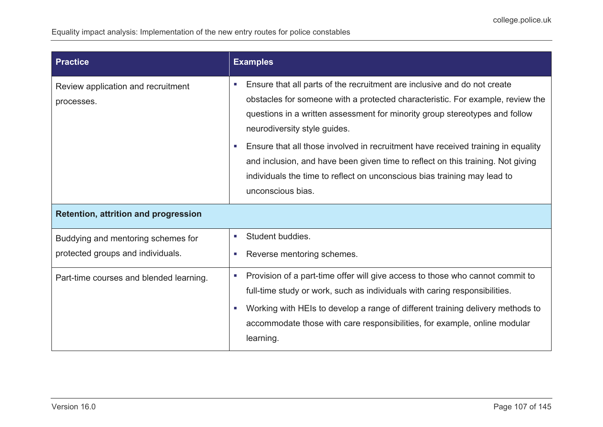| <b>Practice</b>                                                         | <b>Examples</b>                                                                                                                                                                                                                                                                                                                                                                                                                                                                                                                                                                  |  |  |
|-------------------------------------------------------------------------|----------------------------------------------------------------------------------------------------------------------------------------------------------------------------------------------------------------------------------------------------------------------------------------------------------------------------------------------------------------------------------------------------------------------------------------------------------------------------------------------------------------------------------------------------------------------------------|--|--|
| Review application and recruitment<br>processes.                        | Ensure that all parts of the recruitment are inclusive and do not create<br>$\blacksquare$<br>obstacles for someone with a protected characteristic. For example, review the<br>questions in a written assessment for minority group stereotypes and follow<br>neurodiversity style guides.<br>Ensure that all those involved in recruitment have received training in equality<br><b>CO</b><br>and inclusion, and have been given time to reflect on this training. Not giving<br>individuals the time to reflect on unconscious bias training may lead to<br>unconscious bias. |  |  |
| <b>Retention, attrition and progression</b>                             |                                                                                                                                                                                                                                                                                                                                                                                                                                                                                                                                                                                  |  |  |
| Buddying and mentoring schemes for<br>protected groups and individuals. | Student buddies.<br>×<br>Reverse mentoring schemes.<br>a.                                                                                                                                                                                                                                                                                                                                                                                                                                                                                                                        |  |  |
| Part-time courses and blended learning.                                 | Provision of a part-time offer will give access to those who cannot commit to<br>×<br>full-time study or work, such as individuals with caring responsibilities.<br>Working with HEIs to develop a range of different training delivery methods to<br>a.<br>accommodate those with care responsibilities, for example, online modular<br>learning.                                                                                                                                                                                                                               |  |  |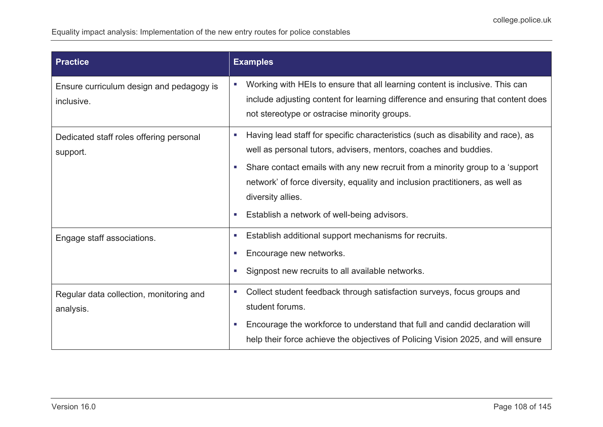| <b>Practice</b>                                        | <b>Examples</b>                                                                                                                                                                                                                                                                                                                                                                                             |
|--------------------------------------------------------|-------------------------------------------------------------------------------------------------------------------------------------------------------------------------------------------------------------------------------------------------------------------------------------------------------------------------------------------------------------------------------------------------------------|
| Ensure curriculum design and pedagogy is<br>inclusive. | Working with HEIs to ensure that all learning content is inclusive. This can<br>П<br>include adjusting content for learning difference and ensuring that content does<br>not stereotype or ostracise minority groups.                                                                                                                                                                                       |
| Dedicated staff roles offering personal<br>support.    | Having lead staff for specific characteristics (such as disability and race), as<br>ш<br>well as personal tutors, advisers, mentors, coaches and buddies.<br>Share contact emails with any new recruit from a minority group to a 'support'<br>п<br>network' of force diversity, equality and inclusion practitioners, as well as<br>diversity allies.<br>Establish a network of well-being advisors.<br>×. |
| Engage staff associations.                             | Establish additional support mechanisms for recruits.<br>×.<br>Encourage new networks.<br>×,<br>Signpost new recruits to all available networks.<br>п                                                                                                                                                                                                                                                       |
| Regular data collection, monitoring and<br>analysis.   | Collect student feedback through satisfaction surveys, focus groups and<br>$\overline{\phantom{a}}$<br>student forums.<br>Encourage the workforce to understand that full and candid declaration will<br>п<br>help their force achieve the objectives of Policing Vision 2025, and will ensure                                                                                                              |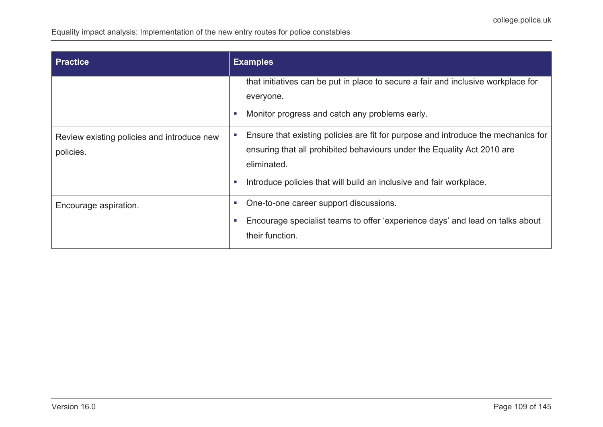| Practice                                                | <b>Examples</b>                                                                                                                                                                                                                                         |  |  |
|---------------------------------------------------------|---------------------------------------------------------------------------------------------------------------------------------------------------------------------------------------------------------------------------------------------------------|--|--|
|                                                         | that initiatives can be put in place to secure a fair and inclusive workplace for<br>everyone.<br>Monitor progress and catch any problems early.<br>ш                                                                                                   |  |  |
| Review existing policies and introduce new<br>policies. | Ensure that existing policies are fit for purpose and introduce the mechanics for<br>ensuring that all prohibited behaviours under the Equality Act 2010 are<br>eliminated.<br>Introduce policies that will build an inclusive and fair workplace.<br>П |  |  |
| Encourage aspiration.                                   | One-to-one career support discussions.<br>п<br>Encourage specialist teams to offer 'experience days' and lead on talks about<br>п<br>their function.                                                                                                    |  |  |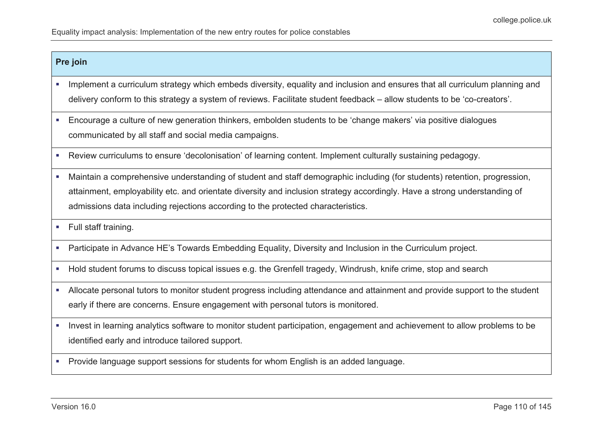### **Pre join**

- **IMPLEM** 1mplement a curriculum strategy which embeds diversity, equality and inclusion and ensures that all curriculum planning and delivery conform to this strategy a system of reviews. Facilitate student feedback – allow students to be 'co-creators'.
- Encourage a culture of new generation thinkers, embolden students to be 'change makers' via positive dialogues communicated by all staff and social media campaigns.
- Review curriculums to ensure 'decolonisation' of learning content. Implement culturally sustaining pedagogy.
- Maintain a comprehensive understanding of student and staff demographic including (for students) retention, progression, attainment, employability etc. and orientate diversity and inclusion strategy accordingly. Have a strong understanding of admissions data including rejections according to the protected characteristics.
- Full staff training.
- Participate in Advance HE's Towards Embedding Equality, Diversity and Inclusion in the Curriculum project.
- Hold student forums to discuss topical issues e.g. the Grenfell tragedy, Windrush, knife crime, stop and search
- Allocate personal tutors to monitor student progress including attendance and attainment and provide support to the student early if there are concerns. Ensure engagement with personal tutors is monitored.
- Invest in learning analytics software to monitor student participation, engagement and achievement to allow problems to be identified early and introduce tailored support.
- **Provide language support sessions for students for whom English is an added language.**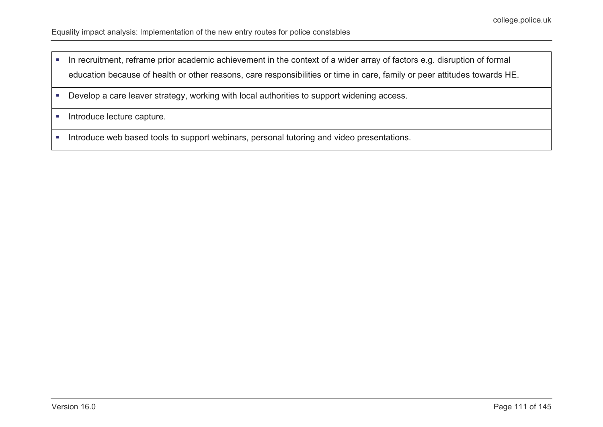- In recruitment, reframe prior academic achievement in the context of a wider array of factors e.g. disruption of formal education because of health or other reasons, care responsibilities or time in care, family or peer attitudes towards HE.
- Develop a care leaver strategy, working with local authorities to support widening access.
- **Introduce lecture capture.**
- **Introduce web based tools to support webinars, personal tutoring and video presentations.**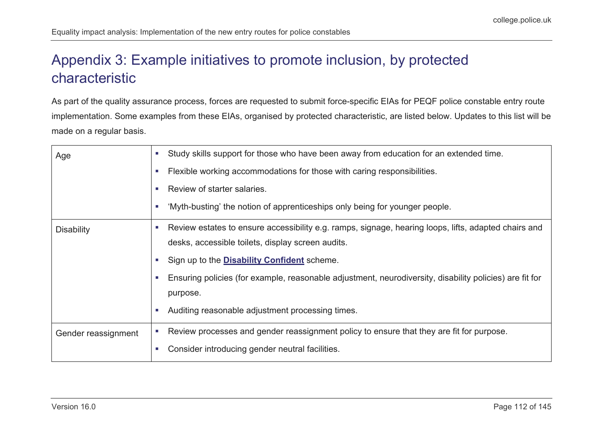# Appendix 3: Example initiatives to promote inclusion, by protected characteristic

As part of the quality assurance process, forces are requested to submit force-specific EIAs for PEQF police constable entry route implementation. Some examples from these EIAs, organised by protected characteristic, are listed below. Updates to this list will be made on a regular basis.

| Age                 | Study skills support for those who have been away from education for an extended time.<br>$\mathcal{L}_{\mathcal{A}}$ |
|---------------------|-----------------------------------------------------------------------------------------------------------------------|
|                     | Flexible working accommodations for those with caring responsibilities.                                               |
|                     | Review of starter salaries.                                                                                           |
|                     | 'Myth-busting' the notion of apprenticeships only being for younger people.                                           |
| <b>Disability</b>   | Review estates to ensure accessibility e.g. ramps, signage, hearing loops, lifts, adapted chairs and<br><b>COL</b>    |
|                     | desks, accessible toilets, display screen audits.                                                                     |
|                     | Sign up to the <b>Disability Confident</b> scheme.                                                                    |
|                     | Ensuring policies (for example, reasonable adjustment, neurodiversity, disability policies) are fit for               |
|                     | purpose.                                                                                                              |
|                     | Auditing reasonable adjustment processing times.<br>$\overline{\phantom{a}}$                                          |
| Gender reassignment | Review processes and gender reassignment policy to ensure that they are fit for purpose.                              |
|                     | Consider introducing gender neutral facilities.                                                                       |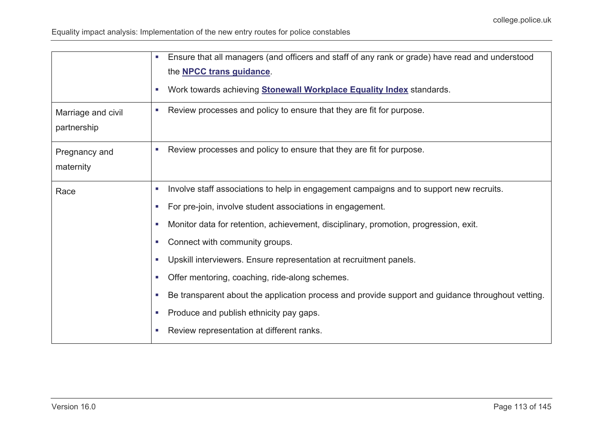|                                   | Ensure that all managers (and officers and staff of any rank or grade) have read and understood<br>×.<br>the <b>NPCC</b> trans guidance.<br>Work towards achieving <b>Stonewall Workplace Equality Index</b> standards.<br>×. |
|-----------------------------------|-------------------------------------------------------------------------------------------------------------------------------------------------------------------------------------------------------------------------------|
| Marriage and civil<br>partnership | Review processes and policy to ensure that they are fit for purpose.<br>u.                                                                                                                                                    |
| Pregnancy and<br>maternity        | Review processes and policy to ensure that they are fit for purpose.<br>u.                                                                                                                                                    |
| Race                              | Involve staff associations to help in engagement campaigns and to support new recruits.<br>п                                                                                                                                  |
|                                   | For pre-join, involve student associations in engagement.                                                                                                                                                                     |
|                                   | Monitor data for retention, achievement, disciplinary, promotion, progression, exit.<br>п                                                                                                                                     |
|                                   | Connect with community groups.<br>a.                                                                                                                                                                                          |
|                                   | Upskill interviewers. Ensure representation at recruitment panels.<br>×.                                                                                                                                                      |
|                                   | Offer mentoring, coaching, ride-along schemes.<br>u.                                                                                                                                                                          |
|                                   | Be transparent about the application process and provide support and guidance throughout vetting.<br>U.                                                                                                                       |
|                                   | Produce and publish ethnicity pay gaps.<br>×.                                                                                                                                                                                 |
|                                   | Review representation at different ranks.                                                                                                                                                                                     |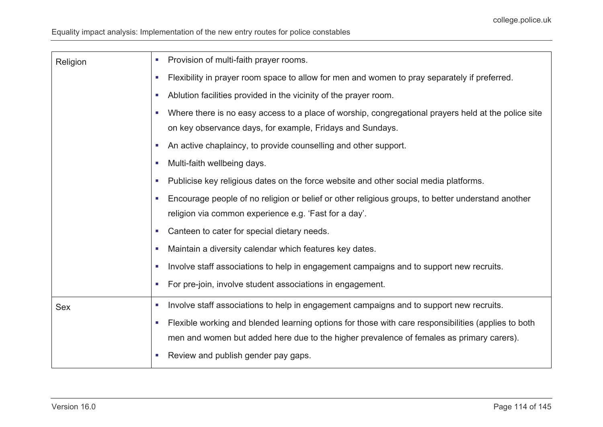| Religion   | Provision of multi-faith prayer rooms.<br>$\mathcal{L}_{\mathcal{A}}$                                                              |
|------------|------------------------------------------------------------------------------------------------------------------------------------|
|            | Flexibility in prayer room space to allow for men and women to pray separately if preferred.<br>$\mathcal{L}_{\mathcal{A}}$        |
|            | Ablution facilities provided in the vicinity of the prayer room.<br>$\mathcal{L}_{\mathcal{A}}$                                    |
|            | Where there is no easy access to a place of worship, congregational prayers held at the police site<br>$\mathcal{L}_{\mathcal{A}}$ |
|            | on key observance days, for example, Fridays and Sundays.                                                                          |
|            | An active chaplaincy, to provide counselling and other support.<br><b>COL</b>                                                      |
|            | Multi-faith wellbeing days.<br>×.                                                                                                  |
|            | Publicise key religious dates on the force website and other social media platforms.<br><b>COL</b>                                 |
|            | Encourage people of no religion or belief or other religious groups, to better understand another<br>P.                            |
|            | religion via common experience e.g. 'Fast for a day'.                                                                              |
|            | Canteen to cater for special dietary needs.<br><b>COL</b>                                                                          |
|            | Maintain a diversity calendar which features key dates.<br>P.                                                                      |
|            | Involve staff associations to help in engagement campaigns and to support new recruits.<br>P.                                      |
|            | For pre-join, involve student associations in engagement.<br><b>C</b>                                                              |
| <b>Sex</b> | Involve staff associations to help in engagement campaigns and to support new recruits.<br>$\mathcal{L}_{\mathcal{A}}$             |
|            | Flexible working and blended learning options for those with care responsibilities (applies to both<br>P.                          |
|            | men and women but added here due to the higher prevalence of females as primary carers).                                           |
|            | Review and publish gender pay gaps.<br>P.                                                                                          |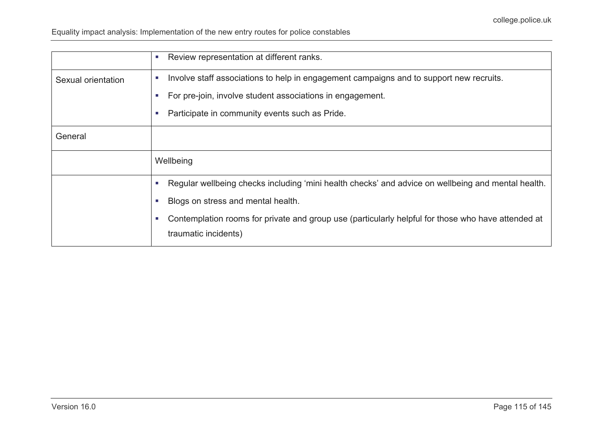|                    | Review representation at different ranks.<br><b>COL</b>                                                                    |
|--------------------|----------------------------------------------------------------------------------------------------------------------------|
| Sexual orientation | Involve staff associations to help in engagement campaigns and to support new recruits.<br>П                               |
|                    | For pre-join, involve student associations in engagement.                                                                  |
|                    | Participate in community events such as Pride.<br><b>II</b>                                                                |
| General            |                                                                                                                            |
|                    | Wellbeing                                                                                                                  |
|                    | Regular wellbeing checks including 'mini health checks' and advice on wellbeing and mental health.                         |
|                    | Blogs on stress and mental health.                                                                                         |
|                    | Contemplation rooms for private and group use (particularly helpful for those who have attended at<br>traumatic incidents) |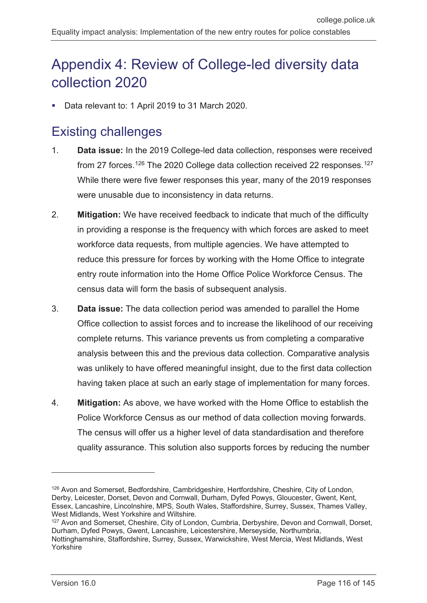# Appendix 4: Review of College-led diversity data collection 2020

Data relevant to: 1 April 2019 to 31 March 2020.

# Existing challenges

- 1. **Data issue:** In the 2019 College-led data collection, responses were received from 27 forces.<sup>[126](#page-115-0)</sup> The 2020 College data collection received 22 responses.<sup>[127](#page-115-1)</sup> While there were five fewer responses this year, many of the 2019 responses were unusable due to inconsistency in data returns.
- 2. **Mitigation:** We have received feedback to indicate that much of the difficulty in providing a response is the frequency with which forces are asked to meet workforce data requests, from multiple agencies. We have attempted to reduce this pressure for forces by working with the Home Office to integrate entry route information into the Home Office Police Workforce Census. The census data will form the basis of subsequent analysis.
- 3. **Data issue:** The data collection period was amended to parallel the Home Office collection to assist forces and to increase the likelihood of our receiving complete returns. This variance prevents us from completing a comparative analysis between this and the previous data collection. Comparative analysis was unlikely to have offered meaningful insight, due to the first data collection having taken place at such an early stage of implementation for many forces.
- 4. **Mitigation:** As above, we have worked with the Home Office to establish the Police Workforce Census as our method of data collection moving forwards. The census will offer us a higher level of data standardisation and therefore quality assurance. This solution also supports forces by reducing the number

 $\overline{a}$ 

<span id="page-115-0"></span><sup>126</sup> Avon and Somerset, Bedfordshire, Cambridgeshire, Hertfordshire, Cheshire, City of London, Derby, Leicester, Dorset, Devon and Cornwall, Durham, Dyfed Powys, Gloucester, Gwent, Kent, Essex, Lancashire, Lincolnshire, MPS, South Wales, Staffordshire, Surrey, Sussex, Thames Valley, West Midlands, West Yorkshire and Wiltshire.

<span id="page-115-1"></span><sup>&</sup>lt;sup>127</sup> Avon and Somerset, Cheshire, City of London, Cumbria, Derbyshire, Devon and Cornwall, Dorset, Durham, Dyfed Powys, Gwent, Lancashire, Leicestershire, Merseyside, Northumbria, Nottinghamshire, Staffordshire, Surrey, Sussex, Warwickshire, West Mercia, West Midlands, West Yorkshire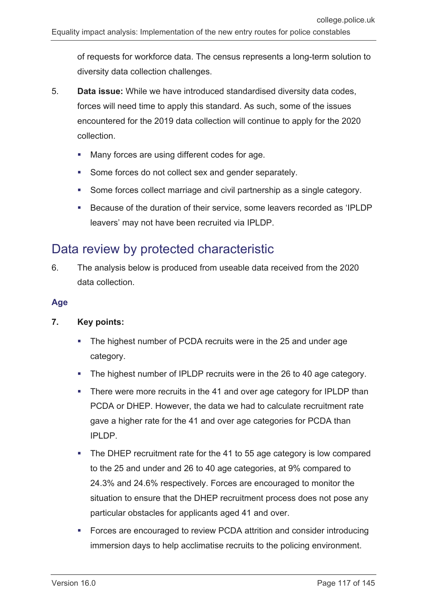of requests for workforce data. The census represents a long-term solution to diversity data collection challenges.

- 5. **Data issue:** While we have introduced standardised diversity data codes, forces will need time to apply this standard. As such, some of the issues encountered for the 2019 data collection will continue to apply for the 2020 collection.
	- Many forces are using different codes for age.
	- Some forces do not collect sex and gender separately.
	- Some forces collect marriage and civil partnership as a single category.
	- Because of the duration of their service, some leavers recorded as 'IPLDP leavers' may not have been recruited via IPLDP.

## Data review by protected characteristic

6. The analysis below is produced from useable data received from the 2020 data collection.

## **Age**

## **7. Key points:**

- The highest number of PCDA recruits were in the 25 and under age category.
- The highest number of IPLDP recruits were in the 26 to 40 age category.
- There were more recruits in the 41 and over age category for IPLDP than PCDA or DHEP. However, the data we had to calculate recruitment rate gave a higher rate for the 41 and over age categories for PCDA than IPLDP.
- The DHEP recruitment rate for the 41 to 55 age category is low compared to the 25 and under and 26 to 40 age categories, at 9% compared to 24.3% and 24.6% respectively. Forces are encouraged to monitor the situation to ensure that the DHEP recruitment process does not pose any particular obstacles for applicants aged 41 and over.
- Forces are encouraged to review PCDA attrition and consider introducing immersion days to help acclimatise recruits to the policing environment.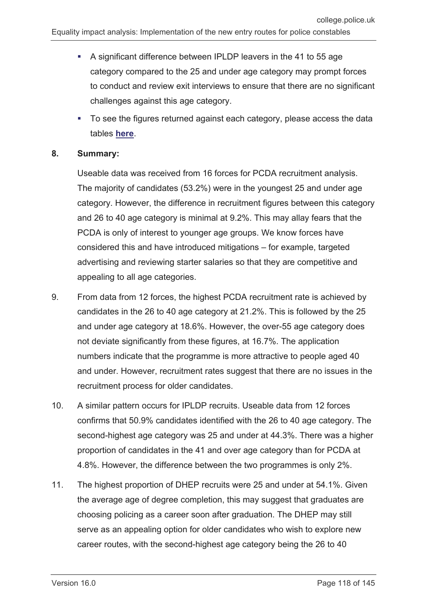- A significant difference between IPLDP leavers in the 41 to 55 age category compared to the 25 and under age category may prompt forces to conduct and review exit interviews to ensure that there are no significant challenges against this age category.
- To see the figures returned against each category, please access the data tables **[here](#page-139-0)**.

#### **8. Summary:**

Useable data was received from 16 forces for PCDA recruitment analysis. The majority of candidates (53.2%) were in the youngest 25 and under age category. However, the difference in recruitment figures between this category and 26 to 40 age category is minimal at 9.2%. This may allay fears that the PCDA is only of interest to younger age groups. We know forces have considered this and have introduced mitigations – for example, targeted advertising and reviewing starter salaries so that they are competitive and appealing to all age categories.

- 9. From data from 12 forces, the highest PCDA recruitment rate is achieved by candidates in the 26 to 40 age category at 21.2%. This is followed by the 25 and under age category at 18.6%. However, the over-55 age category does not deviate significantly from these figures, at 16.7%. The application numbers indicate that the programme is more attractive to people aged 40 and under. However, recruitment rates suggest that there are no issues in the recruitment process for older candidates.
- 10. A similar pattern occurs for IPLDP recruits. Useable data from 12 forces confirms that 50.9% candidates identified with the 26 to 40 age category. The second-highest age category was 25 and under at 44.3%. There was a higher proportion of candidates in the 41 and over age category than for PCDA at 4.8%. However, the difference between the two programmes is only 2%.
- 11. The highest proportion of DHEP recruits were 25 and under at 54.1%. Given the average age of degree completion, this may suggest that graduates are choosing policing as a career soon after graduation. The DHEP may still serve as an appealing option for older candidates who wish to explore new career routes, with the second-highest age category being the 26 to 40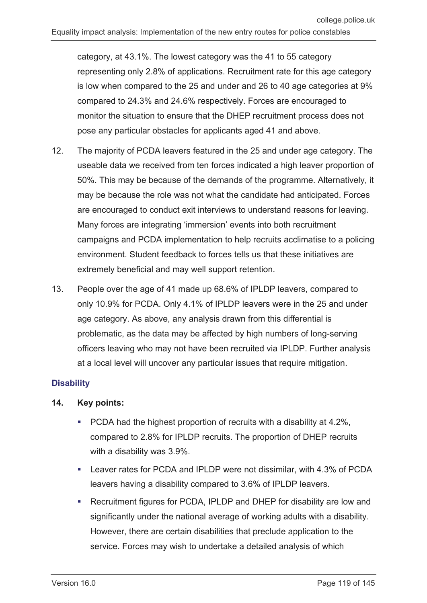category, at 43.1%. The lowest category was the 41 to 55 category representing only 2.8% of applications. Recruitment rate for this age category is low when compared to the 25 and under and 26 to 40 age categories at 9% compared to 24.3% and 24.6% respectively. Forces are encouraged to monitor the situation to ensure that the DHEP recruitment process does not pose any particular obstacles for applicants aged 41 and above.

- 12. The majority of PCDA leavers featured in the 25 and under age category. The useable data we received from ten forces indicated a high leaver proportion of 50%. This may be because of the demands of the programme. Alternatively, it may be because the role was not what the candidate had anticipated. Forces are encouraged to conduct exit interviews to understand reasons for leaving. Many forces are integrating 'immersion' events into both recruitment campaigns and PCDA implementation to help recruits acclimatise to a policing environment. Student feedback to forces tells us that these initiatives are extremely beneficial and may well support retention.
- 13. People over the age of 41 made up 68.6% of IPLDP leavers, compared to only 10.9% for PCDA. Only 4.1% of IPLDP leavers were in the 25 and under age category. As above, any analysis drawn from this differential is problematic, as the data may be affected by high numbers of long-serving officers leaving who may not have been recruited via IPLDP. Further analysis at a local level will uncover any particular issues that require mitigation.

## **Disability**

## **14. Key points:**

- **PCDA** had the highest proportion of recruits with a disability at 4.2%, compared to 2.8% for IPLDP recruits. The proportion of DHEP recruits with a disability was 3.9%.
- Leaver rates for PCDA and IPLDP were not dissimilar, with 4.3% of PCDA leavers having a disability compared to 3.6% of IPLDP leavers.
- Recruitment figures for PCDA, IPLDP and DHEP for disability are low and significantly under the national average of working adults with a disability. However, there are certain disabilities that preclude application to the service. Forces may wish to undertake a detailed analysis of which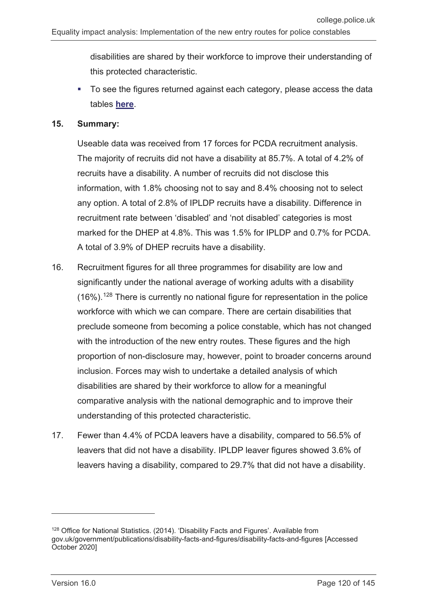disabilities are shared by their workforce to improve their understanding of this protected characteristic.

■ To see the figures returned against each category, please access the data tables **here**.

#### **15. Summary:**

Useable data was received from 17 forces for PCDA recruitment analysis. The majority of recruits did not have a disability at 85.7%. A total of 4.2% of recruits have a disability. A number of recruits did not disclose this information, with 1.8% choosing not to say and 8.4% choosing not to select any option. A total of 2.8% of IPLDP recruits have a disability. Difference in recruitment rate between 'disabled' and 'not disabled' categories is most marked for the DHEP at 4.8%. This was 1.5% for IPLDP and 0.7% for PCDA. A total of 3.9% of DHEP recruits have a disability.

- 16. Recruitment figures for all three programmes for disability are low and significantly under the national average of working adults with a disability  $(16\%)$ .<sup>[128](#page-119-0)</sup> There is currently no national figure for representation in the police workforce with which we can compare. There are certain disabilities that preclude someone from becoming a police constable, which has not changed with the introduction of the new entry routes. These figures and the high proportion of non-disclosure may, however, point to broader concerns around inclusion. Forces may wish to undertake a detailed analysis of which disabilities are shared by their workforce to allow for a meaningful comparative analysis with the national demographic and to improve their understanding of this protected characteristic.
- 17. Fewer than 4.4% of PCDA leavers have a disability, compared to 56.5% of leavers that did not have a disability. IPLDP leaver figures showed 3.6% of leavers having a disability, compared to 29.7% that did not have a disability.

-

<span id="page-119-0"></span><sup>&</sup>lt;sup>128</sup> Office for National Statistics. (2014). 'Disability Facts and Figures'. Available from gov.uk/government/publications/disability-facts-and-figures/disability-facts-and-figures [Accessed October 2020]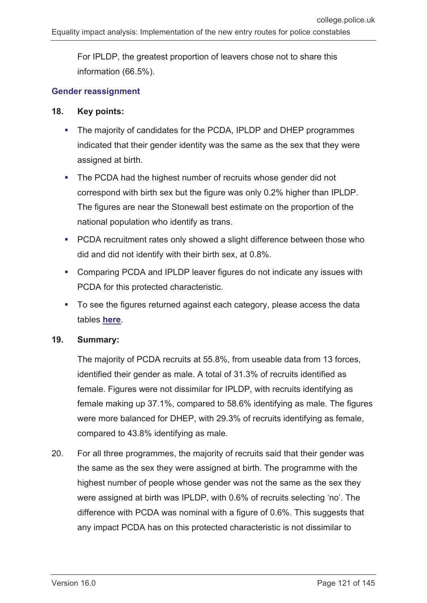For IPLDP, the greatest proportion of leavers chose not to share this information (66.5%).

### **Gender reassignment**

### **18. Key points:**

- The majority of candidates for the PCDA, IPLDP and DHEP programmes indicated that their gender identity was the same as the sex that they were assigned at birth.
- The PCDA had the highest number of recruits whose gender did not correspond with birth sex but the figure was only 0.2% higher than IPLDP. The figures are near the Stonewall best estimate on the proportion of the national population who identify as trans.
- **PCDA recruitment rates only showed a slight difference between those who** did and did not identify with their birth sex, at 0.8%.
- Comparing PCDA and IPLDP leaver figures do not indicate any issues with PCDA for this protected characteristic.
- To see the figures returned against each category, please access the data tables **here**.

#### **19. Summary:**

The majority of PCDA recruits at 55.8%, from useable data from 13 forces, identified their gender as male. A total of 31.3% of recruits identified as female. Figures were not dissimilar for IPLDP, with recruits identifying as female making up 37.1%, compared to 58.6% identifying as male. The figures were more balanced for DHEP, with 29.3% of recruits identifying as female, compared to 43.8% identifying as male.

20. For all three programmes, the majority of recruits said that their gender was the same as the sex they were assigned at birth. The programme with the highest number of people whose gender was not the same as the sex they were assigned at birth was IPLDP, with 0.6% of recruits selecting 'no'. The difference with PCDA was nominal with a figure of 0.6%. This suggests that any impact PCDA has on this protected characteristic is not dissimilar to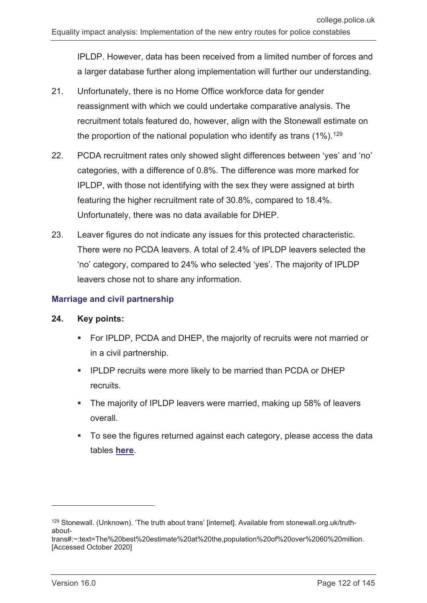IPLDP. However, data has been received from a limited number of forces and a larger database further along implementation will further our understanding.

- 21. Unfortunately, there is no Home Office workforce data for gender reassignment with which we could undertake comparative analysis. The recruitment totals featured do, however, align with the Stonewall estimate on the proportion of the national population who identify as trans  $(1\%)$ .<sup>[129](#page-121-0)</sup>
- 22. PCDA recruitment rates only showed slight differences between 'yes' and 'no' categories, with a difference of 0.8%. The difference was more marked for IPLDP, with those not identifying with the sex they were assigned at birth featuring the higher recruitment rate of 30.8%, compared to 18.4%. Unfortunately, there was no data available for DHEP.
- 23. Leaver figures do not indicate any issues for this protected characteristic. There were no PCDA leavers. A total of 2.4% of IPLDP leavers selected the 'no' category, compared to 24% who selected 'yes'. The majority of IPLDP leavers chose not to share any information.

## **Marriage and civil partnership**

### **24. Key points:**

- For IPLDP, PCDA and DHEP, the majority of recruits were not married or in a civil partnership.
- IPLDP recruits were more likely to be married than PCDA or DHEP recruits.
- The majority of IPLDP leavers were married, making up 58% of leavers overall.
- To see the figures returned against each category, please access the data tables **here**.

-

<span id="page-121-0"></span><sup>129</sup> Stonewall. (Unknown). 'The truth about trans' [internet]. Available from stonewall.org.uk/truthabout-

trans#:~:text=The%20best%20estimate%20at%20the,population%20of%20over%2060%20million. [Accessed October 2020]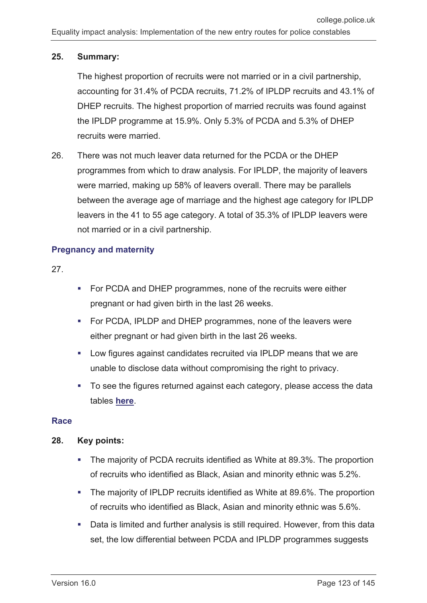## **25. Summary:**

The highest proportion of recruits were not married or in a civil partnership, accounting for 31.4% of PCDA recruits, 71.2% of IPLDP recruits and 43.1% of DHEP recruits. The highest proportion of married recruits was found against the IPLDP programme at 15.9%. Only 5.3% of PCDA and 5.3% of DHEP recruits were married.

26. There was not much leaver data returned for the PCDA or the DHEP programmes from which to draw analysis. For IPLDP, the majority of leavers were married, making up 58% of leavers overall. There may be parallels between the average age of marriage and the highest age category for IPLDP leavers in the 41 to 55 age category. A total of 35.3% of IPLDP leavers were not married or in a civil partnership.

## **Pregnancy and maternity**

27.

- **For PCDA and DHEP programmes, none of the recruits were either** pregnant or had given birth in the last 26 weeks.
- For PCDA, IPLDP and DHEP programmes, none of the leavers were either pregnant or had given birth in the last 26 weeks.
- Low figures against candidates recruited via IPLDP means that we are unable to disclose data without compromising the right to privacy.
- To see the figures returned against each category, please access the data tables **here**.

## **Race**

## **28. Key points:**

- The majority of PCDA recruits identified as White at 89.3%. The proportion of recruits who identified as Black, Asian and minority ethnic was 5.2%.
- The majority of IPLDP recruits identified as White at 89.6%. The proportion of recruits who identified as Black, Asian and minority ethnic was 5.6%.
- Data is limited and further analysis is still required. However, from this data set, the low differential between PCDA and IPLDP programmes suggests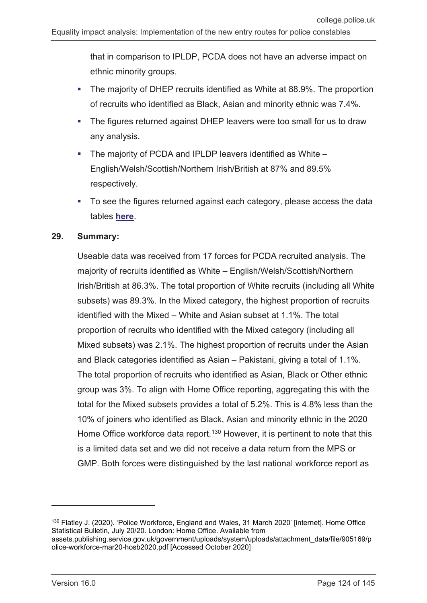that in comparison to IPLDP, PCDA does not have an adverse impact on ethnic minority groups.

- The majority of DHEP recruits identified as White at 88.9%. The proportion of recruits who identified as Black, Asian and minority ethnic was 7.4%.
- The figures returned against DHEP leavers were too small for us to draw any analysis.
- The majority of PCDA and IPLDP leavers identified as White English/Welsh/Scottish/Northern Irish/British at 87% and 89.5% respectively.
- To see the figures returned against each category, please access the data tables **here**.

### **29. Summary:**

Useable data was received from 17 forces for PCDA recruited analysis. The majority of recruits identified as White – English/Welsh/Scottish/Northern Irish/British at 86.3%. The total proportion of White recruits (including all White subsets) was 89.3%. In the Mixed category, the highest proportion of recruits identified with the Mixed – White and Asian subset at 1.1%. The total proportion of recruits who identified with the Mixed category (including all Mixed subsets) was 2.1%. The highest proportion of recruits under the Asian and Black categories identified as Asian – Pakistani, giving a total of 1.1%. The total proportion of recruits who identified as Asian, Black or Other ethnic group was 3%. To align with Home Office reporting, aggregating this with the total for the Mixed subsets provides a total of 5.2%. This is 4.8% less than the 10% of joiners who identified as Black, Asian and minority ethnic in the 2020 Home Office workforce data report.<sup>[130](#page-123-0)</sup> However, it is pertinent to note that this is a limited data set and we did not receive a data return from the MPS or GMP. Both forces were distinguished by the last national workforce report as

-

<span id="page-123-0"></span><sup>130</sup> Flatley J. (2020). 'Police Workforce, England and Wales, 31 March 2020' [internet]. Home Office Statistical Bulletin, July 20/20. London: Home Office. Available from assets.publishing.service.gov.uk/government/uploads/system/uploads/attachment\_data/file/905169/p olice-workforce-mar20-hosb2020.pdf [Accessed October 2020]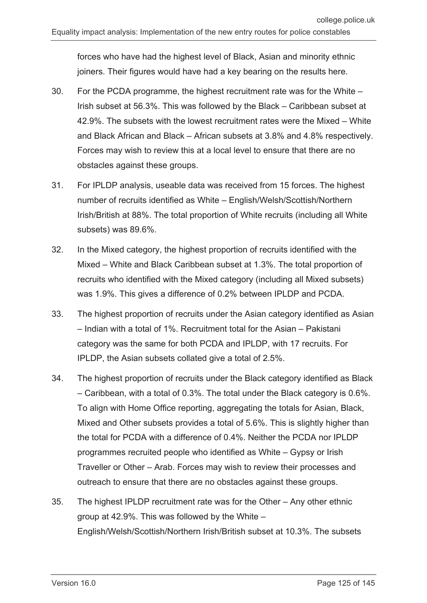forces who have had the highest level of Black, Asian and minority ethnic joiners. Their figures would have had a key bearing on the results here.

- 30. For the PCDA programme, the highest recruitment rate was for the White Irish subset at 56.3%. This was followed by the Black – Caribbean subset at 42.9%. The subsets with the lowest recruitment rates were the Mixed – White and Black African and Black – African subsets at 3.8% and 4.8% respectively. Forces may wish to review this at a local level to ensure that there are no obstacles against these groups.
- 31. For IPLDP analysis, useable data was received from 15 forces. The highest number of recruits identified as White – English/Welsh/Scottish/Northern Irish/British at 88%. The total proportion of White recruits (including all White subsets) was 89.6%.
- 32. In the Mixed category, the highest proportion of recruits identified with the Mixed – White and Black Caribbean subset at 1.3%. The total proportion of recruits who identified with the Mixed category (including all Mixed subsets) was 1.9%. This gives a difference of 0.2% between IPLDP and PCDA.
- 33. The highest proportion of recruits under the Asian category identified as Asian – Indian with a total of 1%. Recruitment total for the Asian – Pakistani category was the same for both PCDA and IPLDP, with 17 recruits. For IPLDP, the Asian subsets collated give a total of 2.5%.
- 34. The highest proportion of recruits under the Black category identified as Black – Caribbean, with a total of 0.3%. The total under the Black category is 0.6%. To align with Home Office reporting, aggregating the totals for Asian, Black, Mixed and Other subsets provides a total of 5.6%. This is slightly higher than the total for PCDA with a difference of 0.4%. Neither the PCDA nor IPLDP programmes recruited people who identified as White – Gypsy or Irish Traveller or Other – Arab. Forces may wish to review their processes and outreach to ensure that there are no obstacles against these groups.
- 35. The highest IPLDP recruitment rate was for the Other Any other ethnic group at 42.9%. This was followed by the White – English/Welsh/Scottish/Northern Irish/British subset at 10.3%. The subsets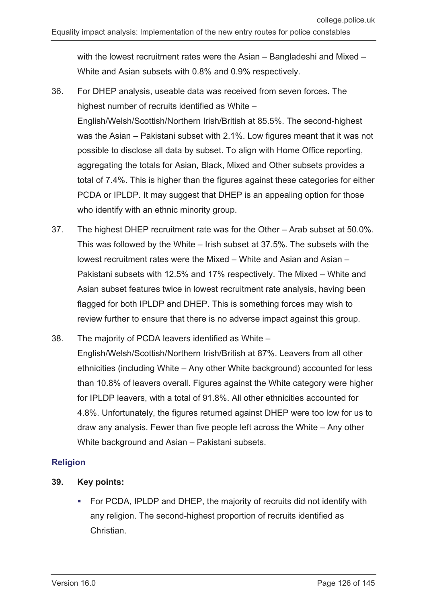with the lowest recruitment rates were the Asian – Bangladeshi and Mixed – White and Asian subsets with 0.8% and 0.9% respectively.

- 36. For DHEP analysis, useable data was received from seven forces. The highest number of recruits identified as White – English/Welsh/Scottish/Northern Irish/British at 85.5%. The second-highest was the Asian – Pakistani subset with 2.1%. Low figures meant that it was not possible to disclose all data by subset. To align with Home Office reporting, aggregating the totals for Asian, Black, Mixed and Other subsets provides a total of 7.4%. This is higher than the figures against these categories for either PCDA or IPLDP. It may suggest that DHEP is an appealing option for those who identify with an ethnic minority group.
- 37. The highest DHEP recruitment rate was for the Other Arab subset at 50.0%. This was followed by the White – Irish subset at 37.5%. The subsets with the lowest recruitment rates were the Mixed – White and Asian and Asian – Pakistani subsets with 12.5% and 17% respectively. The Mixed – White and Asian subset features twice in lowest recruitment rate analysis, having been flagged for both IPLDP and DHEP. This is something forces may wish to review further to ensure that there is no adverse impact against this group.
- 38. The majority of PCDA leavers identified as White English/Welsh/Scottish/Northern Irish/British at 87%. Leavers from all other ethnicities (including White – Any other White background) accounted for less than 10.8% of leavers overall. Figures against the White category were higher for IPLDP leavers, with a total of 91.8%. All other ethnicities accounted for 4.8%. Unfortunately, the figures returned against DHEP were too low for us to draw any analysis. Fewer than five people left across the White – Any other White background and Asian – Pakistani subsets.

## **Religion**

- **39. Key points:**
	- **FOR PCDA, IPLDP and DHEP, the majority of recruits did not identify with** any religion. The second-highest proportion of recruits identified as Christian.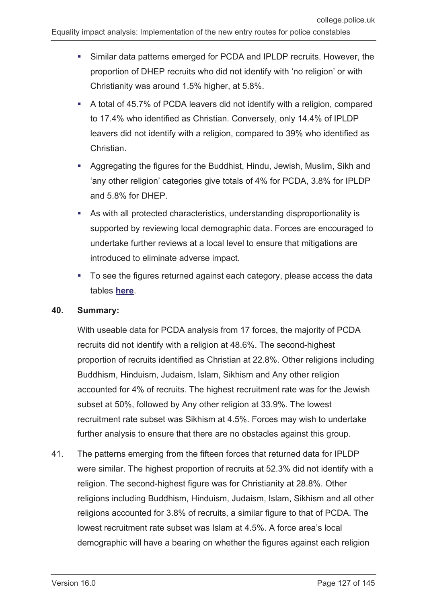- Similar data patterns emerged for PCDA and IPLDP recruits. However, the proportion of DHEP recruits who did not identify with 'no religion' or with Christianity was around 1.5% higher, at 5.8%.
- A total of 45.7% of PCDA leavers did not identify with a religion, compared to 17.4% who identified as Christian. Conversely, only 14.4% of IPLDP leavers did not identify with a religion, compared to 39% who identified as **Christian**
- Aggregating the figures for the Buddhist, Hindu, Jewish, Muslim, Sikh and 'any other religion' categories give totals of 4% for PCDA, 3.8% for IPLDP and 5.8% for DHEP.
- As with all protected characteristics, understanding disproportionality is supported by reviewing local demographic data. Forces are encouraged to undertake further reviews at a local level to ensure that mitigations are introduced to eliminate adverse impact.
- To see the figures returned against each category, please access the data tables **here**.

### **40. Summary:**

With useable data for PCDA analysis from 17 forces, the majority of PCDA recruits did not identify with a religion at 48.6%. The second-highest proportion of recruits identified as Christian at 22.8%. Other religions including Buddhism, Hinduism, Judaism, Islam, Sikhism and Any other religion accounted for 4% of recruits. The highest recruitment rate was for the Jewish subset at 50%, followed by Any other religion at 33.9%. The lowest recruitment rate subset was Sikhism at 4.5%. Forces may wish to undertake further analysis to ensure that there are no obstacles against this group.

41. The patterns emerging from the fifteen forces that returned data for IPLDP were similar. The highest proportion of recruits at 52.3% did not identify with a religion. The second-highest figure was for Christianity at 28.8%. Other religions including Buddhism, Hinduism, Judaism, Islam, Sikhism and all other religions accounted for 3.8% of recruits, a similar figure to that of PCDA. The lowest recruitment rate subset was Islam at 4.5%. A force area's local demographic will have a bearing on whether the figures against each religion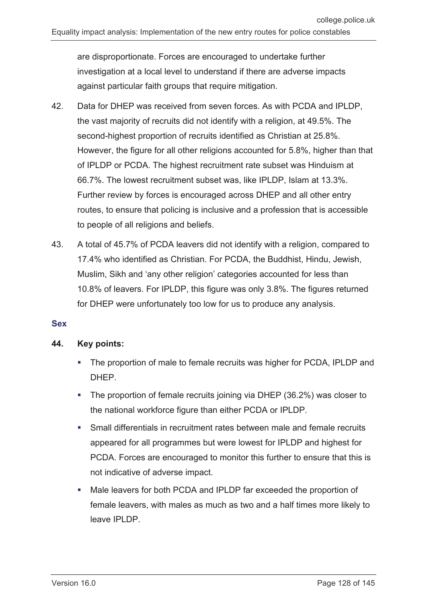are disproportionate. Forces are encouraged to undertake further investigation at a local level to understand if there are adverse impacts against particular faith groups that require mitigation.

- 42. Data for DHEP was received from seven forces. As with PCDA and IPLDP, the vast majority of recruits did not identify with a religion, at 49.5%. The second-highest proportion of recruits identified as Christian at 25.8%. However, the figure for all other religions accounted for 5.8%, higher than that of IPLDP or PCDA. The highest recruitment rate subset was Hinduism at 66.7%. The lowest recruitment subset was, like IPLDP, Islam at 13.3%. Further review by forces is encouraged across DHEP and all other entry routes, to ensure that policing is inclusive and a profession that is accessible to people of all religions and beliefs.
- 43. A total of 45.7% of PCDA leavers did not identify with a religion, compared to 17.4% who identified as Christian. For PCDA, the Buddhist, Hindu, Jewish, Muslim, Sikh and 'any other religion' categories accounted for less than 10.8% of leavers. For IPLDP, this figure was only 3.8%. The figures returned for DHEP were unfortunately too low for us to produce any analysis.

### **Sex**

### **44. Key points:**

- The proportion of male to female recruits was higher for PCDA, IPLDP and DHEP.
- The proportion of female recruits joining via DHEP (36.2%) was closer to the national workforce figure than either PCDA or IPLDP.
- Small differentials in recruitment rates between male and female recruits appeared for all programmes but were lowest for IPLDP and highest for PCDA. Forces are encouraged to monitor this further to ensure that this is not indicative of adverse impact.
- Male leavers for both PCDA and IPLDP far exceeded the proportion of female leavers, with males as much as two and a half times more likely to leave IPLDP.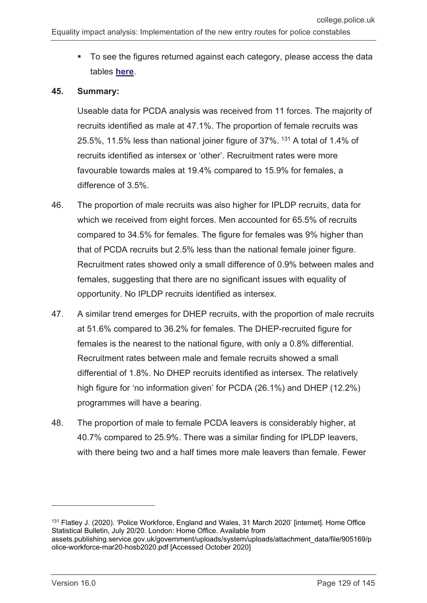• To see the figures returned against each category, please access the data tables **here**.

#### **45. Summary:**

Useable data for PCDA analysis was received from 11 forces. The majority of recruits identified as male at 47.1%. The proportion of female recruits was 25.5%, 11.5% less than national joiner figure of 37%. [131](#page-128-0) A total of 1.4% of recruits identified as intersex or 'other'. Recruitment rates were more favourable towards males at 19.4% compared to 15.9% for females, a difference of 3.5%.

- 46. The proportion of male recruits was also higher for IPLDP recruits, data for which we received from eight forces. Men accounted for 65.5% of recruits compared to 34.5% for females. The figure for females was 9% higher than that of PCDA recruits but 2.5% less than the national female joiner figure. Recruitment rates showed only a small difference of 0.9% between males and females, suggesting that there are no significant issues with equality of opportunity. No IPLDP recruits identified as intersex.
- 47. A similar trend emerges for DHEP recruits, with the proportion of male recruits at 51.6% compared to 36.2% for females. The DHEP-recruited figure for females is the nearest to the national figure, with only a 0.8% differential. Recruitment rates between male and female recruits showed a small differential of 1.8%. No DHEP recruits identified as intersex. The relatively high figure for 'no information given' for PCDA (26.1%) and DHEP (12.2%) programmes will have a bearing.
- 48. The proportion of male to female PCDA leavers is considerably higher, at 40.7% compared to 25.9%. There was a similar finding for IPLDP leavers, with there being two and a half times more male leavers than female. Fewer

-

<span id="page-128-0"></span><sup>131</sup> Flatley J. (2020). 'Police Workforce, England and Wales, 31 March 2020' [internet]. Home Office Statistical Bulletin, July 20/20. London: Home Office. Available from assets.publishing.service.gov.uk/government/uploads/system/uploads/attachment\_data/file/905169/p olice-workforce-mar20-hosb2020.pdf [Accessed October 2020]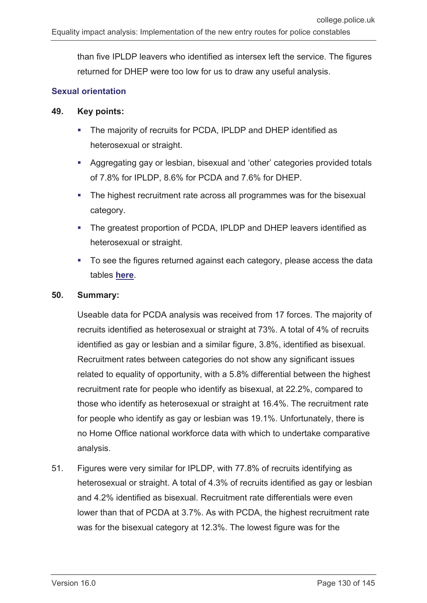than five IPLDP leavers who identified as intersex left the service. The figures returned for DHEP were too low for us to draw any useful analysis.

### **Sexual orientation**

### **49. Key points:**

- The majority of recruits for PCDA, IPLDP and DHEP identified as heterosexual or straight.
- Aggregating gay or lesbian, bisexual and 'other' categories provided totals of 7.8% for IPLDP, 8.6% for PCDA and 7.6% for DHEP.
- The highest recruitment rate across all programmes was for the bisexual category.
- The greatest proportion of PCDA, IPLDP and DHEP leavers identified as heterosexual or straight.
- To see the figures returned against each category, please access the data tables **here**.

#### **50. Summary:**

Useable data for PCDA analysis was received from 17 forces. The majority of recruits identified as heterosexual or straight at 73%. A total of 4% of recruits identified as gay or lesbian and a similar figure, 3.8%, identified as bisexual. Recruitment rates between categories do not show any significant issues related to equality of opportunity, with a 5.8% differential between the highest recruitment rate for people who identify as bisexual, at 22.2%, compared to those who identify as heterosexual or straight at 16.4%. The recruitment rate for people who identify as gay or lesbian was 19.1%. Unfortunately, there is no Home Office national workforce data with which to undertake comparative analysis.

51. Figures were very similar for IPLDP, with 77.8% of recruits identifying as heterosexual or straight. A total of 4.3% of recruits identified as gay or lesbian and 4.2% identified as bisexual. Recruitment rate differentials were even lower than that of PCDA at 3.7%. As with PCDA, the highest recruitment rate was for the bisexual category at 12.3%. The lowest figure was for the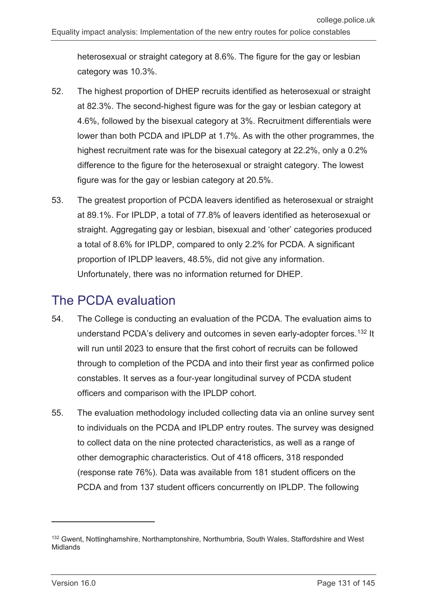heterosexual or straight category at 8.6%. The figure for the gay or lesbian category was 10.3%.

- 52. The highest proportion of DHEP recruits identified as heterosexual or straight at 82.3%. The second-highest figure was for the gay or lesbian category at 4.6%, followed by the bisexual category at 3%. Recruitment differentials were lower than both PCDA and IPLDP at 1.7%. As with the other programmes, the highest recruitment rate was for the bisexual category at 22.2%, only a 0.2% difference to the figure for the heterosexual or straight category. The lowest figure was for the gay or lesbian category at 20.5%.
- 53. The greatest proportion of PCDA leavers identified as heterosexual or straight at 89.1%. For IPLDP, a total of 77.8% of leavers identified as heterosexual or straight. Aggregating gay or lesbian, bisexual and 'other' categories produced a total of 8.6% for IPLDP, compared to only 2.2% for PCDA. A significant proportion of IPLDP leavers, 48.5%, did not give any information. Unfortunately, there was no information returned for DHEP.

## The PCDA evaluation

- 54. The College is conducting an evaluation of the PCDA. The evaluation aims to understand PCDA's delivery and outcomes in seven early-adopter forces.<sup>[132](#page-130-0)</sup> It will run until 2023 to ensure that the first cohort of recruits can be followed through to completion of the PCDA and into their first year as confirmed police constables. It serves as a four-year longitudinal survey of PCDA student officers and comparison with the IPLDP cohort.
- 55. The evaluation methodology included collecting data via an online survey sent to individuals on the PCDA and IPLDP entry routes. The survey was designed to collect data on the nine protected characteristics, as well as a range of other demographic characteristics. Out of 418 officers, 318 responded (response rate 76%). Data was available from 181 student officers on the PCDA and from 137 student officers concurrently on IPLDP. The following

 $\overline{a}$ 

<span id="page-130-0"></span><sup>&</sup>lt;sup>132</sup> Gwent, Nottinghamshire, Northamptonshire, Northumbria, South Wales, Staffordshire and West Midlands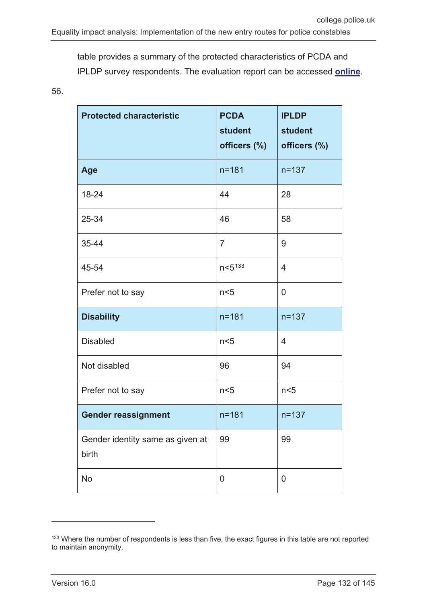table provides a summary of the protected characteristics of PCDA and IPLDP survey respondents. The evaluation report can be accessed **[online](https://whatworks.college.police.uk/Research/Documents/PCDA_evaluation.pdf)**.

56.

| <b>Protected characteristic</b>           | <b>PCDA</b><br><b>student</b><br>officers (%) | <b>IPLDP</b><br>student<br>officers (%) |
|-------------------------------------------|-----------------------------------------------|-----------------------------------------|
| Age                                       | $n = 181$                                     | $n = 137$                               |
| 18-24                                     | 44                                            | 28                                      |
| 25-34                                     | 46                                            | 58                                      |
| 35-44                                     | $\overline{7}$                                | 9                                       |
| 45-54                                     | $n < 5^{133}$                                 | $\overline{4}$                          |
| Prefer not to say                         | n <sub>5</sub>                                | $\overline{0}$                          |
| <b>Disability</b>                         | $n = 181$                                     | $n = 137$                               |
| <b>Disabled</b>                           | n <sub>5</sub>                                | $\overline{4}$                          |
| Not disabled                              | 96                                            | 94                                      |
| Prefer not to say                         | n<5                                           | n<5                                     |
| <b>Gender reassignment</b>                | $n = 181$                                     | $n = 137$                               |
| Gender identity same as given at<br>birth | 99                                            | 99                                      |
| <b>No</b>                                 | 0                                             | 0                                       |

 $\overline{a}$ 

<span id="page-131-0"></span><sup>133</sup> Where the number of respondents is less than five, the exact figures in this table are not reported to maintain anonymity.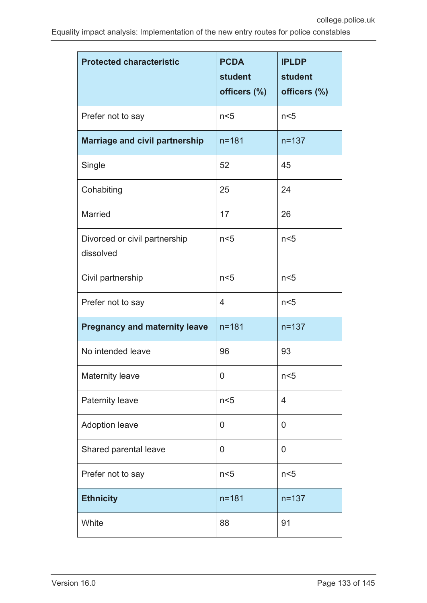| <b>Protected characteristic</b>            | <b>PCDA</b><br>student<br>officers (%) | <b>IPLDP</b><br>student<br>officers (%) |
|--------------------------------------------|----------------------------------------|-----------------------------------------|
| Prefer not to say                          | n <sub>5</sub>                         | n <sub>5</sub>                          |
| <b>Marriage and civil partnership</b>      | $n = 181$                              | $n = 137$                               |
| Single                                     | 52                                     | 45                                      |
| Cohabiting                                 | 25                                     | 24                                      |
| <b>Married</b>                             | 17                                     | 26                                      |
| Divorced or civil partnership<br>dissolved | n <sub>5</sub>                         | n <sub>5</sub>                          |
| Civil partnership                          | n <sub>5</sub>                         | n <sub>5</sub>                          |
| Prefer not to say                          | 4                                      | n <sub>5</sub>                          |
| <b>Pregnancy and maternity leave</b>       | $n = 181$                              | $n = 137$                               |
| No intended leave                          | 96                                     | 93                                      |
| <b>Maternity leave</b>                     | 0                                      | n <sub>5</sub>                          |
| <b>Paternity leave</b>                     | n <sub>5</sub>                         | $\overline{4}$                          |
| <b>Adoption leave</b>                      | 0                                      | 0                                       |
| Shared parental leave                      | 0                                      | 0                                       |
| Prefer not to say                          | n<5                                    | n<5                                     |
| <b>Ethnicity</b>                           | $n = 181$                              | $n = 137$                               |
| White                                      | 88                                     | 91                                      |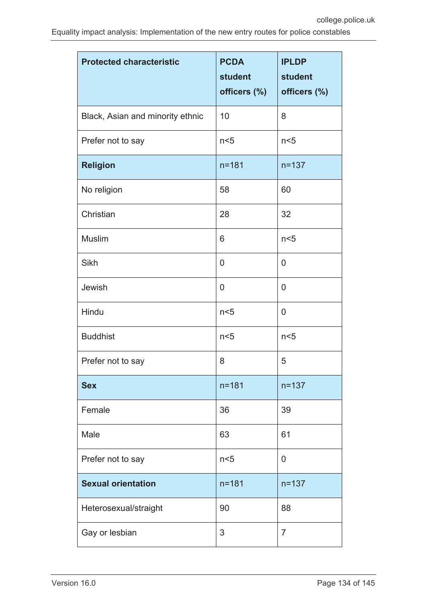| <b>Protected characteristic</b>  | <b>PCDA</b><br>student<br>officers (%) | <b>IPLDP</b><br>student<br>officers (%) |
|----------------------------------|----------------------------------------|-----------------------------------------|
| Black, Asian and minority ethnic | 10                                     | 8                                       |
| Prefer not to say                | n <sub>5</sub>                         | n <sub>5</sub>                          |
| <b>Religion</b>                  | $n = 181$                              | $n = 137$                               |
| No religion                      | 58                                     | 60                                      |
| Christian                        | 28                                     | 32                                      |
| <b>Muslim</b>                    | 6                                      | n <sub>5</sub>                          |
| Sikh                             | 0                                      | 0                                       |
| Jewish                           | $\mathbf 0$                            | 0                                       |
| Hindu                            | n <sub>5</sub>                         | 0                                       |
| <b>Buddhist</b>                  | n <sub>5</sub>                         | n<5                                     |
| Prefer not to say                | 8                                      | 5                                       |
| <b>Sex</b>                       | $n = 181$                              | $n = 137$                               |
| Female                           | 36                                     | 39                                      |
| Male                             | 63                                     | 61                                      |
| Prefer not to say                | n <sub>5</sub>                         | 0                                       |
| <b>Sexual orientation</b>        | $n = 181$                              | $n = 137$                               |
| Heterosexual/straight            | 90                                     | 88                                      |
| Gay or lesbian                   | 3                                      | 7                                       |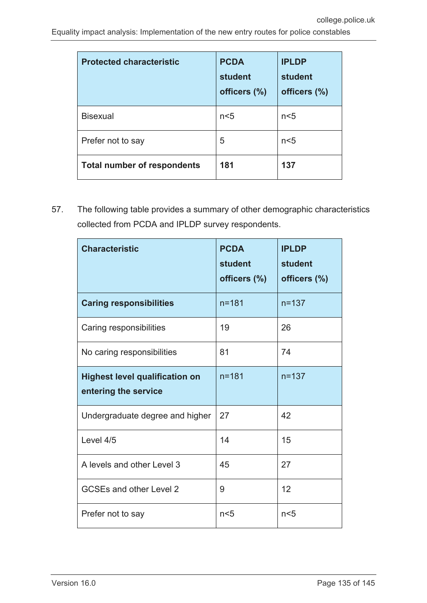| <b>Protected characteristic</b>    | <b>PCDA</b><br>student<br>officers (%) | <b>IPLDP</b><br>student<br>officers (%) |
|------------------------------------|----------------------------------------|-----------------------------------------|
| <b>Bisexual</b>                    | n <sub>5</sub>                         | n <sub>5</sub>                          |
| Prefer not to say                  | 5                                      | n <sub>5</sub>                          |
| <b>Total number of respondents</b> | 181                                    | 137                                     |

57. The following table provides a summary of other demographic characteristics collected from PCDA and IPLDP survey respondents.

| <b>Characteristic</b>                                         | <b>PCDA</b><br><b>student</b><br>officers (%) | <b>IPLDP</b><br>student<br>officers (%) |
|---------------------------------------------------------------|-----------------------------------------------|-----------------------------------------|
| <b>Caring responsibilities</b>                                | $n = 181$                                     | $n = 137$                               |
| Caring responsibilities                                       | 19                                            | 26                                      |
| No caring responsibilities                                    | 81                                            | 74                                      |
| <b>Highest level qualification on</b><br>entering the service | $n = 181$                                     | $n = 137$                               |
| Undergraduate degree and higher                               | 27                                            | 42                                      |
| Level 4/5                                                     | 14                                            | 15                                      |
| A levels and other Level 3                                    | 45                                            | 27                                      |
| <b>GCSEs and other Level 2</b>                                | 9                                             | 12                                      |
| Prefer not to say                                             | n<5                                           | n <sub>5</sub>                          |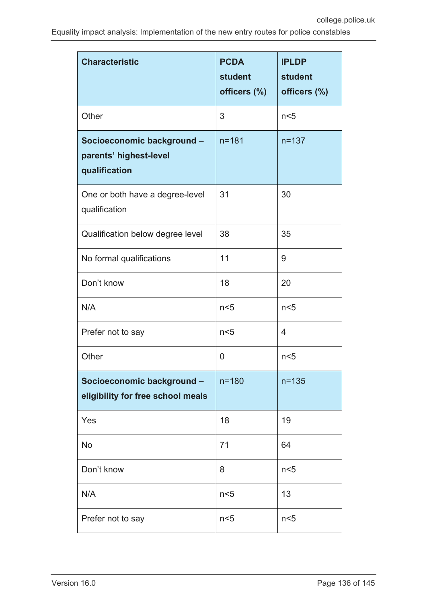| <b>Characteristic</b>                                                 | <b>PCDA</b><br>student<br>officers (%) | <b>IPLDP</b><br>student<br>officers (%) |
|-----------------------------------------------------------------------|----------------------------------------|-----------------------------------------|
| Other                                                                 | 3                                      | n <sub>5</sub>                          |
| Socioeconomic background -<br>parents' highest-level<br>qualification | $n = 181$                              | $n = 137$                               |
| One or both have a degree-level<br>qualification                      | 31                                     | 30                                      |
| Qualification below degree level                                      | 38                                     | 35                                      |
| No formal qualifications                                              | 11                                     | 9                                       |
| Don't know                                                            | 18                                     | 20                                      |
| N/A                                                                   | n <sub>5</sub>                         | n <sub>5</sub>                          |
| Prefer not to say                                                     | n <sub>5</sub>                         | 4                                       |
| Other                                                                 | 0                                      | n <sub>5</sub>                          |
| Socioeconomic background -<br>eligibility for free school meals       | $n = 180$                              | $n = 135$                               |
| Yes                                                                   | 18                                     | 19                                      |
| No                                                                    | 71                                     | 64                                      |
| Don't know                                                            | 8                                      | n <sub>5</sub>                          |
| N/A                                                                   | n <sub>5</sub>                         | 13                                      |
| Prefer not to say                                                     | n <sub>5</sub>                         | n <sub>5</sub>                          |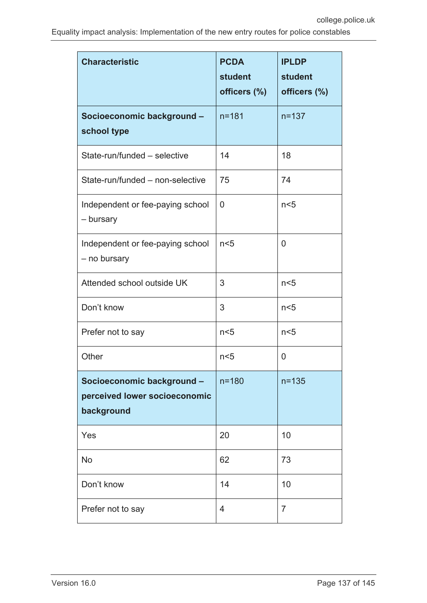| <b>Characteristic</b>                                                     | <b>PCDA</b><br><b>student</b><br>officers (%) | <b>IPLDP</b><br>student<br>officers (%) |
|---------------------------------------------------------------------------|-----------------------------------------------|-----------------------------------------|
| Socioeconomic background -<br>school type                                 | $n = 181$                                     | $n = 137$                               |
| State-run/funded - selective                                              | 14                                            | 18                                      |
| State-run/funded - non-selective                                          | 75                                            | 74                                      |
| Independent or fee-paying school<br>- bursary                             | 0                                             | n <sub>5</sub>                          |
| Independent or fee-paying school<br>- no bursary                          | n <sub>5</sub>                                | 0                                       |
| Attended school outside UK                                                | 3                                             | n <sub>5</sub>                          |
| Don't know                                                                | 3                                             | n <sub>5</sub>                          |
| Prefer not to say                                                         | n <sub>5</sub>                                | n <sub>5</sub>                          |
| Other                                                                     | n <sub>5</sub>                                | 0                                       |
| Socioeconomic background -<br>perceived lower socioeconomic<br>background | $n = 180$                                     | $n = 135$                               |
| Yes                                                                       | 20                                            | 10                                      |
| No                                                                        | 62                                            | 73                                      |
| Don't know                                                                | 14                                            | 10                                      |
| Prefer not to say                                                         | 4                                             | $\overline{7}$                          |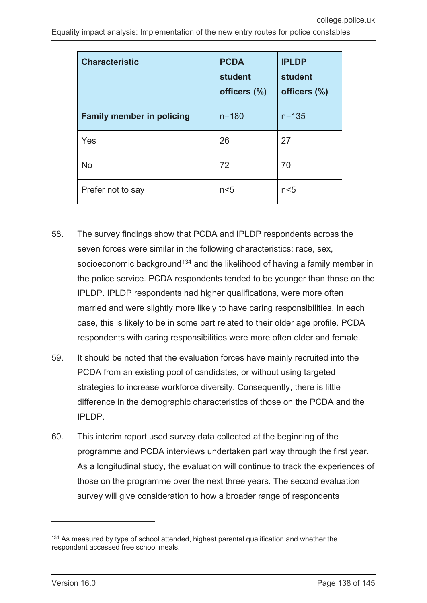| <b>Characteristic</b>            | <b>PCDA</b><br>student<br>officers (%) | <b>IPLDP</b><br>student<br>officers (%) |
|----------------------------------|----------------------------------------|-----------------------------------------|
| <b>Family member in policing</b> | $n = 180$                              | $n = 135$                               |
| Yes                              | 26                                     | 27                                      |
| <b>No</b>                        | 72                                     | 70                                      |
| Prefer not to say                | n <sub>5</sub>                         | n <sub>5</sub>                          |

- 58. The survey findings show that PCDA and IPLDP respondents across the seven forces were similar in the following characteristics: race, sex, socioeconomic background<sup>[134](#page-137-0)</sup> and the likelihood of having a family member in the police service. PCDA respondents tended to be younger than those on the IPLDP. IPLDP respondents had higher qualifications, were more often married and were slightly more likely to have caring responsibilities. In each case, this is likely to be in some part related to their older age profile. PCDA respondents with caring responsibilities were more often older and female.
- 59. It should be noted that the evaluation forces have mainly recruited into the PCDA from an existing pool of candidates, or without using targeted strategies to increase workforce diversity. Consequently, there is little difference in the demographic characteristics of those on the PCDA and the IPLDP.
- 60. This interim report used survey data collected at the beginning of the programme and PCDA interviews undertaken part way through the first year. As a longitudinal study, the evaluation will continue to track the experiences of those on the programme over the next three years. The second evaluation survey will give consideration to how a broader range of respondents

 $\overline{a}$ 

<span id="page-137-0"></span><sup>&</sup>lt;sup>134</sup> As measured by type of school attended, highest parental qualification and whether the respondent accessed free school meals.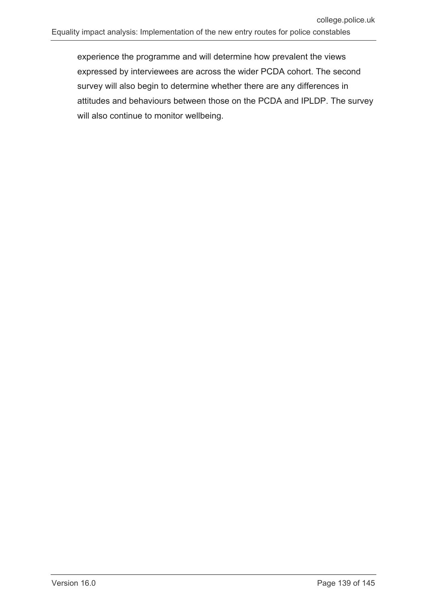experience the programme and will determine how prevalent the views expressed by interviewees are across the wider PCDA cohort. The second survey will also begin to determine whether there are any differences in attitudes and behaviours between those on the PCDA and IPLDP. The survey will also continue to monitor wellbeing.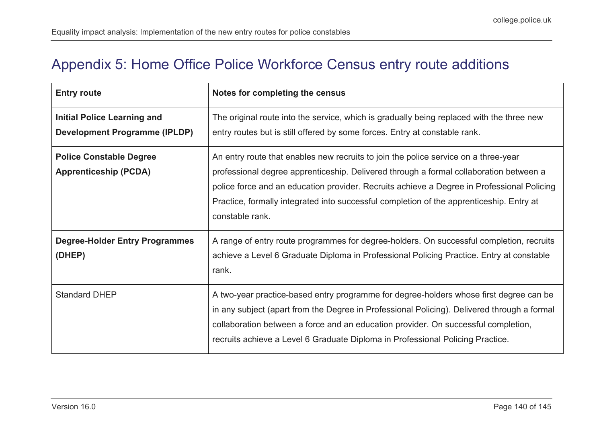# Appendix 5: Home Office Police Workforce Census entry route additions

<span id="page-139-0"></span>

| <b>Entry route</b>                                                         | Notes for completing the census                                                                                                                                                                                                                                                                                                                                                            |
|----------------------------------------------------------------------------|--------------------------------------------------------------------------------------------------------------------------------------------------------------------------------------------------------------------------------------------------------------------------------------------------------------------------------------------------------------------------------------------|
| <b>Initial Police Learning and</b><br><b>Development Programme (IPLDP)</b> | The original route into the service, which is gradually being replaced with the three new<br>entry routes but is still offered by some forces. Entry at constable rank.                                                                                                                                                                                                                    |
| <b>Police Constable Degree</b><br><b>Apprenticeship (PCDA)</b>             | An entry route that enables new recruits to join the police service on a three-year<br>professional degree apprenticeship. Delivered through a formal collaboration between a<br>police force and an education provider. Recruits achieve a Degree in Professional Policing<br>Practice, formally integrated into successful completion of the apprenticeship. Entry at<br>constable rank. |
| <b>Degree-Holder Entry Programmes</b><br>(DHEP)                            | A range of entry route programmes for degree-holders. On successful completion, recruits<br>achieve a Level 6 Graduate Diploma in Professional Policing Practice. Entry at constable<br>rank.                                                                                                                                                                                              |
| <b>Standard DHEP</b>                                                       | A two-year practice-based entry programme for degree-holders whose first degree can be<br>in any subject (apart from the Degree in Professional Policing). Delivered through a formal<br>collaboration between a force and an education provider. On successful completion,<br>recruits achieve a Level 6 Graduate Diploma in Professional Policing Practice.                              |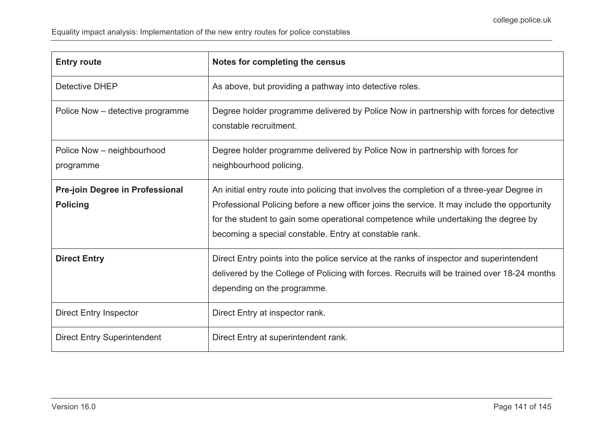| <b>Entry route</b>                                 | Notes for completing the census                                                                                                                                                                                                                                                                                                              |
|----------------------------------------------------|----------------------------------------------------------------------------------------------------------------------------------------------------------------------------------------------------------------------------------------------------------------------------------------------------------------------------------------------|
| <b>Detective DHEP</b>                              | As above, but providing a pathway into detective roles.                                                                                                                                                                                                                                                                                      |
| Police Now – detective programme                   | Degree holder programme delivered by Police Now in partnership with forces for detective<br>constable recruitment.                                                                                                                                                                                                                           |
| Police Now - neighbourhood<br>programme            | Degree holder programme delivered by Police Now in partnership with forces for<br>neighbourhood policing.                                                                                                                                                                                                                                    |
| Pre-join Degree in Professional<br><b>Policing</b> | An initial entry route into policing that involves the completion of a three-year Degree in<br>Professional Policing before a new officer joins the service. It may include the opportunity<br>for the student to gain some operational competence while undertaking the degree by<br>becoming a special constable. Entry at constable rank. |
| <b>Direct Entry</b>                                | Direct Entry points into the police service at the ranks of inspector and superintendent<br>delivered by the College of Policing with forces. Recruits will be trained over 18-24 months<br>depending on the programme.                                                                                                                      |
| <b>Direct Entry Inspector</b>                      | Direct Entry at inspector rank.                                                                                                                                                                                                                                                                                                              |
| <b>Direct Entry Superintendent</b>                 | Direct Entry at superintendent rank.                                                                                                                                                                                                                                                                                                         |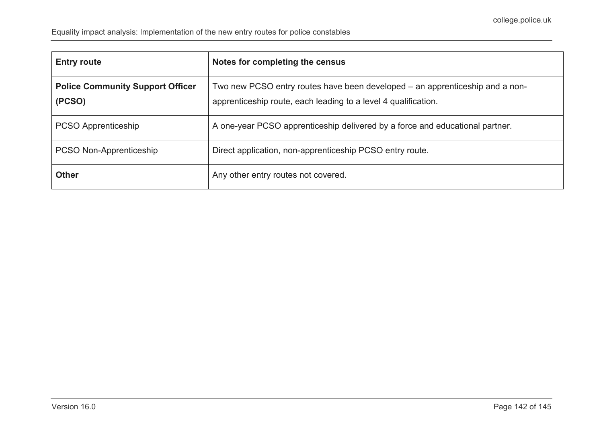| <b>Entry route</b>                                | Notes for completing the census                                                                                                                |
|---------------------------------------------------|------------------------------------------------------------------------------------------------------------------------------------------------|
| <b>Police Community Support Officer</b><br>(PCSO) | Two new PCSO entry routes have been developed – an apprenticeship and a non-<br>apprenticeship route, each leading to a level 4 qualification. |
| <b>PCSO Apprenticeship</b>                        | A one-year PCSO apprenticeship delivered by a force and educational partner.                                                                   |
| PCSO Non-Apprenticeship                           | Direct application, non-apprenticeship PCSO entry route.                                                                                       |
| <b>Other</b>                                      | Any other entry routes not covered.                                                                                                            |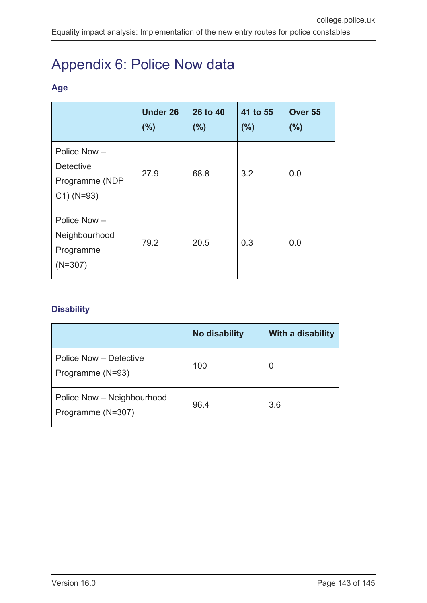# Appendix 6: Police Now data

## **Age**

|                                                                    | <b>Under 26</b><br>(%) | 26 to 40<br>(%) | 41 to 55<br>(%) | Over 55<br>(%) |
|--------------------------------------------------------------------|------------------------|-----------------|-----------------|----------------|
| Police Now -<br><b>Detective</b><br>Programme (NDP<br>$C1)$ (N=93) | 27.9                   | 68.8            | 3.2             | 0.0            |
| Police Now-<br>Neighbourhood<br>Programme<br>$(N=307)$             | 79.2                   | 20.5            | 0.3             | 0.0            |

## **Disability**

|                                                 | <b>No disability</b> | With a disability |
|-------------------------------------------------|----------------------|-------------------|
| Police Now - Detective<br>Programme (N=93)      | 100                  | 0                 |
| Police Now - Neighbourhood<br>Programme (N=307) | 96.4                 | 3.6               |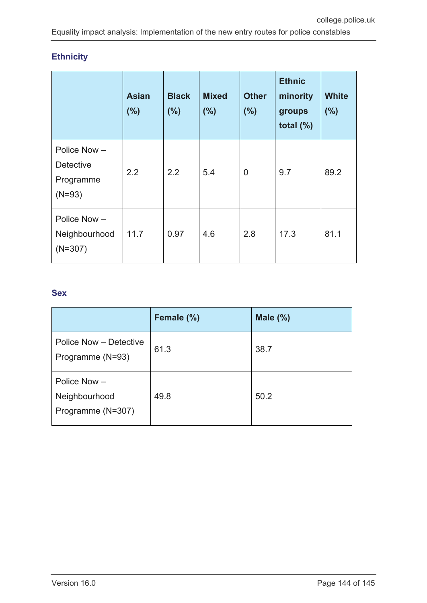## **Ethnicity**

|                                                          | <b>Asian</b><br>(%) | <b>Black</b><br>(%) | <b>Mixed</b><br>(%) | <b>Other</b><br>(%) | <b>Ethnic</b><br>minority<br>groups<br>total $(\%)$ | <b>White</b><br>(%) |
|----------------------------------------------------------|---------------------|---------------------|---------------------|---------------------|-----------------------------------------------------|---------------------|
| Police Now-<br><b>Detective</b><br>Programme<br>$(N=93)$ | 2.2                 | 2.2                 | 5.4                 | $\overline{0}$      | 9.7                                                 | 89.2                |
| Police Now -<br>Neighbourhood<br>$(N=307)$               | 11.7                | 0.97                | 4.6                 | 2.8                 | 17.3                                                | 81.1                |

## **Sex**

|                                                      | Female (%) | Male $(\%)$ |
|------------------------------------------------------|------------|-------------|
| Police Now - Detective<br>Programme (N=93)           | 61.3       | 38.7        |
| Police Now $-$<br>Neighbourhood<br>Programme (N=307) | 49.8       | 50.2        |